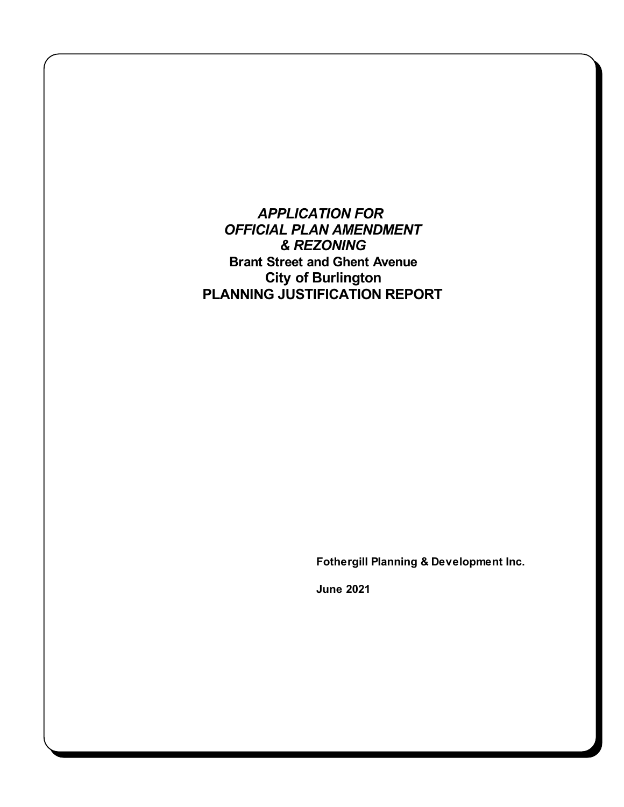*APPLICATION FOR OFFICIAL PLAN AMENDMENT & REZONING* **Brant Street and Ghent Avenue City of Burlington PLANNING JUSTIFICATION REPORT**

**Fothergill Planning & Development Inc.**

**June 2021**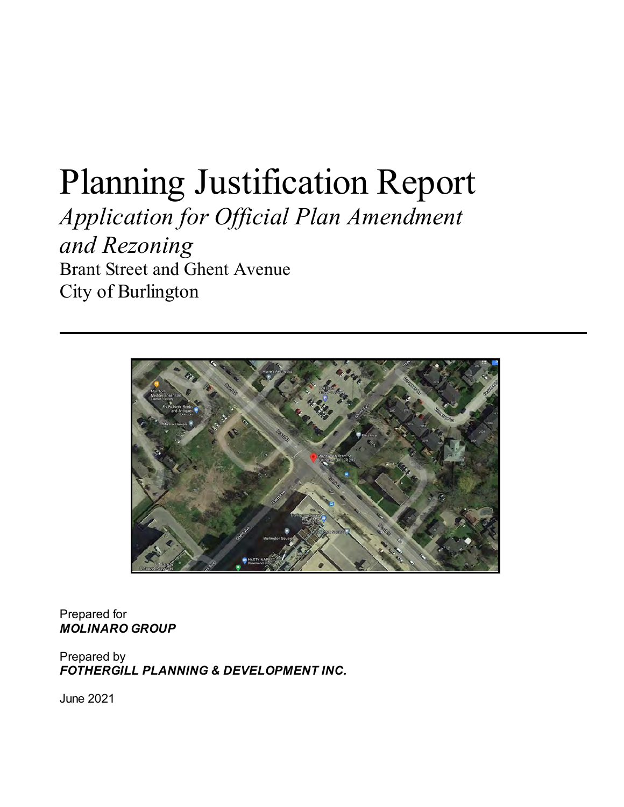# Planning Justification Report

*Application for Official Plan Amendment and Rezoning*  Brant Street and Ghent Avenue City of Burlington



Prepared for *MOLINARO GROUP*

Prepared by *FOTHERGILL PLANNING & DEVELOPMENT INC.*

June 2021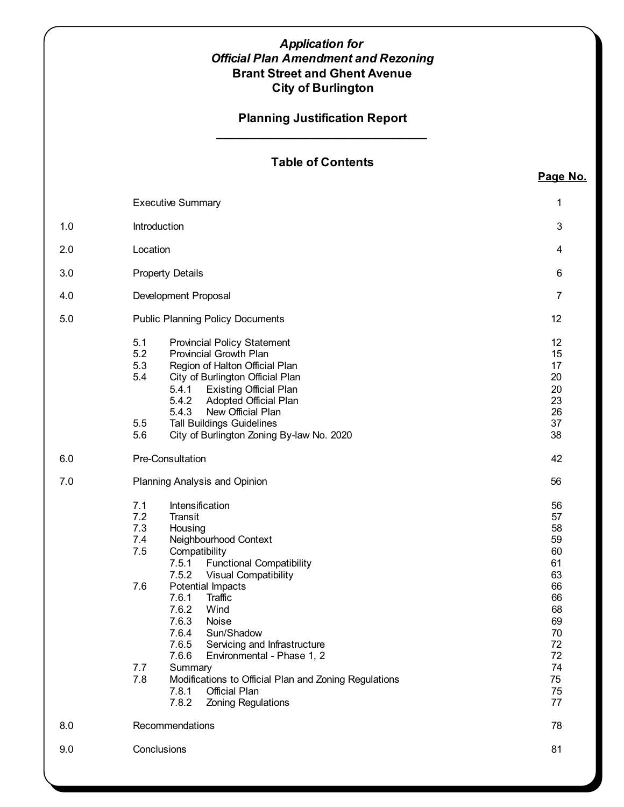## *Application for Official Plan Amendment and Rezoning* **Brant Street and Ghent Avenue City of Burlington**

## **Planning Justification Report \_\_\_\_\_\_\_\_\_\_\_\_\_\_\_\_\_\_\_\_\_\_\_\_\_\_\_\_\_\_\_**

# **Table of Contents**

**Page No.**

|     | <b>Executive Summary</b>                                                                                                                                                                                                                                                                                                                                                                                                                                                                                                                        | 1                                                                                                        |
|-----|-------------------------------------------------------------------------------------------------------------------------------------------------------------------------------------------------------------------------------------------------------------------------------------------------------------------------------------------------------------------------------------------------------------------------------------------------------------------------------------------------------------------------------------------------|----------------------------------------------------------------------------------------------------------|
| 1.0 | Introduction                                                                                                                                                                                                                                                                                                                                                                                                                                                                                                                                    | $\mathbf{3}$                                                                                             |
| 2.0 | Location                                                                                                                                                                                                                                                                                                                                                                                                                                                                                                                                        | 4                                                                                                        |
| 3.0 | <b>Property Details</b>                                                                                                                                                                                                                                                                                                                                                                                                                                                                                                                         | 6                                                                                                        |
| 4.0 | Development Proposal                                                                                                                                                                                                                                                                                                                                                                                                                                                                                                                            | $\overline{7}$                                                                                           |
| 5.0 | <b>Public Planning Policy Documents</b>                                                                                                                                                                                                                                                                                                                                                                                                                                                                                                         | 12                                                                                                       |
|     | 5.1<br><b>Provincial Policy Statement</b><br>5.2<br><b>Provincial Growth Plan</b><br>5.3<br>Region of Halton Official Plan<br>5.4<br>City of Burlington Official Plan<br>5.4.1<br><b>Existing Official Plan</b><br>5.4.2<br><b>Adopted Official Plan</b><br>New Official Plan<br>5.4.3<br>5.5<br><b>Tall Buildings Guidelines</b><br>5.6<br>City of Burlington Zoning By-law No. 2020                                                                                                                                                           | 12<br>15<br>17<br>20<br>20<br>23<br>26<br>37<br>38                                                       |
| 6.0 | Pre-Consultation                                                                                                                                                                                                                                                                                                                                                                                                                                                                                                                                | 42                                                                                                       |
| 7.0 | Planning Analysis and Opinion                                                                                                                                                                                                                                                                                                                                                                                                                                                                                                                   | 56                                                                                                       |
|     | 7.1<br>Intensification<br>7.2<br>Transit<br>7.3<br>Housing<br>7.4<br>Neighbourhood Context<br>7.5<br>Compatibility<br>7.5.1<br><b>Functional Compatibility</b><br>7.5.2<br><b>Visual Compatibility</b><br>7.6<br>Potential Impacts<br>7.6.1<br>Traffic<br>7.6.2<br>Wind<br>7.6.3<br>Noise<br>7.6.4<br>Sun/Shadow<br>7.6.5 Servicing and Infrastructure<br>Environmental - Phase 1, 2<br>7.6.6<br>7.7<br>Summary<br>7.8<br>Modifications to Official Plan and Zoning Regulations<br>7.8.1<br>Official Plan<br>7.8.2<br><b>Zoning Regulations</b> | 56<br>57<br>58<br>59<br>60<br>61<br>63<br>66<br>66<br>68<br>69<br>70<br>72<br>72<br>74<br>75<br>75<br>77 |
| 8.0 | Recommendations                                                                                                                                                                                                                                                                                                                                                                                                                                                                                                                                 | 78                                                                                                       |
| 9.0 | Conclusions                                                                                                                                                                                                                                                                                                                                                                                                                                                                                                                                     | 81                                                                                                       |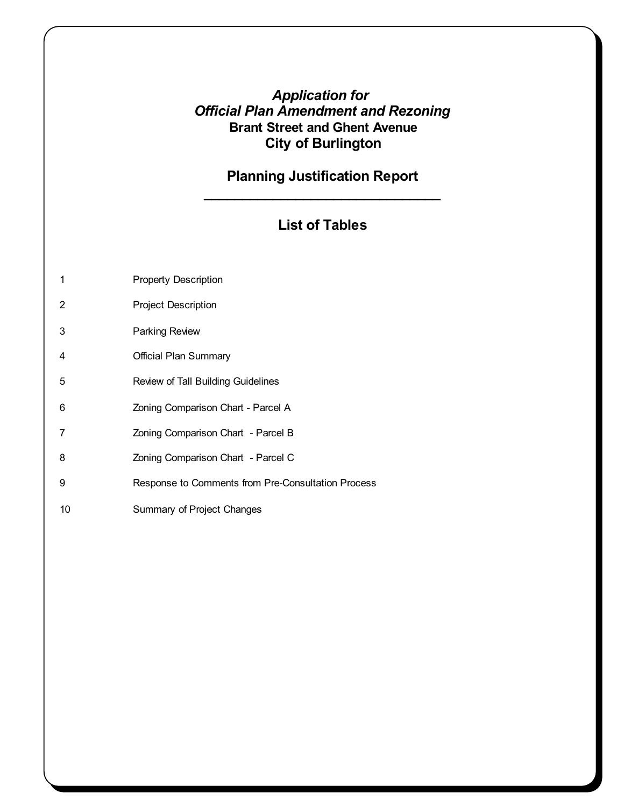# *Application for Official Plan Amendment and Rezoning* **Brant Street and Ghent Avenue City of Burlington**

# **Planning Justification Report \_\_\_\_\_\_\_\_\_\_\_\_\_\_\_\_\_\_\_\_\_\_\_\_\_\_\_\_\_\_\_**

# **List of Tables**

|  |  | <b>Property Description</b> |
|--|--|-----------------------------|
|--|--|-----------------------------|

- 2 Project Description
- 3 Parking Review
- 4 Official Plan Summary
- 5 Review of Tall Building Guidelines
- 6 Zoning Comparison Chart Parcel A
- 7 Zoning Comparison Chart Parcel B
- 8 **Zoning Comparison Chart** Parcel C
- 9 Response to Comments from Pre-Consultation Process
- 10 Summary of Project Changes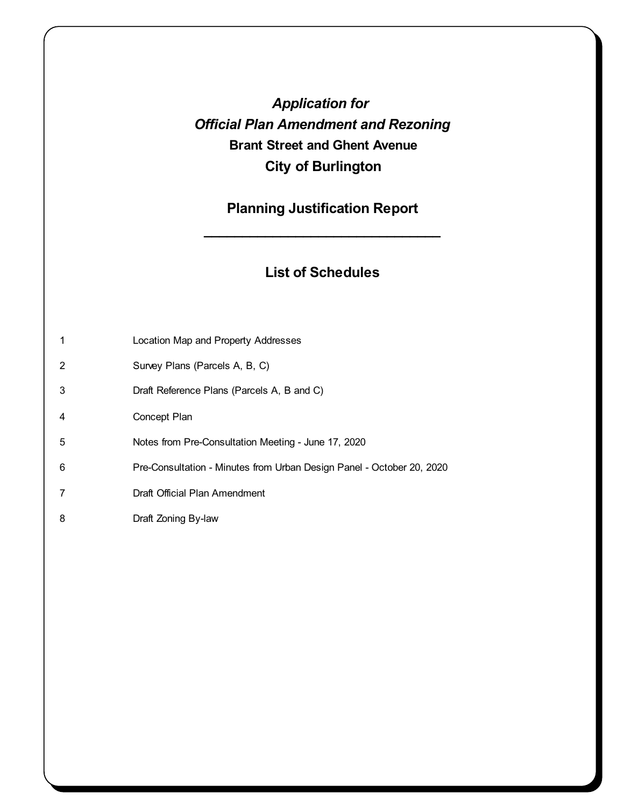# *Application for Official Plan Amendment and Rezoning* **Brant Street and Ghent Avenue City of Burlington**

# **Planning Justification Report**

**\_\_\_\_\_\_\_\_\_\_\_\_\_\_\_\_\_\_\_\_\_\_\_\_\_\_\_\_\_\_\_**

# **List of Schedules**

|   | Location Map and Property Addresses                                   |
|---|-----------------------------------------------------------------------|
| 2 | Survey Plans (Parcels A, B, C)                                        |
| 3 | Draft Reference Plans (Parcels A, B and C)                            |
| 4 | Concept Plan                                                          |
| 5 | Notes from Pre-Consultation Meeting - June 17, 2020                   |
| 6 | Pre-Consultation - Minutes from Urban Design Panel - October 20, 2020 |
|   | Draft Official Plan Amendment                                         |
| 8 | Draft Zoning By-law                                                   |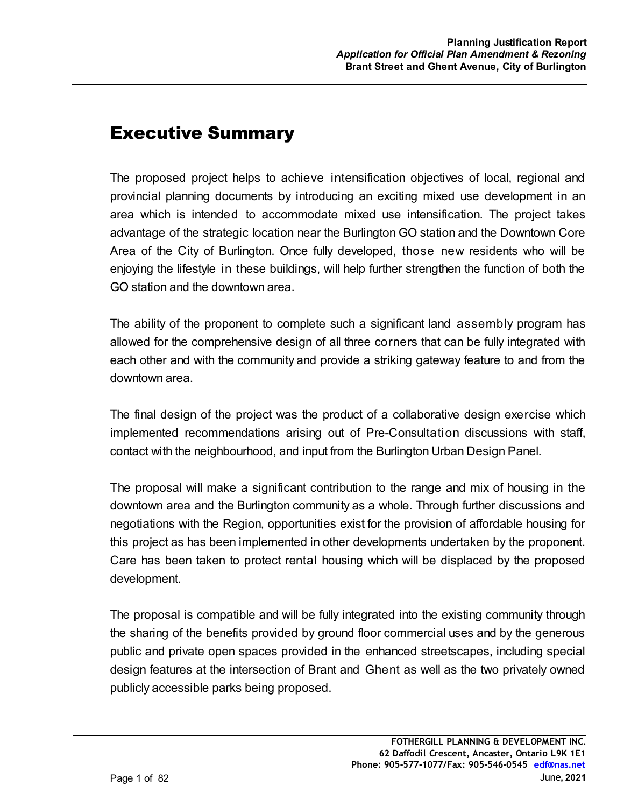# Executive Summary

The proposed project helps to achieve intensification objectives of local, regional and provincial planning documents by introducing an exciting mixed use development in an area which is intended to accommodate mixed use intensification. The project takes advantage of the strategic location near the Burlington GO station and the Downtown Core Area of the City of Burlington. Once fully developed, those new residents who will be enjoying the lifestyle in these buildings, will help further strengthen the function of both the GO station and the downtown area.

The ability of the proponent to complete such a significant land assembly program has allowed for the comprehensive design of all three corners that can be fully integrated with each other and with the community and provide a striking gateway feature to and from the downtown area.

The final design of the project was the product of a collaborative design exercise which implemented recommendations arising out of Pre-Consultation discussions with staff, contact with the neighbourhood, and input from the Burlington Urban Design Panel.

The proposal will make a significant contribution to the range and mix of housing in the downtown area and the Burlington community as a whole. Through further discussions and negotiations with the Region, opportunities exist for the provision of affordable housing for this project as has been implemented in other developments undertaken by the proponent. Care has been taken to protect rental housing which will be displaced by the proposed development.

The proposal is compatible and will be fully integrated into the existing community through the sharing of the benefits provided by ground floor commercial uses and by the generous public and private open spaces provided in the enhanced streetscapes, including special design features at the intersection of Brant and Ghent as well as the two privately owned publicly accessible parks being proposed.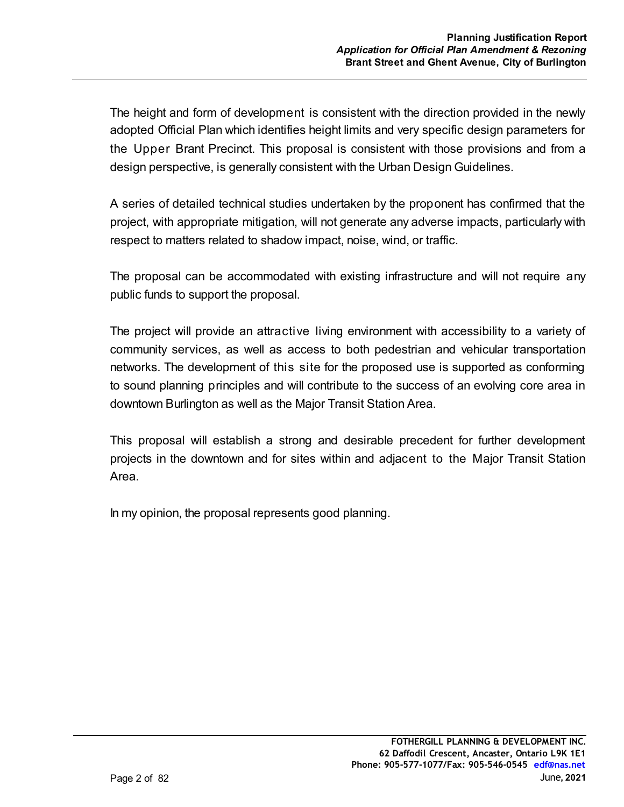The height and form of development is consistent with the direction provided in the newly adopted Official Plan which identifies height limits and very specific design parameters for the Upper Brant Precinct. This proposal is consistent with those provisions and from a design perspective, is generally consistent with the Urban Design Guidelines.

A series of detailed technical studies undertaken by the proponent has confirmed that the project, with appropriate mitigation, will not generate any adverse impacts, particularly with respect to matters related to shadow impact, noise, wind, or traffic.

The proposal can be accommodated with existing infrastructure and will not require any public funds to support the proposal.

The project will provide an attractive living environment with accessibility to a variety of community services, as well as access to both pedestrian and vehicular transportation networks. The development of this site for the proposed use is supported as conforming to sound planning principles and will contribute to the success of an evolving core area in downtown Burlington as well as the Major Transit Station Area.

This proposal will establish a strong and desirable precedent for further development projects in the downtown and for sites within and adjacent to the Major Transit Station Area.

In my opinion, the proposal represents good planning.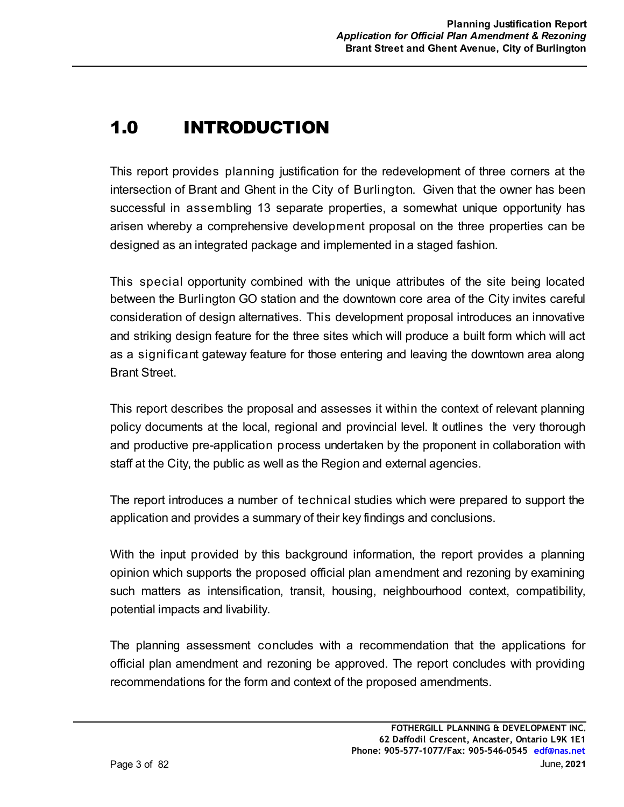# **1.0 INTRODUCTION**

This report provides planning justification for the redevelopment of three corners at the intersection of Brant and Ghent in the City of Burlington. Given that the owner has been successful in assembling 13 separate properties, a somewhat unique opportunity has arisen whereby a comprehensive development proposal on the three properties can be designed as an integrated package and implemented in a staged fashion.

This special opportunity combined with the unique attributes of the site being located between the Burlington GO station and the downtown core area of the City invites careful consideration of design alternatives. This development proposal introduces an innovative and striking design feature for the three sites which will produce a built form which will act as a significant gateway feature for those entering and leaving the downtown area along Brant Street.

This report describes the proposal and assesses it within the context of relevant planning policy documents at the local, regional and provincial level. It outlines the very thorough and productive pre-application process undertaken by the proponent in collaboration with staff at the City, the public as well as the Region and external agencies.

The report introduces a number of technical studies which were prepared to support the application and provides a summary of their key findings and conclusions.

With the input provided by this background information, the report provides a planning opinion which supports the proposed official plan amendment and rezoning by examining such matters as intensification, transit, housing, neighbourhood context, compatibility, potential impacts and livability.

The planning assessment concludes with a recommendation that the applications for official plan amendment and rezoning be approved. The report concludes with providing recommendations for the form and context of the proposed amendments.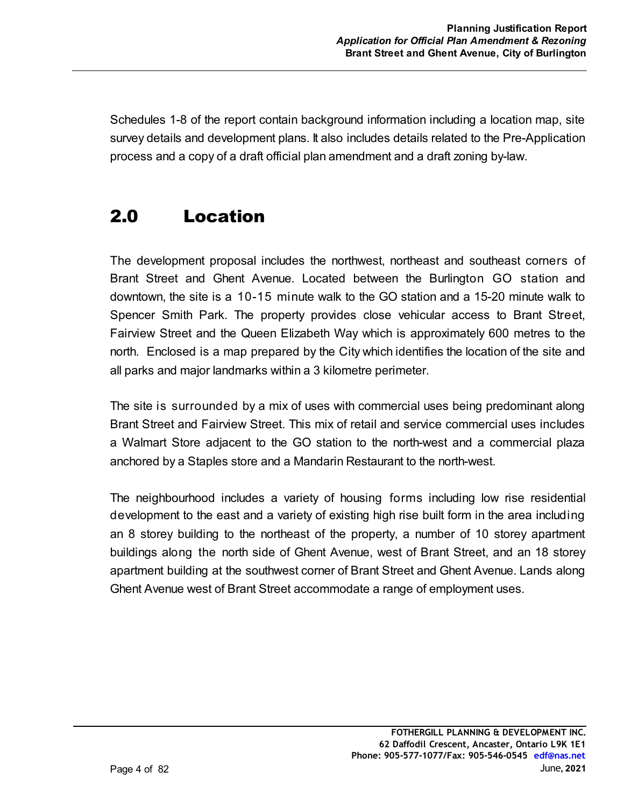Schedules 1-8 of the report contain background information including a location map, site survey details and development plans. It also includes details related to the Pre-Application process and a copy of a draft official plan amendment and a draft zoning by-law.

# 2.0 Location

The development proposal includes the northwest, northeast and southeast corners of Brant Street and Ghent Avenue. Located between the Burlington GO station and downtown, the site is a 10-15 minute walk to the GO station and a 15-20 minute walk to Spencer Smith Park. The property provides close vehicular access to Brant Street, Fairview Street and the Queen Elizabeth Way which is approximately 600 metres to the north. Enclosed is a map prepared by the City which identifies the location of the site and all parks and major landmarks within a 3 kilometre perimeter.

The site is surrounded by a mix of uses with commercial uses being predominant along Brant Street and Fairview Street. This mix of retail and service commercial uses includes a Walmart Store adjacent to the GO station to the north-west and a commercial plaza anchored by a Staples store and a Mandarin Restaurant to the north-west.

The neighbourhood includes a variety of housing forms including low rise residential development to the east and a variety of existing high rise built form in the area including an 8 storey building to the northeast of the property, a number of 10 storey apartment buildings along the north side of Ghent Avenue, west of Brant Street, and an 18 storey apartment building at the southwest corner of Brant Street and Ghent Avenue. Lands along Ghent Avenue west of Brant Street accommodate a range of employment uses.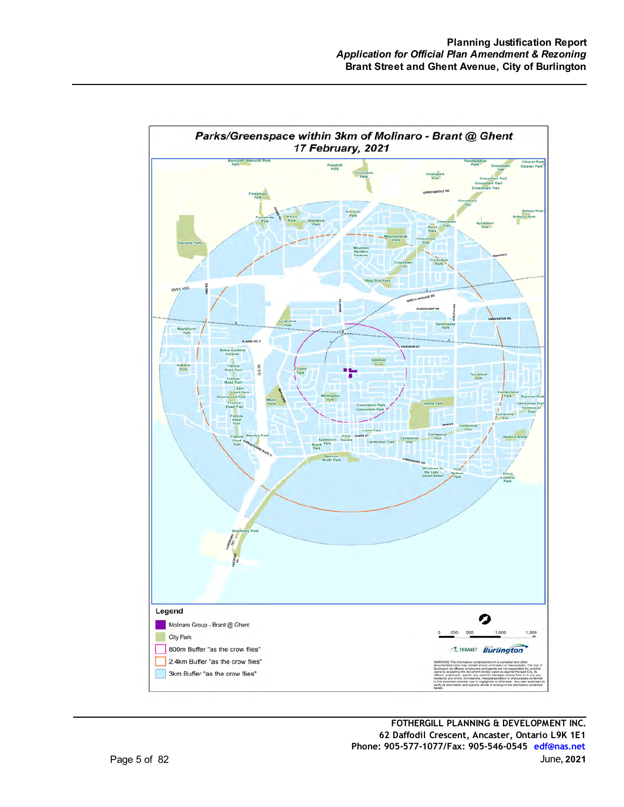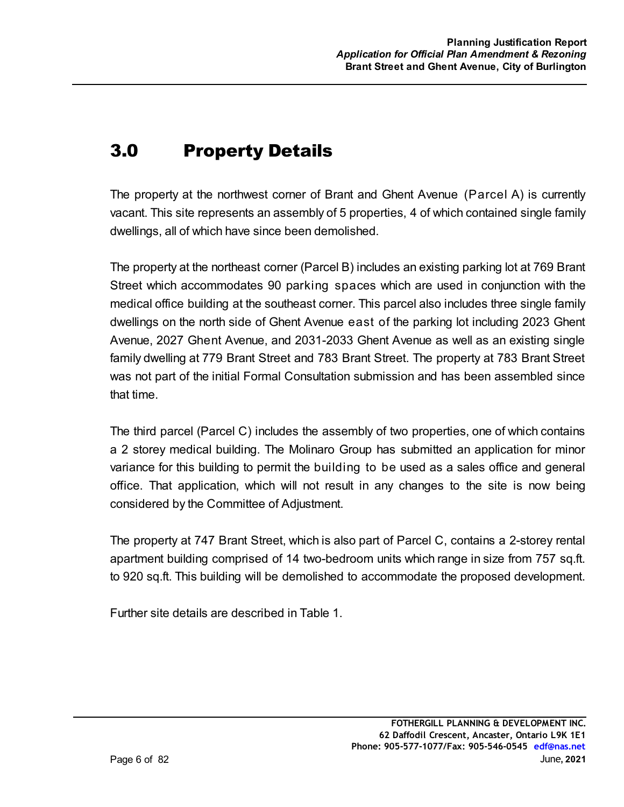# 3.0 Property Details

The property at the northwest corner of Brant and Ghent Avenue (Parcel A) is currently vacant. This site represents an assembly of 5 properties, 4 of which contained single family dwellings, all of which have since been demolished.

The property at the northeast corner (Parcel B) includes an existing parking lot at 769 Brant Street which accommodates 90 parking spaces which are used in conjunction with the medical office building at the southeast corner. This parcel also includes three single family dwellings on the north side of Ghent Avenue east of the parking lot including 2023 Ghent Avenue, 2027 Ghent Avenue, and 2031-2033 Ghent Avenue as well as an existing single family dwelling at 779 Brant Street and 783 Brant Street. The property at 783 Brant Street was not part of the initial Formal Consultation submission and has been assembled since that time.

The third parcel (Parcel C) includes the assembly of two properties, one of which contains a 2 storey medical building. The Molinaro Group has submitted an application for minor variance for this building to permit the building to be used as a sales office and general office. That application, which will not result in any changes to the site is now being considered by the Committee of Adjustment.

The property at 747 Brant Street, which is also part of Parcel C, contains a 2-storey rental apartment building comprised of 14 two-bedroom units which range in size from 757 sq.ft. to 920 sq.ft. This building will be demolished to accommodate the proposed development.

Further site details are described in Table 1.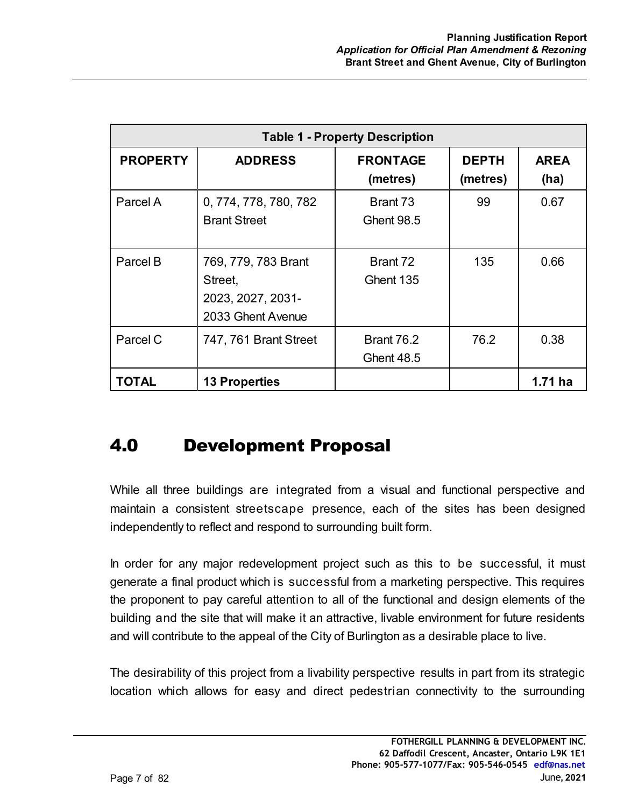| <b>Table 1 - Property Description</b> |                                                                          |                                        |                          |                     |
|---------------------------------------|--------------------------------------------------------------------------|----------------------------------------|--------------------------|---------------------|
| <b>PROPERTY</b>                       | <b>ADDRESS</b>                                                           | <b>FRONTAGE</b><br>(metres)            | <b>DEPTH</b><br>(metres) | <b>AREA</b><br>(ha) |
| Parcel A                              | 0, 774, 778, 780, 782<br><b>Brant Street</b>                             | Brant 73<br><b>Ghent 98.5</b>          | 99                       | 0.67                |
| Parcel B                              | 769, 779, 783 Brant<br>Street,<br>2023, 2027, 2031-<br>2033 Ghent Avenue | Brant 72<br>Ghent 135                  | 135                      | 0.66                |
| Parcel C                              | 747, 761 Brant Street                                                    | <b>Brant 76.2</b><br><b>Ghent 48.5</b> | 76.2                     | 0.38                |
| TOTAL                                 | <b>13 Properties</b>                                                     |                                        |                          | 1.71 ha             |

# 4.0 Development Proposal

While all three buildings are integrated from a visual and functional perspective and maintain a consistent streetscape presence, each of the sites has been designed independently to reflect and respond to surrounding built form.

In order for any major redevelopment project such as this to be successful, it must generate a final product which is successful from a marketing perspective. This requires the proponent to pay careful attention to all of the functional and design elements of the building and the site that will make it an attractive, livable environment for future residents and will contribute to the appeal of the City of Burlington as a desirable place to live.

The desirability of this project from a livability perspective results in part from its strategic location which allows for easy and direct pedestrian connectivity to the surrounding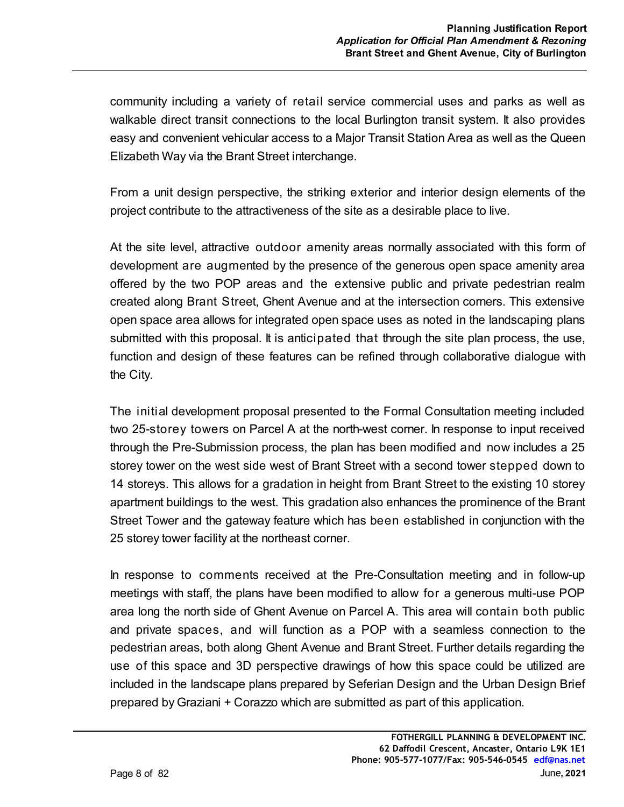community including a variety of retail service commercial uses and parks as well as walkable direct transit connections to the local Burlington transit system. It also provides easy and convenient vehicular access to a Major Transit Station Area as well as the Queen Elizabeth Way via the Brant Street interchange.

From a unit design perspective, the striking exterior and interior design elements of the project contribute to the attractiveness of the site as a desirable place to live.

At the site level, attractive outdoor amenity areas normally associated with this form of development are augmented by the presence of the generous open space amenity area offered by the two POP areas and the extensive public and private pedestrian realm created along Brant Street, Ghent Avenue and at the intersection corners. This extensive open space area allows for integrated open space uses as noted in the landscaping plans submitted with this proposal. It is anticipated that through the site plan process, the use, function and design of these features can be refined through collaborative dialogue with the City.

The initial development proposal presented to the Formal Consultation meeting included two 25-storey towers on Parcel A at the north-west corner. In response to input received through the Pre-Submission process, the plan has been modified and now includes a 25 storey tower on the west side west of Brant Street with a second tower stepped down to 14 storeys. This allows for a gradation in height from Brant Street to the existing 10 storey apartment buildings to the west. This gradation also enhances the prominence of the Brant Street Tower and the gateway feature which has been established in conjunction with the 25 storey tower facility at the northeast corner.

In response to comments received at the Pre-Consultation meeting and in follow-up meetings with staff, the plans have been modified to allow for a generous multi-use POP area long the north side of Ghent Avenue on Parcel A. This area will contain both public and private spaces, and will function as a POP with a seamless connection to the pedestrian areas, both along Ghent Avenue and Brant Street. Further details regarding the use of this space and 3D perspective drawings of how this space could be utilized are included in the landscape plans prepared by Seferian Design and the Urban Design Brief prepared by Graziani + Corazzo which are submitted as part of this application.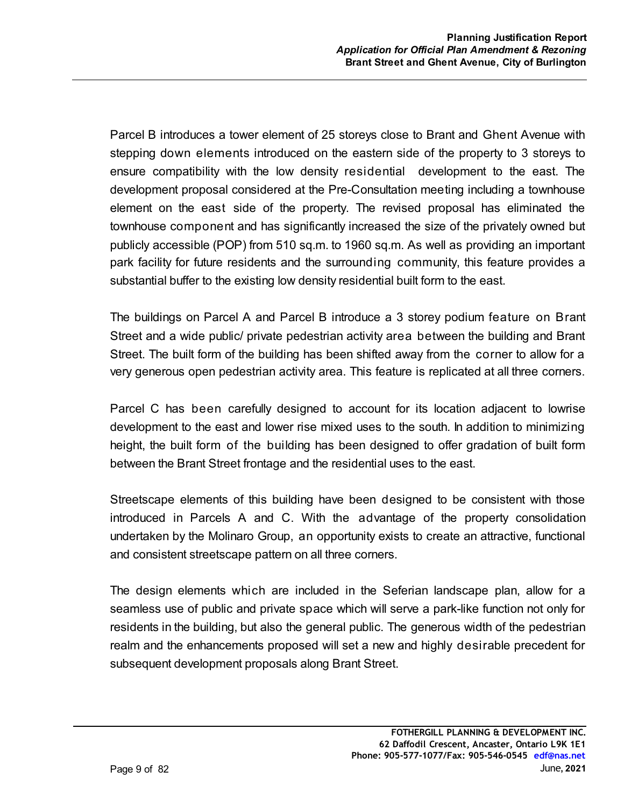Parcel B introduces a tower element of 25 storeys close to Brant and Ghent Avenue with stepping down elements introduced on the eastern side of the property to 3 storeys to ensure compatibility with the low density residential development to the east. The development proposal considered at the Pre-Consultation meeting including a townhouse element on the east side of the property. The revised proposal has eliminated the townhouse component and has significantly increased the size of the privately owned but publicly accessible (POP) from 510 sq.m. to 1960 sq.m. As well as providing an important park facility for future residents and the surrounding community, this feature provides a substantial buffer to the existing low density residential built form to the east.

The buildings on Parcel A and Parcel B introduce a 3 storey podium feature on Brant Street and a wide public/ private pedestrian activity area between the building and Brant Street. The built form of the building has been shifted away from the corner to allow for a very generous open pedestrian activity area. This feature is replicated at all three corners.

Parcel C has been carefully designed to account for its location adjacent to lowrise development to the east and lower rise mixed uses to the south. In addition to minimizing height, the built form of the building has been designed to offer gradation of built form between the Brant Street frontage and the residential uses to the east.

Streetscape elements of this building have been designed to be consistent with those introduced in Parcels A and C. With the advantage of the property consolidation undertaken by the Molinaro Group, an opportunity exists to create an attractive, functional and consistent streetscape pattern on all three corners.

The design elements which are included in the Seferian landscape plan, allow for a seamless use of public and private space which will serve a park-like function not only for residents in the building, but also the general public. The generous width of the pedestrian realm and the enhancements proposed will set a new and highly desirable precedent for subsequent development proposals along Brant Street.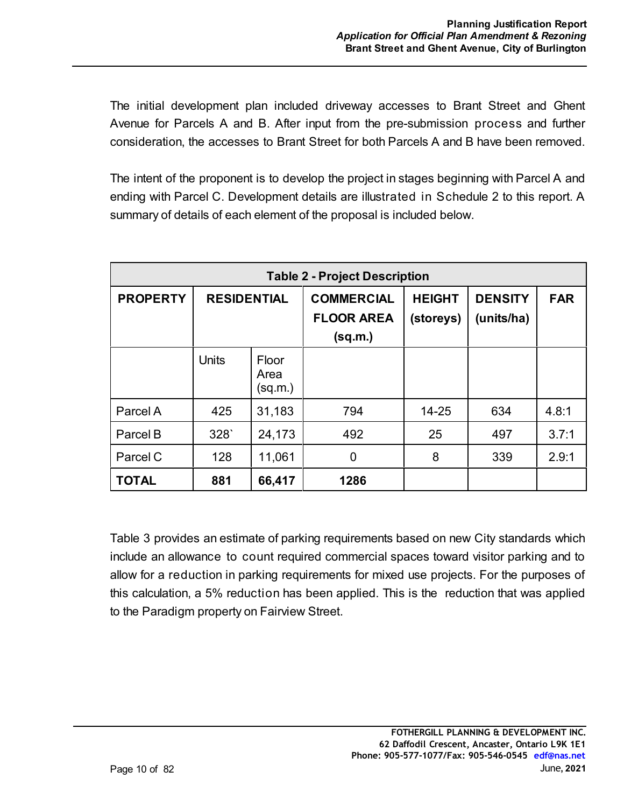The initial development plan included driveway accesses to Brant Street and Ghent Avenue for Parcels A and B. After input from the pre-submission process and further consideration, the accesses to Brant Street for both Parcels A and B have been removed.

The intent of the proponent is to develop the project in stages beginning with Parcel A and ending with Parcel C. Development details are illustrated in Schedule 2 to this report. A summary of details of each element of the proposal is included below.

| <b>Table 2 - Project Description</b> |                    |                          |                                                   |                            |                              |            |
|--------------------------------------|--------------------|--------------------------|---------------------------------------------------|----------------------------|------------------------------|------------|
| <b>PROPERTY</b>                      | <b>RESIDENTIAL</b> |                          | <b>COMMERCIAL</b><br><b>FLOOR AREA</b><br>(sq.m.) | <b>HEIGHT</b><br>(storeys) | <b>DENSITY</b><br>(units/ha) | <b>FAR</b> |
|                                      | <b>Units</b>       | Floor<br>Area<br>(sq.m.) |                                                   |                            |                              |            |
| Parcel A                             | 425                | 31,183                   | 794                                               | $14 - 25$                  | 634                          | 4.8:1      |
| Parcel B                             | 328                | 24,173                   | 492                                               | 25                         | 497                          | 3.7:1      |
| Parcel C                             | 128                | 11,061                   | 0                                                 | 8                          | 339                          | 2.9:1      |
| TOTAL                                | 881                | 66,417                   | 1286                                              |                            |                              |            |

Table 3 provides an estimate of parking requirements based on new City standards which include an allowance to count required commercial spaces toward visitor parking and to allow for a reduction in parking requirements for mixed use projects. For the purposes of this calculation, a 5% reduction has been applied. This is the reduction that was applied to the Paradigm property on Fairview Street.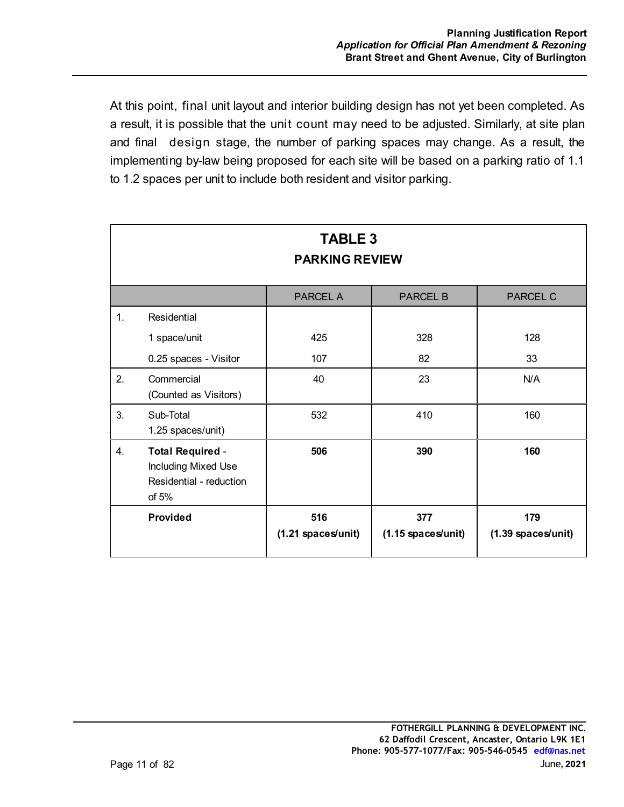At this point, final unit layout and interior building design has not yet been completed. As a result, it is possible that the unit count may need to be adjusted. Similarly, at site plan and final design stage, the number of parking spaces may change. As a result, the implementing by-law being proposed for each site will be based on a parking ratio of 1.1 to 1.2 spaces per unit to include both resident and visitor parking.

| <b>TABLE 3</b><br><b>PARKING REVIEW</b> |                                                                                      |                           |                             |                             |  |
|-----------------------------------------|--------------------------------------------------------------------------------------|---------------------------|-----------------------------|-----------------------------|--|
|                                         |                                                                                      | <b>PARCEL A</b>           | <b>PARCEL B</b>             | <b>PARCEL C</b>             |  |
| $\mathbf{1}$ .                          | Residential                                                                          |                           |                             |                             |  |
|                                         | 1 space/unit                                                                         | 425                       | 328                         | 128                         |  |
|                                         | 0.25 spaces - Visitor                                                                | 107                       | 82                          | 33                          |  |
| 2.                                      | Commercial<br>(Counted as Visitors)                                                  | 40                        | 23                          | N/A                         |  |
| 3.                                      | Sub-Total<br>1.25 spaces/unit)                                                       | 532                       | 410                         | 160                         |  |
| 4.                                      | <b>Total Required -</b><br>Including Mixed Use<br>Residential - reduction<br>of $5%$ | 506                       | 390                         | 160                         |  |
|                                         | <b>Provided</b>                                                                      | 516<br>(1.21 spaces/unit) | 377<br>$(1.15$ spaces/unit) | 179<br>$(1.39$ spaces/unit) |  |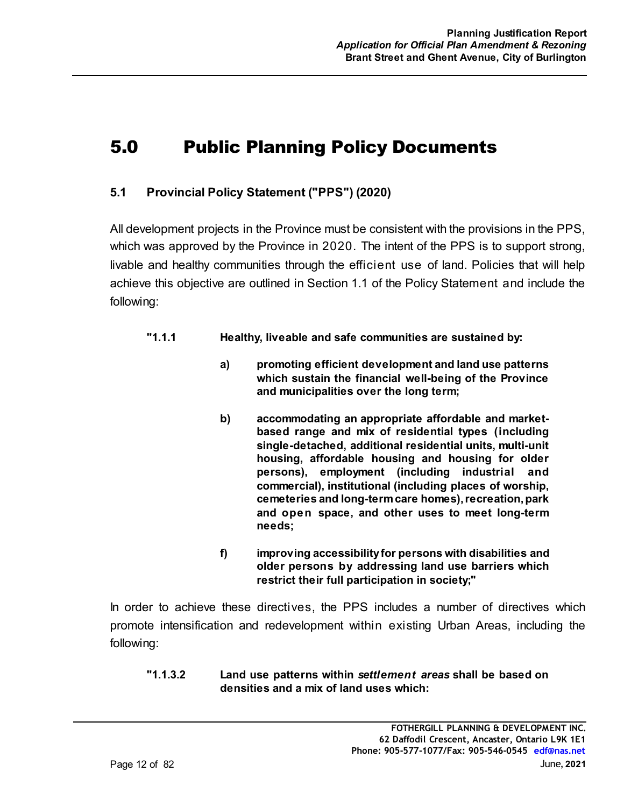# 5.0 Public Planning Policy Documents

# **5.1 Provincial Policy Statement ("PPS") (2020)**

All development projects in the Province must be consistent with the provisions in the PPS, which was approved by the Province in 2020. The intent of the PPS is to support strong, livable and healthy communities through the efficient use of land. Policies that will help achieve this objective are outlined in Section 1.1 of the Policy Statement and include the following:

- **"1.1.1 Healthy, liveable and safe communities are sustained by:**
	- **a) promoting efficient development and land use patterns which sustain the financial well-being of the Province and municipalities over the long term;**
	- **b) accommodating an appropriate affordable and marketbased range and mix of residential types (including single-detached, additional residential units, multi-unit housing, affordable housing and housing for older persons), employment (including industrial and commercial), institutional (including places of worship, cemeteries and long-term care homes), recreation, park and open space, and other uses to meet long-term needs;**
	- **f) improving accessibility for persons with disabilities and older persons by addressing land use barriers which restrict their full participation in society;"**

In order to achieve these directives, the PPS includes a number of directives which promote intensification and redevelopment within existing Urban Areas, including the following:

**"1.1.3.2 Land use patterns within** *settlement areas* **shall be based on densities and a mix of land uses which:**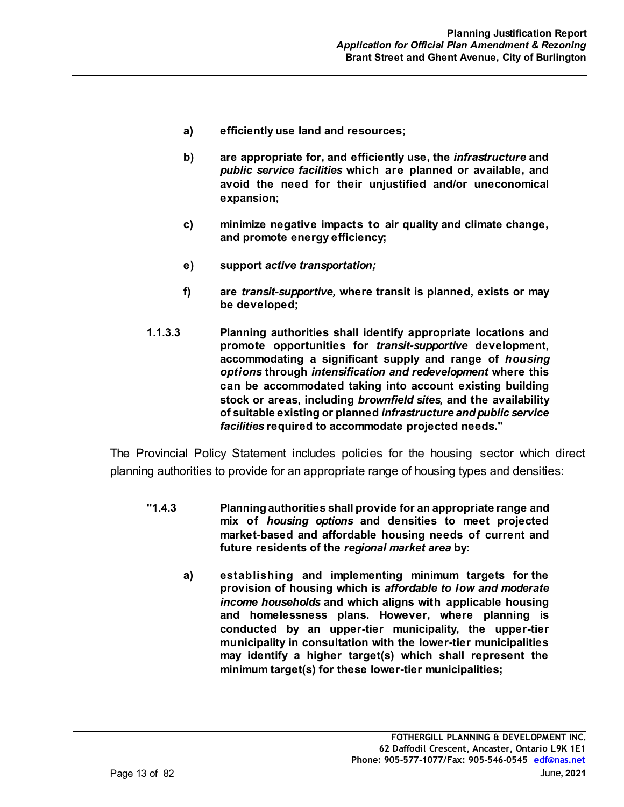- **a) efficiently use land and resources;**
- **b) are appropriate for, and efficiently use, the** *infrastructure* **and** *public service facilities* **which are planned or available, and avoid the need for their unjustified and/or uneconomical expansion;**
- **c) minimize negative impacts to air quality and climate change, and promote energy efficiency;**
- **e) support** *active transportation;*
- **f) are** *transit-supportive,* **where transit is planned, exists or may be developed;**
- **1.1.3.3 Planning authorities shall identify appropriate locations and promote opportunities for** *transit-supportive* **development, accommodating a significant supply and range of** *housing options* **through** *intensification and redevelopment* **where this can be accommodated taking into account existing building stock or areas, including** *brownfield sites,* **and the availability of suitable existing or planned** *infrastructure and public service facilities* **required to accommodate projected needs."**

The Provincial Policy Statement includes policies for the housing sector which direct planning authorities to provide for an appropriate range of housing types and densities:

- **"1.4.3 Planning authorities shall provide for an appropriate range and mix of** *housing options* **and densities to meet projected market-based and affordable housing needs of current and future residents of the** *regional market area* **by:**
	- **a) establishing and implementing minimum targets for the provision of housing which is** *affordable to low and moderate income households* **and which aligns with applicable housing and homelessness plans. However, where planning is conducted by an upper-tier municipality, the upper-tier municipality in consultation with the lower-tier municipalities may identify a higher target(s) which shall represent the minimum target(s) for these lower-tier municipalities;**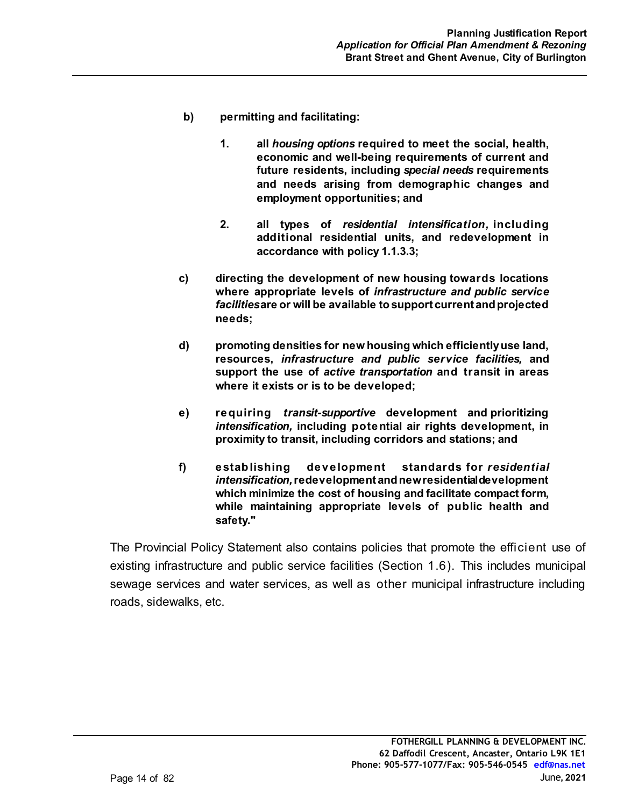- **b) permitting and facilitating:**
	- **1. all** *housing options* **required to meet the social, health, economic and well-being requirements of current and future residents, including** *special needs* **requirements and needs arising from demographic changes and employment opportunities; and**
	- **2. all types of** *residential intensification,* **including additional residential units, and redevelopment in accordance with policy 1.1.3.3;**
- **c) directing the development of new housing towards locations where appropriate levels of** *infrastructure and public service facilities* **are or will be available to support current and projected needs;**
- **d) promoting densities for new housing which efficiently use land, resources,** *infrastructure and public service facilities,* **and support the use of** *active transportation* **and transit in areas where it exists or is to be developed;**
- **e) requiring** *transit-supportive* **development and prioritizing** *intensification,* **including potential air rights development, in proximity to transit, including corridors and stations; and**
- **f) establishing development standards for** *residential intensification,* **redevelopment and new residential development which minimize the cost of housing and facilitate compact form, while maintaining appropriate levels of public health and safety."**

The Provincial Policy Statement also contains policies that promote the efficient use of existing infrastructure and public service facilities (Section 1.6). This includes municipal sewage services and water services, as well as other municipal infrastructure including roads, sidewalks, etc.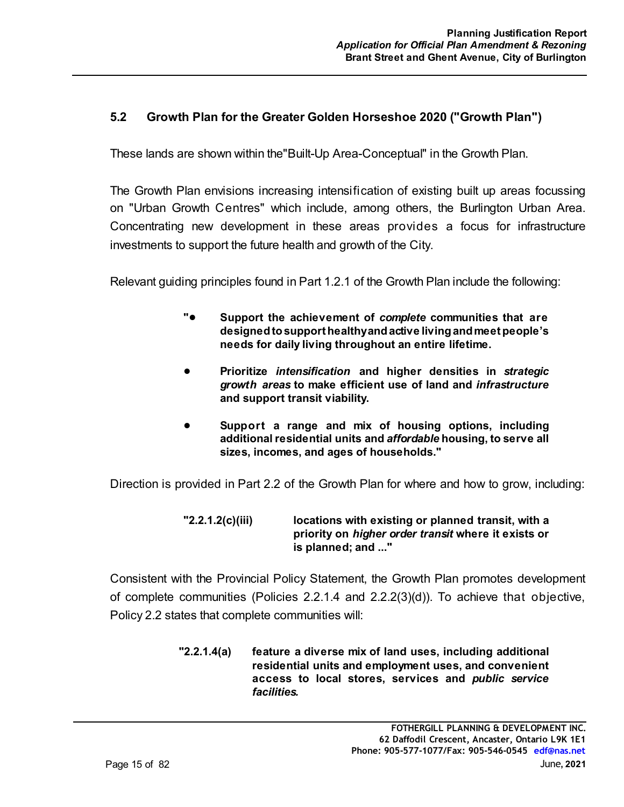## **5.2 Growth Plan for the Greater Golden Horseshoe 2020 ("Growth Plan")**

These lands are shown within the"Built-Up Area-Conceptual" in the Growth Plan.

The Growth Plan envisions increasing intensification of existing built up areas focussing on "Urban Growth Centres" which include, among others, the Burlington Urban Area. Concentrating new development in these areas provides a focus for infrastructure investments to support the future health and growth of the City.

Relevant guiding principles found in Part 1.2.1 of the Growth Plan include the following:

- **"**! **Support the achievement of** *complete* **communities that are designed to support healthy and active living and meet people's needs for daily living throughout an entire lifetime.**
- ! **Prioritize** *intensification* **and higher densities in** *strategic growth areas* **to make efficient use of land and** *infrastructure* **and support transit viability.**
- ! **Support a range and mix of housing options, including additional residential units and** *affordable* **housing, to serve all sizes, incomes, and ages of households."**

Direction is provided in Part 2.2 of the Growth Plan for where and how to grow, including:

**"2.2.1.2(c)(iii) locations with existing or planned transit, with a priority on** *higher order transit* **where it exists or is planned; and ..."**

Consistent with the Provincial Policy Statement, the Growth Plan promotes development of complete communities (Policies 2.2.1.4 and 2.2.2(3)(d)). To achieve that objective, Policy 2.2 states that complete communities will:

> **"2.2.1.4(a) feature a diverse mix of land uses, including additional residential units and employment uses, and convenient access to local stores, services and** *public service facilities.*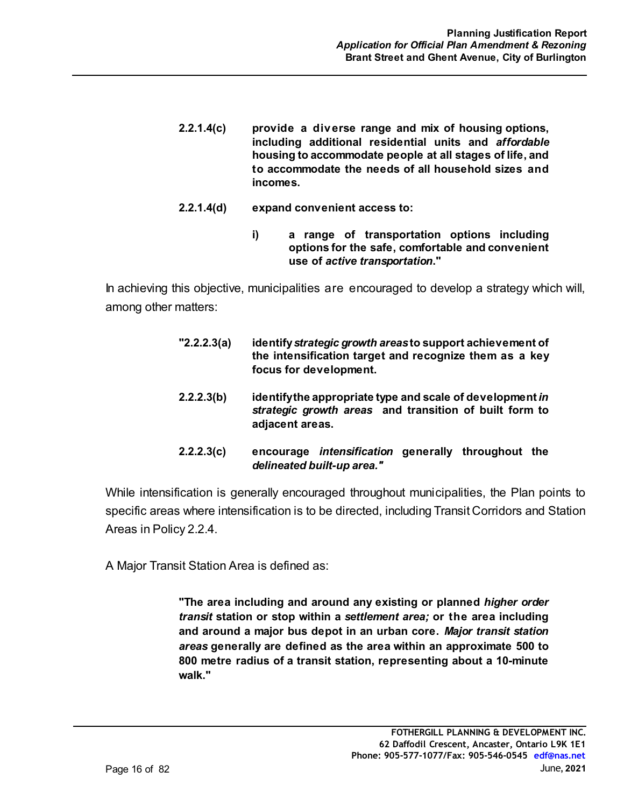- **2.2.1.4(c) provide a diverse range and mix of housing options, including additional residential units and** *affordable* **housing to accommodate people at all stages of life, and to accommodate the needs of all household sizes and incomes.**
- **2.2.1.4(d) expand convenient access to:**
	- **i) a range of transportation options including options for the safe, comfortable and convenient use of** *active transportation***."**

In achieving this objective, municipalities are encouraged to develop a strategy which will, among other matters:

- **"2.2.2.3(a) identify** *strategic growth areas* **to support achievement of the intensification target and recognize them as a key focus for development.**
- **2.2.2.3(b) identify the appropriate type and scale of development** *in strategic growth areas* **and transition of built form to adjacent areas.**
- **2.2.2.3(c) encourage** *intensification* **generally throughout the** *delineated built-up area."*

While intensification is generally encouraged throughout municipalities, the Plan points to specific areas where intensification is to be directed, including Transit Corridors and Station Areas in Policy 2.2.4.

A Major Transit Station Area is defined as:

**"The area including and around any existing or planned** *higher order transit* **station or stop within a** *settlement area;* **or the area including and around a major bus depot in an urban core.** *Major transit station areas* **generally are defined as the area within an approximate 500 to 800 metre radius of a transit station, representing about a 10-minute walk."**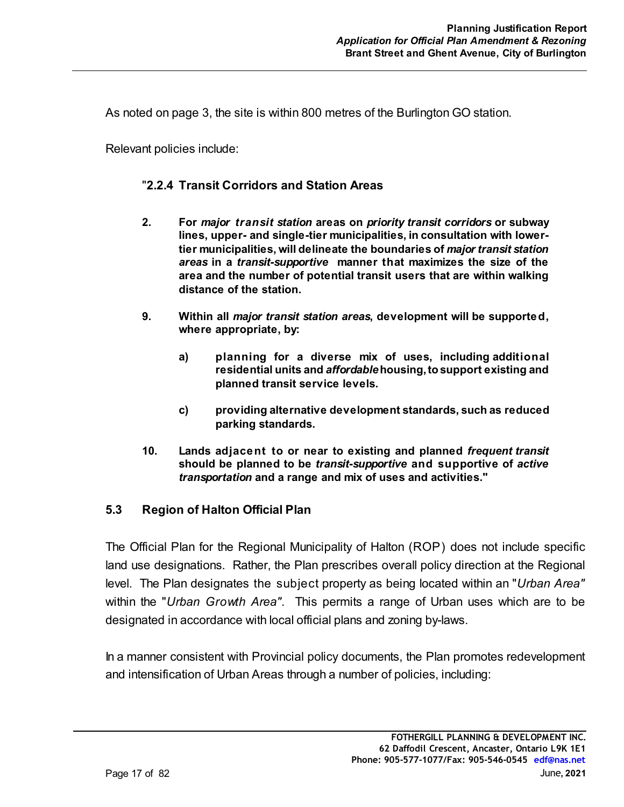As noted on page 3, the site is within 800 metres of the Burlington GO station.

Relevant policies include:

## "**2.2.4 Transit Corridors and Station Areas**

- **2. For** *major transit station* **areas on** *priority transit corridors* **or subway lines, upper- and single-tier municipalities, in consultation with lowertier municipalities, will delineate the boundaries of** *major transit station areas* **in a** *transit-supportive* **manner that maximizes the size of the area and the number of potential transit users that are within walking distance of the station.**
- **9. Within all** *major transit station areas***, development will be supported, where appropriate, by:**
	- **a) planning for a diverse mix of uses, including additional residential units and** *affordable* **housing, to support existing and planned transit service levels.**
	- **c) providing alternative development standards, such as reduced parking standards.**
- **10. Lands adjacent to or near to existing and planned** *frequent transit* **should be planned to be** *transit-supportive* **and supportive of** *active transportation* **and a range and mix of uses and activities."**

## **5.3 Region of Halton Official Plan**

The Official Plan for the Regional Municipality of Halton (ROP) does not include specific land use designations. Rather, the Plan prescribes overall policy direction at the Regional level. The Plan designates the subject property as being located within an "*Urban Area"* within the "*Urban Growth Area"*. This permits a range of Urban uses which are to be designated in accordance with local official plans and zoning by-laws.

In a manner consistent with Provincial policy documents, the Plan promotes redevelopment and intensification of Urban Areas through a number of policies, including: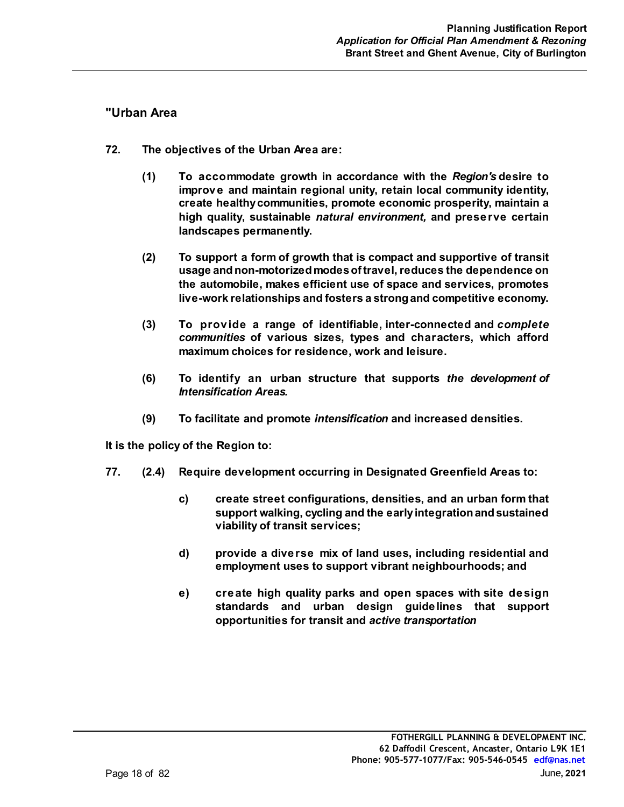#### **"Urban Area**

- **72. The objectives of the Urban Area are:**
	- **(1) To accommodate growth in accordance with the** *Region's* **desire to improve and maintain regional unity, retain local community identity, create healthy communities, promote economic prosperity, maintain a high quality, sustainable** *natural environment,* **and preserve certain landscapes permanently.**
	- **(2) To support a form of growth that is compact and supportive of transit usage and non-motorized modes of travel, reduces the dependence on the automobile, makes efficient use of space and services, promotes live-work relationships and fosters a strong and competitive economy.**
	- **(3) To provide a range of identifiable, inter-connected and** *complete communities* **of various sizes, types and characters, which afford maximum choices for residence, work and leisure.**
	- **(6) To identify an urban structure that supports** *the development of Intensification Areas.*
	- **(9) To facilitate and promote** *intensification* **and increased densities.**

**It is the policy of the Region to:**

- **77. (2.4) Require development occurring in Designated Greenfield Areas to:**
	- **c) create street configurations, densities, and an urban form that support walking, cycling and the early integration and sustained viability of transit services;**
	- **d) provide a diverse mix of land uses, including residential and employment uses to support vibrant neighbourhoods; and**
	- **e) create high quality parks and open spaces with site design standards and urban design guidelines that support opportunities for transit and** *active transportation*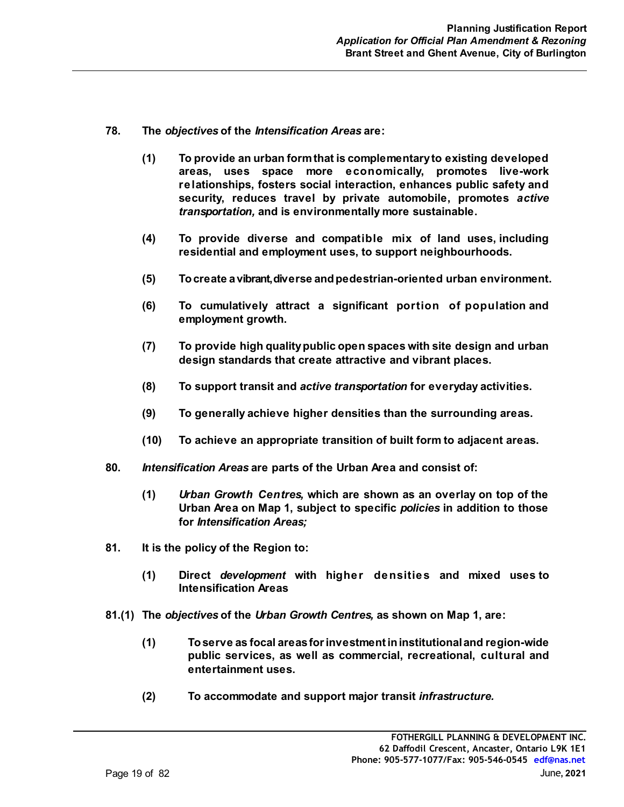- **78. The** *objectives* **of the** *Intensification Areas* **are:**
	- **(1) To provide an urban form that is complementary to existing developed areas, uses space more economically, promotes live-work relationships, fosters social interaction, enhances public safety and security, reduces travel by private automobile, promotes** *active transportation,* **and is environmentally more sustainable.**
	- **(4) To provide diverse and compatible mix of land uses, including residential and employment uses, to support neighbourhoods.**
	- **(5) To create a vibrant, diverse and pedestrian-oriented urban environment.**
	- **(6) To cumulatively attract a significant portion of population and employment growth.**
	- **(7) To provide high quality public open spaces with site design and urban design standards that create attractive and vibrant places.**
	- **(8) To support transit and** *active transportation* **for everyday activities.**
	- **(9) To generally achieve higher densities than the surrounding areas.**
	- **(10) To achieve an appropriate transition of built form to adjacent areas.**
- **80.** *Intensification Areas* **are parts of the Urban Area and consist of:**
	- **(1)** *Urban Growth Centres,* **which are shown as an overlay on top of the Urban Area on Map 1, subject to specific** *policies* **in addition to those for** *Intensification Areas;*
- **81. It is the policy of the Region to:**
	- **(1) Direct** *development* **with higher densities and mixed uses to Intensification Areas**
- **81.(1) The** *objectives* **of the** *Urban Growth Centres,* **as shown on Map 1, are:**
	- **(1) To serve as focal areas for investment in institutional and region-wide public services, as well as commercial, recreational, cultural and entertainment uses.**
	- **(2) To accommodate and support major transit** *infrastructure.*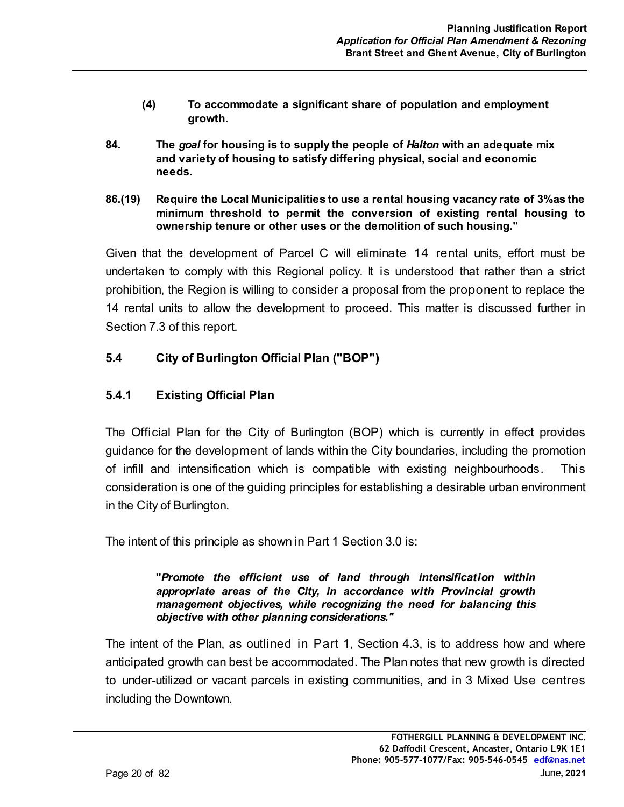- **(4) To accommodate a significant share of population and employment growth.**
- **84. The** *goal* **for housing is to supply the people of** *Halton* **with an adequate mix and variety of housing to satisfy differing physical, social and economic needs.**
- **86.(19) Require the Local Municipalities to use a rental housing vacancy rate of 3% as the minimum threshold to permit the conversion of existing rental housing to ownership tenure or other uses or the demolition of such housing."**

Given that the development of Parcel C will eliminate 14 rental units, effort must be undertaken to comply with this Regional policy. It is understood that rather than a strict prohibition, the Region is willing to consider a proposal from the proponent to replace the 14 rental units to allow the development to proceed. This matter is discussed further in Section 7.3 of this report.

## **5.4 City of Burlington Official Plan ("BOP")**

## **5.4.1 Existing Official Plan**

The Official Plan for the City of Burlington (BOP) which is currently in effect provides guidance for the development of lands within the City boundaries, including the promotion of infill and intensification which is compatible with existing neighbourhoods. This consideration is one of the guiding principles for establishing a desirable urban environment in the City of Burlington.

The intent of this principle as shown in Part 1 Section 3.0 is:

**"***Promote the efficient use of land through intensification within appropriate areas of the City, in accordance with Provincial growth management objectives, while recognizing the need for balancing this objective with other planning considerations."*

The intent of the Plan, as outlined in Part 1, Section 4.3, is to address how and where anticipated growth can best be accommodated. The Plan notes that new growth is directed to under-utilized or vacant parcels in existing communities, and in 3 Mixed Use centres including the Downtown.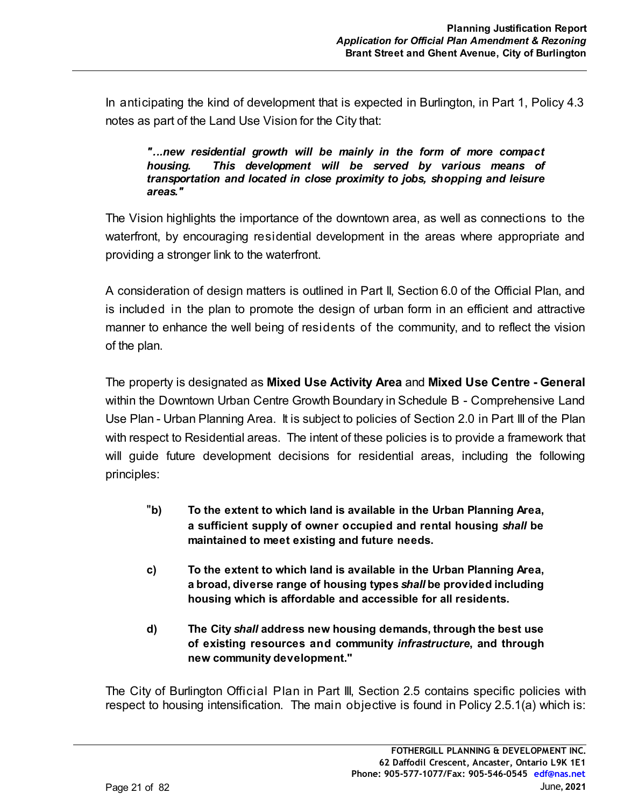In anticipating the kind of development that is expected in Burlington, in Part 1, Policy 4.3 notes as part of the Land Use Vision for the City that:

*"...new residential growth will be mainly in the form of more compact housing. This development will be served by various means of transportation and located in close proximity to jobs, shopping and leisure areas."*

The Vision highlights the importance of the downtown area, as well as connections to the waterfront, by encouraging residential development in the areas where appropriate and providing a stronger link to the waterfront.

A consideration of design matters is outlined in Part II, Section 6.0 of the Official Plan, and is included in the plan to promote the design of urban form in an efficient and attractive manner to enhance the well being of residents of the community, and to reflect the vision of the plan.

The property is designated as **Mixed Use Activity Area** and **Mixed Use Centre - General**  within the Downtown Urban Centre Growth Boundary in Schedule B - Comprehensive Land Use Plan - Urban Planning Area. It is subject to policies of Section 2.0 in Part III of the Plan with respect to Residential areas. The intent of these policies is to provide a framework that will guide future development decisions for residential areas, including the following principles:

- "**b) To the extent to which land is available in the Urban Planning Area, a sufficient supply of owner occupied and rental housing** *shall* **be maintained to meet existing and future needs.**
- **c) To the extent to which land is available in the Urban Planning Area, a broad, diverse range of housing types** *shall* **be provided including housing which is affordable and accessible for all residents.**
- **d) The City** *shall* **address new housing demands, through the best use of existing resources and community** *infrastructure***, and through new community development."**

The City of Burlington Official Plan in Part III, Section 2.5 contains specific policies with respect to housing intensification. The main objective is found in Policy 2.5.1(a) which is: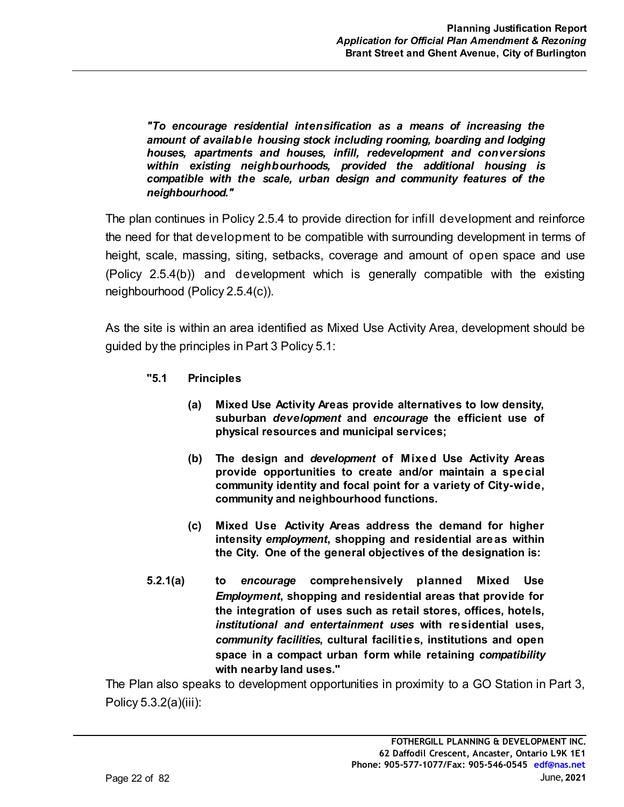*"To encourage residential intensification as a means of increasing the amount of available housing stock including rooming, boarding and lodging houses, apartments and houses, infill, redevelopment and conversions within existing neighbourhoods, provided the additional housing is compatible with the scale, urban design and community features of the neighbourhood."*

The plan continues in Policy 2.5.4 to provide direction for infill development and reinforce the need for that development to be compatible with surrounding development in terms of height, scale, massing, siting, setbacks, coverage and amount of open space and use (Policy 2.5.4(b)) and development which is generally compatible with the existing neighbourhood (Policy 2.5.4(c)).

As the site is within an area identified as Mixed Use Activity Area, development should be guided by the principles in Part 3 Policy 5.1:

- **"5.1 Principles**
	- **(a) Mixed Use Activity Areas provide alternatives to low density, suburban** *development* **and** *encourage* **the efficient use of physical resources and municipal services;**
	- **(b) The design and** *development* **of Mixed Use Activity Areas provide opportunities to create and/or maintain a special community identity and focal point for a variety of City-wide, community and neighbourhood functions.**
	- **(c) Mixed Use Activity Areas address the demand for higher intensity** *employment***, shopping and residential areas within the City. One of the general objectives of the designation is:**
- **5.2.1(a) to** *encourage* **comprehensively planned Mixed Use** *Employment***, shopping and residential areas that provide for the integration of uses such as retail stores, offices, hotels,** *institutional and entertainment uses* **with residential uses,** *community facilities***, cultural facilities, institutions and open space in a compact urban form while retaining** *compatibility* **with nearby land uses."**

The Plan also speaks to development opportunities in proximity to a GO Station in Part 3, Policy 5.3.2(a)(iii):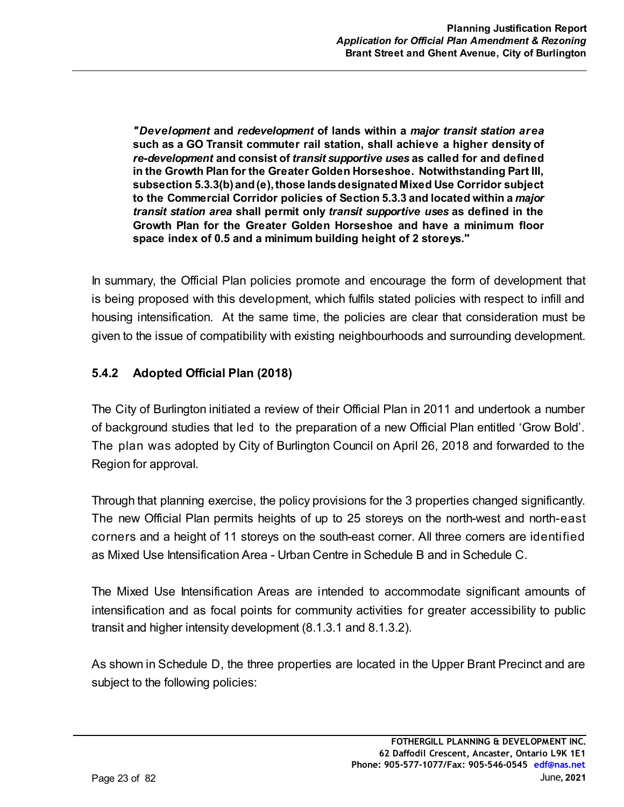*"Development* **and** *redevelopment* **of lands within a** *major transit station area* **such as a GO Transit commuter rail station, shall achieve a higher density of** *re-development* **and consist of** *transit supportive uses* **as called for and defined in the Growth Plan for the Greater Golden Horseshoe. Notwithstanding Part III, subsection 5.3.3(b) and (e), those lands designated Mixed Use Corridor subject to the Commercial Corridor policies of Section 5.3.3 and located within a** *major transit station area* **shall permit only** *transit supportive uses* **as defined in the Growth Plan for the Greater Golden Horseshoe and have a minimum floor space index of 0.5 and a minimum building height of 2 storeys."**

In summary, the Official Plan policies promote and encourage the form of development that is being proposed with this development, which fulfils stated policies with respect to infill and housing intensification. At the same time, the policies are clear that consideration must be given to the issue of compatibility with existing neighbourhoods and surrounding development.

# **5.4.2 Adopted Official Plan (2018)**

The City of Burlington initiated a review of their Official Plan in 2011 and undertook a number of background studies that led to the preparation of a new Official Plan entitled 'Grow Bold'. The plan was adopted by City of Burlington Council on April 26, 2018 and forwarded to the Region for approval.

Through that planning exercise, the policy provisions for the 3 properties changed significantly. The new Official Plan permits heights of up to 25 storeys on the north-west and north-east corners and a height of 11 storeys on the south-east corner. All three corners are identified as Mixed Use Intensification Area - Urban Centre in Schedule B and in Schedule C.

The Mixed Use Intensification Areas are intended to accommodate significant amounts of intensification and as focal points for community activities for greater accessibility to public transit and higher intensity development (8.1.3.1 and 8.1.3.2).

As shown in Schedule D, the three properties are located in the Upper Brant Precinct and are subject to the following policies: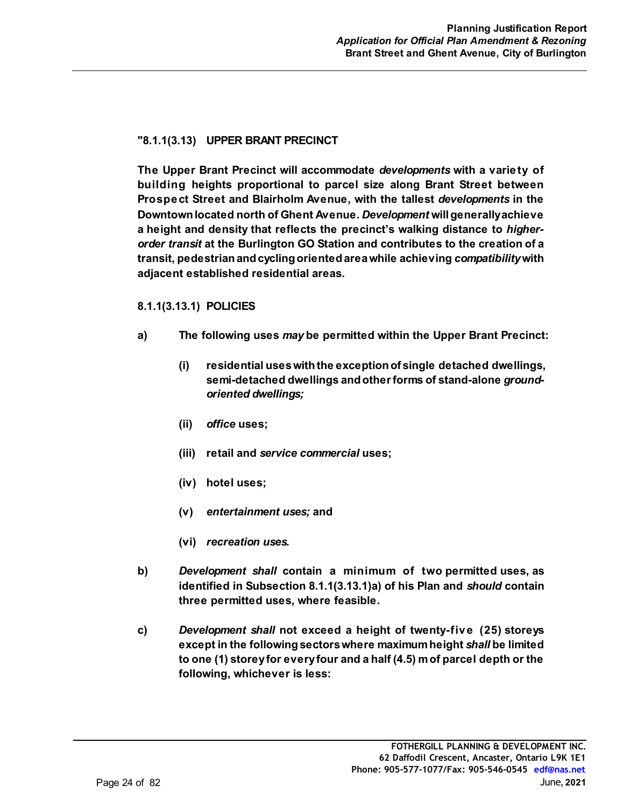#### **"8.1.1(3.13) UPPER BRANT PRECINCT**

**The Upper Brant Precinct will accommodate** *developments* **with a variety of building heights proportional to parcel size along Brant Street between Prospect Street and Blairholm Avenue, with the tallest** *developments* **in the Downtown located north of Ghent Avenue.** *Development* **will generally achieve a height and density that reflects the precinct's walking distance to** *higherorder transit* **at the Burlington GO Station and contributes to the creation of a transit, pedestrian and cycling oriented area while achieving** *compatibility* **with adjacent established residential areas.** 

#### **8.1.1(3.13.1) POLICIES**

- **a) The following uses** *may* **be permitted within the Upper Brant Precinct:**
	- **(i) residential uses with the exception of single detached dwellings, semi-detached dwellings and other forms of stand-alone** *groundoriented dwellings;*
	- **(ii)** *office* **uses;**
	- **(iii) retail and** *service commercial* **uses;**
	- **(iv) hotel uses;**
	- **(v)** *entertainment uses;* **and**
	- **(vi)** *recreation uses.*
- **b)** *Development shall* **contain a minimum of two permitted uses, as identified in Subsection 8.1.1(3.13.1)a) of his Plan and** *should* **contain three permitted uses, where feasible.**
- **c)** *Development shall* **not exceed a height of twenty-five (25) storeys except in the following sectors where maximum height** *shall* **be limited to one (1) storey for every four and a half (4.5) m of parcel depth or the following, whichever is less:**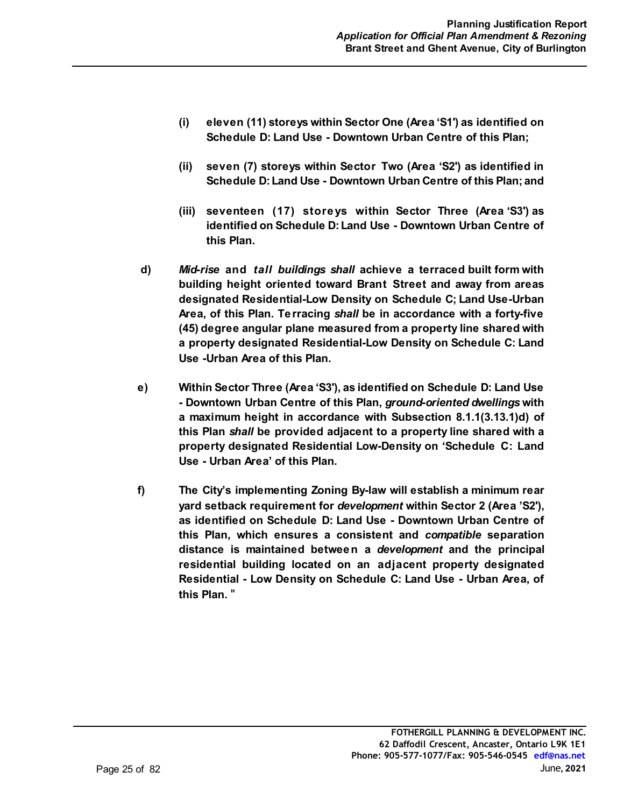- **(i) eleven (11) storeys within Sector One (Area 'S1') as identified on Schedule D: Land Use - Downtown Urban Centre of this Plan;**
- **(ii) seven (7) storeys within Sector Two (Area 'S2') as identified in Schedule D: Land Use - Downtown Urban Centre of this Plan; and**
- **(iii) seventeen (17) storeys within Sector Three (Area 'S3') as identified on Schedule D: Land Use - Downtown Urban Centre of this Plan.**
- **d)** *Mid-rise* **and** *tall buildings shall* **achieve a terraced built form with building height oriented toward Brant Street and away from areas designated Residential-Low Density on Schedule C; Land Use-Urban Area, of this Plan. Terracing** *shall* **be in accordance with a forty-five (45) degree angular plane measured from a property line shared with a property designated Residential-Low Density on Schedule C: Land Use -Urban Area of this Plan.**
- **e) Within Sector Three (Area 'S3'), as identified on Schedule D: Land Use - Downtown Urban Centre of this Plan,** *ground-oriented dwellings* **with a maximum height in accordance with Subsection 8.1.1(3.13.1)d) of this Plan** *shall* **be provided adjacent to a property line shared with a property designated Residential Low-Density on 'Schedule C: Land Use - Urban Area' of this Plan.**
- **f) The City's implementing Zoning By-law will establish a minimum rear yard setback requirement for** *development* **within Sector 2 (Area 'S2'), as identified on Schedule D: Land Use - Downtown Urban Centre of this Plan, which ensures a consistent and** *compatible* **separation distance is maintained between a** *development* **and the principal residential building located on an adjacent property designated Residential - Low Density on Schedule C: Land Use - Urban Area, of this Plan.** "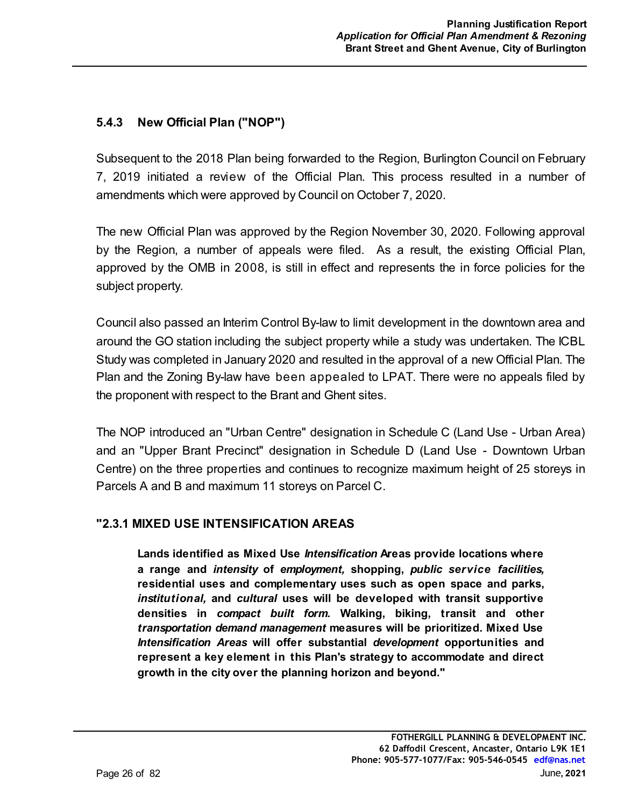## **5.4.3 New Official Plan ("NOP")**

Subsequent to the 2018 Plan being forwarded to the Region, Burlington Council on February 7, 2019 initiated a review of the Official Plan. This process resulted in a number of amendments which were approved by Council on October 7, 2020.

The new Official Plan was approved by the Region November 30, 2020. Following approval by the Region, a number of appeals were filed. As a result, the existing Official Plan, approved by the OMB in 2008, is still in effect and represents the in force policies for the subject property.

Council also passed an Interim Control By-law to limit development in the downtown area and around the GO station including the subject property while a study was undertaken. The ICBL Study was completed in January 2020 and resulted in the approval of a new Official Plan. The Plan and the Zoning By-law have been appealed to LPAT. There were no appeals filed by the proponent with respect to the Brant and Ghent sites.

The NOP introduced an "Urban Centre" designation in Schedule C (Land Use - Urban Area) and an "Upper Brant Precinct" designation in Schedule D (Land Use - Downtown Urban Centre) on the three properties and continues to recognize maximum height of 25 storeys in Parcels A and B and maximum 11 storeys on Parcel C.

## **"2.3.1 MIXED USE INTENSIFICATION AREAS**

**Lands identified as Mixed Use** *Intensification* **Areas provide locations where a range and** *intensity* **of** *employment,* **shopping,** *public service facilities,* **residential uses and complementary uses such as open space and parks,** *institutional,* **and** *cultural* **uses will be developed with transit supportive densities in** *compact built form.* **Walking, biking, transit and other** *transportation demand management* **measures will be prioritized. Mixed Use** *Intensification Areas* **will offer substantial** *development* **opportunities and represent a key element in this Plan's strategy to accommodate and direct growth in the city over the planning horizon and beyond."**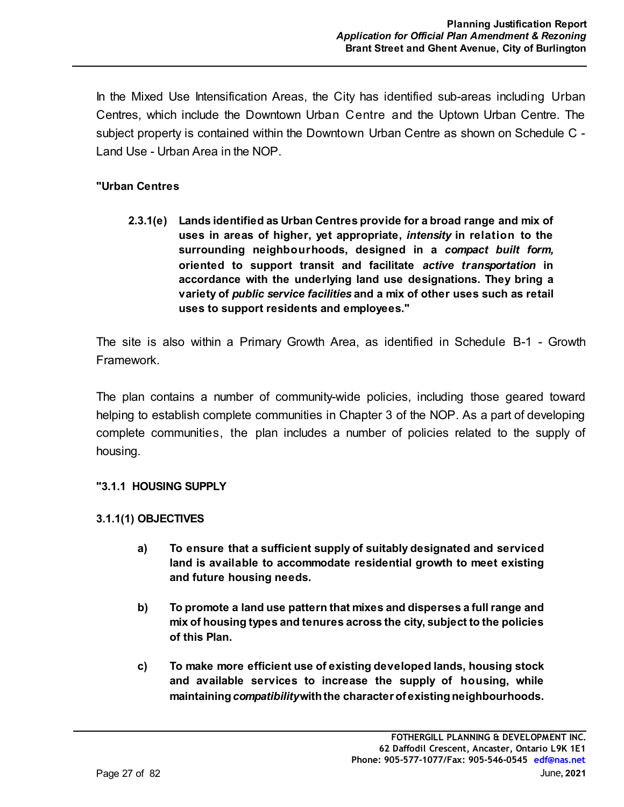In the Mixed Use Intensification Areas, the City has identified sub-areas including Urban Centres, which include the Downtown Urban Centre and the Uptown Urban Centre. The subject property is contained within the Downtown Urban Centre as shown on Schedule C - Land Use - Urban Area in the NOP.

#### **"Urban Centres**

**2.3.1(e) Lands identified as Urban Centres provide for a broad range and mix of uses in areas of higher, yet appropriate,** *intensity* **in relation to the surrounding neighbourhoods, designed in a** *compact built form,* **oriented to support transit and facilitate** *active transportation* **in accordance with the underlying land use designations. They bring a variety of** *public service facilities* **and a mix of other uses such as retail uses to support residents and employees."**

The site is also within a Primary Growth Area, as identified in Schedule B-1 - Growth Framework.

The plan contains a number of community-wide policies, including those geared toward helping to establish complete communities in Chapter 3 of the NOP. As a part of developing complete communities, the plan includes a number of policies related to the supply of housing.

#### **"3.1.1 HOUSING SUPPLY**

#### **3.1.1(1) OBJECTIVES**

- **a) To ensure that a sufficient supply of suitably designated and serviced land is available to accommodate residential growth to meet existing and future housing needs.**
- **b) To promote a land use pattern that mixes and disperses a full range and mix of housing types and tenures across the city, subject to the policies of this Plan.**
- **c) To make more efficient use of existing developed lands, housing stock and available services to increase the supply of housing, while maintaining** *compatibility* **with the character of existing neighbourhoods.**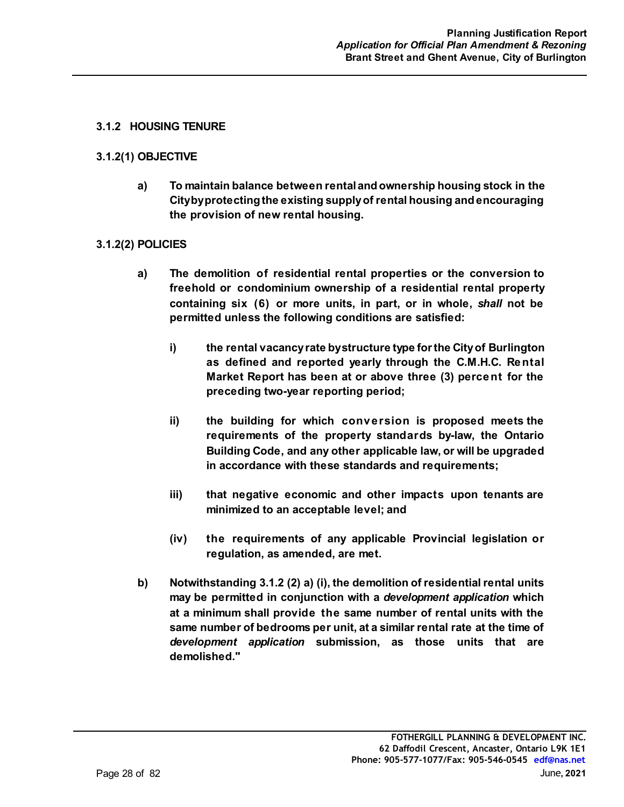#### **3.1.2 HOUSING TENURE**

#### **3.1.2(1) OBJECTIVE**

**a) To maintain balance between rental and ownership housing stock in the City by protecting the existing supply of rental housing and encouraging the provision of new rental housing.** 

#### **3.1.2(2) POLICIES**

- **a) The demolition of residential rental properties or the conversion to freehold or condominium ownership of a residential rental property containing six (6) or more units, in part, or in whole,** *shall* **not be permitted unless the following conditions are satisfied:**
	- **i) the rental vacancy rate by structure type for the City of Burlington as defined and reported yearly through the C.M.H.C. Rental Market Report has been at or above three (3) percent for the preceding two-year reporting period;**
	- **ii) the building for which conversion is proposed meets the requirements of the property standards by-law, the Ontario Building Code, and any other applicable law, or will be upgraded in accordance with these standards and requirements;**
	- **iii) that negative economic and other impacts upon tenants are minimized to an acceptable level; and**
	- **(iv) the requirements of any applicable Provincial legislation or regulation, as amended, are met.**
- **b) Notwithstanding 3.1.2 (2) a) (i), the demolition of residential rental units may be permitted in conjunction with a** *development application* **which at a minimum shall provide the same number of rental units with the same number of bedrooms per unit, at a similar rental rate at the time of** *development application* **submission, as those units that are demolished."**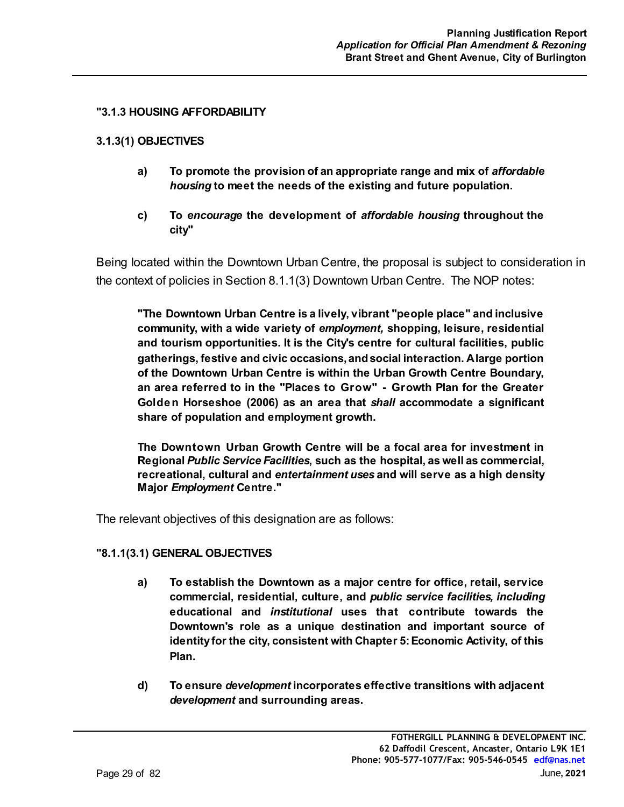#### **"3.1.3 HOUSING AFFORDABILITY**

#### **3.1.3(1) OBJECTIVES**

- **a) To promote the provision of an appropriate range and mix of** *affordable housing* **to meet the needs of the existing and future population.**
- **c) To** *encourage* **the development of** *affordable housing* **throughout the city"**

Being located within the Downtown Urban Centre, the proposal is subject to consideration in the context of policies in Section 8.1.1(3) Downtown Urban Centre. The NOP notes:

**"The Downtown Urban Centre is a lively, vibrant "people place" and inclusive community, with a wide variety of** *employment,* **shopping, leisure, residential and tourism opportunities. It is the City's centre for cultural facilities, public gatherings, festive and civic occasions, and social interaction. A large portion of the Downtown Urban Centre is within the Urban Growth Centre Boundary, an area referred to in the "Places to Grow" - Growth Plan for the Greater Golden Horseshoe (2006) as an area that** *shall* **accommodate a significant share of population and employment growth.**

**The Downtown Urban Growth Centre will be a focal area for investment in Regional** *Public Service Facilities***, such as the hospital, as well as commercial, recreational, cultural and** *entertainment uses* **and will serve as a high density Major** *Employment* **Centre."** 

The relevant objectives of this designation are as follows:

#### **"8.1.1(3.1) GENERAL OBJECTIVES**

- **a) To establish the Downtown as a major centre for office, retail, service commercial, residential, culture, and** *public service facilities, including* **educational and** *institutional* **uses that contribute towards the Downtown's role as a unique destination and important source of identity for the city, consistent with Chapter 5: Economic Activity, of this Plan.**
- **d) To ensure** *development* **incorporates effective transitions with adjacent** *development* **and surrounding areas.**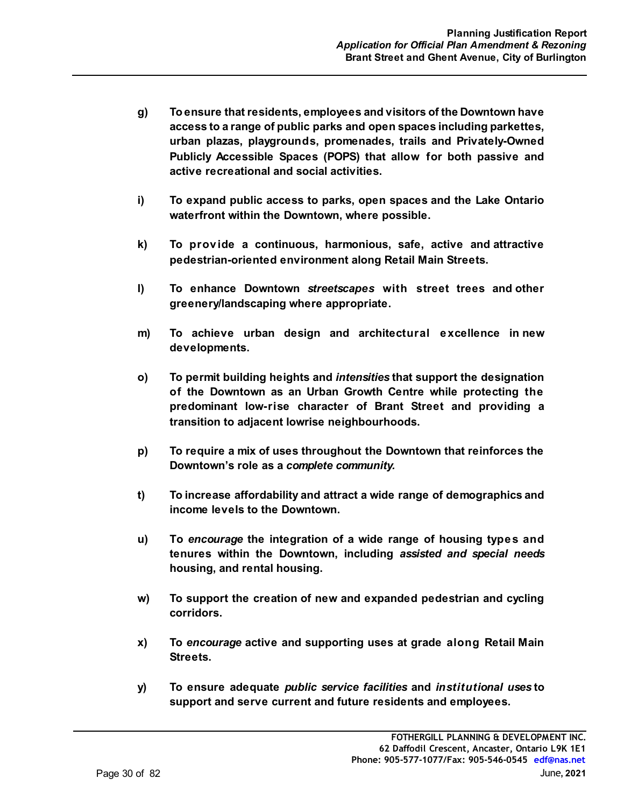- **g) To ensure that residents, employees and visitors of the Downtown have access to a range of public parks and open spaces including parkettes, urban plazas, playgrounds, promenades, trails and Privately-Owned Publicly Accessible Spaces (POPS) that allow for both passive and active recreational and social activities.**
- **i) To expand public access to parks, open spaces and the Lake Ontario waterfront within the Downtown, where possible.**
- **k) To provide a continuous, harmonious, safe, active and attractive pedestrian-oriented environment along Retail Main Streets.**
- **l) To enhance Downtown** *streetscapes* **with street trees and other greenery/landscaping where appropriate.**
- **m) To achieve urban design and architectural excellence in new developments.**
- **o) To permit building heights and** *intensities* **that support the designation of the Downtown as an Urban Growth Centre while protecting the predominant low-rise character of Brant Street and providing a transition to adjacent lowrise neighbourhoods.**
- **p) To require a mix of uses throughout the Downtown that reinforces the Downtown's role as a** *complete community.*
- **t) To increase affordability and attract a wide range of demographics and income levels to the Downtown.**
- **u) To** *encourage* **the integration of a wide range of housing types and tenures within the Downtown, including** *assisted and special needs* **housing, and rental housing.**
- **w) To support the creation of new and expanded pedestrian and cycling corridors.**
- **x) To** *encourage* **active and supporting uses at grade along Retail Main Streets.**
- **y) To ensure adequate** *public service facilities* **and** *institutional uses* **to support and serve current and future residents and employees.**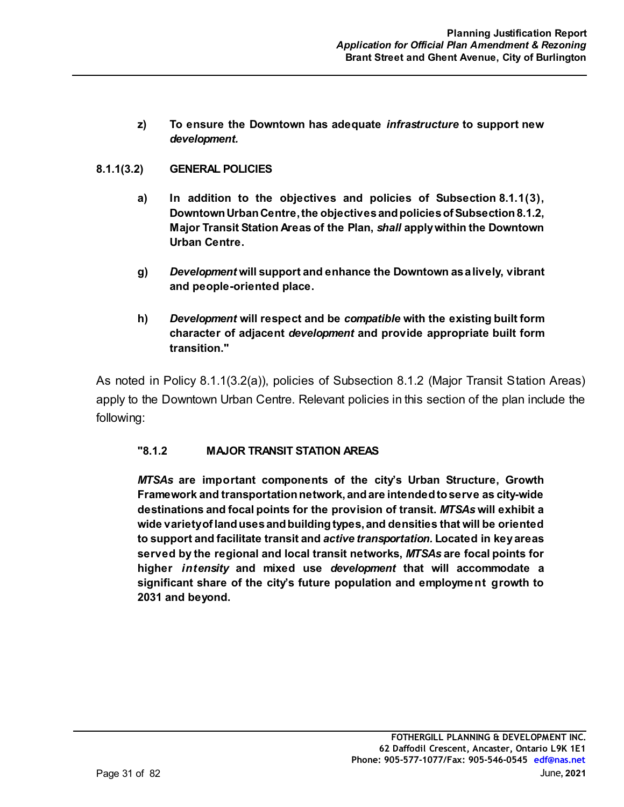**z) To ensure the Downtown has adequate** *infrastructure* **to support new** *development.*

#### **8.1.1(3.2) GENERAL POLICIES**

- **a) In addition to the objectives and policies of Subsection 8.1.1(3), Downtown Urban Centre, the objectives and policies of Subsection 8.1.2, Major Transit Station Areas of the Plan,** *shall* **apply within the Downtown Urban Centre.**
- **g)** *Development* **will support and enhance the Downtown as a lively, vibrant and people-oriented place.**
- **h)** *Development* **will respect and be** *compatible* **with the existing built form character of adjacent** *development* **and provide appropriate built form transition."**

As noted in Policy 8.1.1(3.2(a)), policies of Subsection 8.1.2 (Major Transit Station Areas) apply to the Downtown Urban Centre. Relevant policies in this section of the plan include the following:

#### **"8.1.2 MAJOR TRANSIT STATION AREAS**

*MTSAs* **are important components of the city's Urban Structure, Growth Framework and transportation network, and are intended to serve as city-wide destinations and focal points for the provision of transit.** *MTSAs* **will exhibit a wide variety of land uses and building types, and densities that will be oriented to support and facilitate transit and** *active transportation.* **Located in key areas served by the regional and local transit networks,** *MTSAs* **are focal points for higher** *intensity* **and mixed use** *development* **that will accommodate a significant share of the city's future population and employment growth to 2031 and beyond.**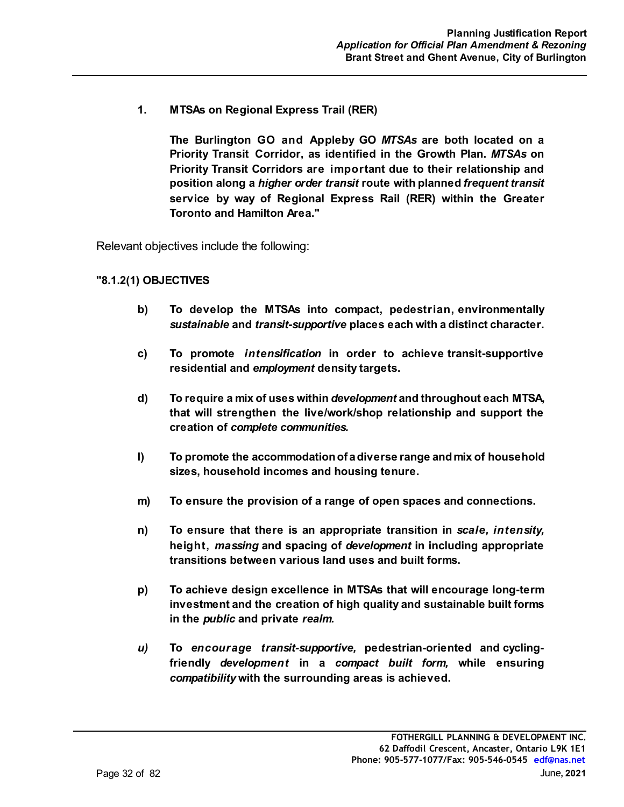**1. MTSAs on Regional Express Trail (RER)**

**The Burlington GO and Appleby GO** *MTSAs* **are both located on a Priority Transit Corridor, as identified in the Growth Plan.** *MTSAs* **on Priority Transit Corridors are important due to their relationship and position along a** *higher order transit* **route with planned** *frequent transit* **service by way of Regional Express Rail (RER) within the Greater Toronto and Hamilton Area."**

Relevant objectives include the following:

#### **"8.1.2(1) OBJECTIVES**

- **b) To develop the MTSAs into compact, pedestrian, environmentally** *sustainable* **and** *transit-supportive* **places each with a distinct character.**
- **c) To promote** *intensification* **in order to achieve transit-supportive residential and** *employment* **density targets.**
- **d) To require a mix of uses within** *development* **and throughout each MTSA, that will strengthen the live/work/shop relationship and support the creation of** *complete communities.*
- **l) To promote the accommodation of a diverse range and mix of household sizes, household incomes and housing tenure.**
- **m) To ensure the provision of a range of open spaces and connections.**
- **n) To ensure that there is an appropriate transition in** *scale, intensity,*  **height,** *massing* **and spacing of** *development* **in including appropriate transitions between various land uses and built forms.**
- **p) To achieve design excellence in MTSAs that will encourage long-term investment and the creation of high quality and sustainable built forms in the** *public* **and private** *realm.*
- *u)* **To** *encourage transit-supportive,* **pedestrian-oriented and cyclingfriendly** *development* **in a** *compact built form,* **while ensuring** *compatibility* **with the surrounding areas is achieved.**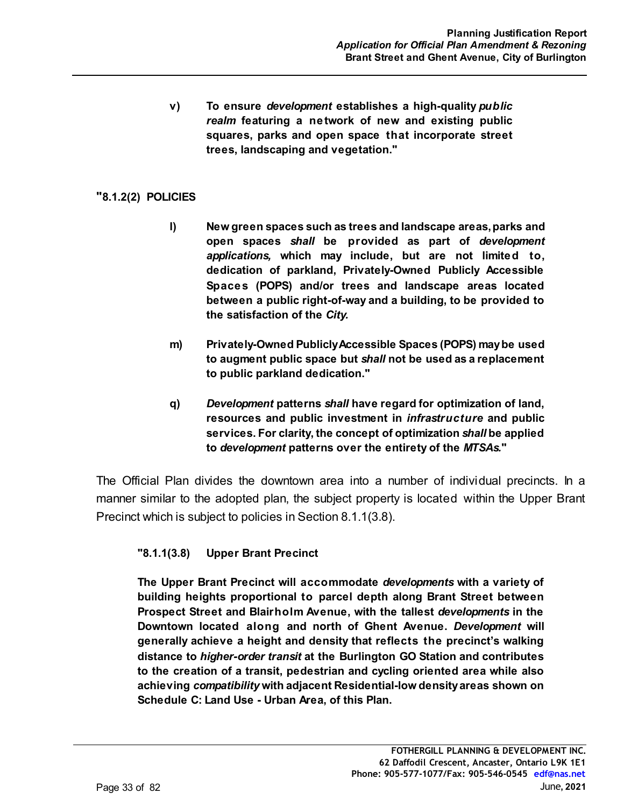**v) To ensure** *development* **establishes a high-quality** *public realm* **featuring a network of new and existing public squares, parks and open space that incorporate street trees, landscaping and vegetation."**

#### **"8.1.2(2) POLICIES**

- **l) New green spaces such as trees and landscape areas, parks and open spaces** *shall* **be provided as part of** *development applications,* **which may include, but are not limited to, dedication of parkland, Privately-Owned Publicly Accessible Spaces (POPS) and/or trees and landscape areas located between a public right-of-way and a building, to be provided to the satisfaction of the** *City.*
- **m) Privately-Owned Publicly Accessible Spaces (POPS) may be used to augment public space but** *shall* **not be used as a replacement to public parkland dedication."**
- **q)** *Development* **patterns** *shall* **have regard for optimization of land, resources and public investment in** *infrastructure* **and public services. For clarity, the concept of optimization** *shall* **be applied to** *development* **patterns over the entirety of the** *MTSAs.***"**

The Official Plan divides the downtown area into a number of individual precincts. In a manner similar to the adopted plan, the subject property is located within the Upper Brant Precinct which is subject to policies in Section 8.1.1(3.8).

#### **"8.1.1(3.8) Upper Brant Precinct**

**The Upper Brant Precinct will accommodate** *developments* **with a variety of building heights proportional to parcel depth along Brant Street between Prospect Street and Blairholm Avenue, with the tallest** *developments* **in the Downtown located along and north of Ghent Avenue.** *Development* **will generally achieve a height and density that reflects the precinct's walking distance to** *higher-order transit* **at the Burlington GO Station and contributes to the creation of a transit, pedestrian and cycling oriented area while also achieving** *compatibility* **with adjacent Residential-low density areas shown on Schedule C: Land Use - Urban Area, of this Plan.**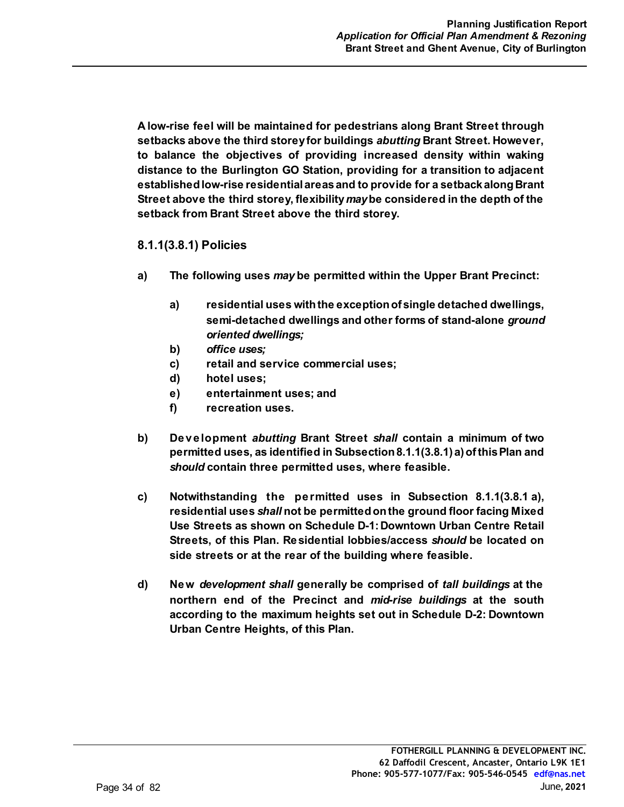**A low-rise feel will be maintained for pedestrians along Brant Street through setbacks above the third storey for buildings** *abutting* **Brant Street. However, to balance the objectives of providing increased density within waking distance to the Burlington GO Station, providing for a transition to adjacent established low-rise residential areas and to provide for a setback along Brant Street above the third storey, flexibility** *may* **be considered in the depth of the setback from Brant Street above the third storey.** 

#### **8.1.1(3.8.1) Policies**

- **a) The following uses** *may* **be permitted within the Upper Brant Precinct:**
	- **a) residential uses with the exception of single detached dwellings, semi-detached dwellings and other forms of stand-alone** *ground oriented dwellings;*
	- **b)** *office uses;*
	- **c) retail and service commercial uses;**
	- **d) hotel uses;**
	- **e) entertainment uses; and**
	- **f) recreation uses.**
- **b) Development** *abutting* **Brant Street** *shall* **contain a minimum of two permitted uses, as identified in Subsection 8.1.1(3.8.1) a) of this Plan and** *should* **contain three permitted uses, where feasible.**
- **c) Notwithstanding the permitted uses in Subsection 8.1.1(3.8.1 a), residential uses** *shall* **not be permitted on the ground floor facing Mixed Use Streets as shown on Schedule D-1: Downtown Urban Centre Retail Streets, of this Plan. Residential lobbies/access** *should* **be located on side streets or at the rear of the building where feasible.**
- **d) New** *development shall* **generally be comprised of** *tall buildings* **at the northern end of the Precinct and** *mid-rise buildings* **at the south according to the maximum heights set out in Schedule D-2: Downtown Urban Centre Heights, of this Plan.**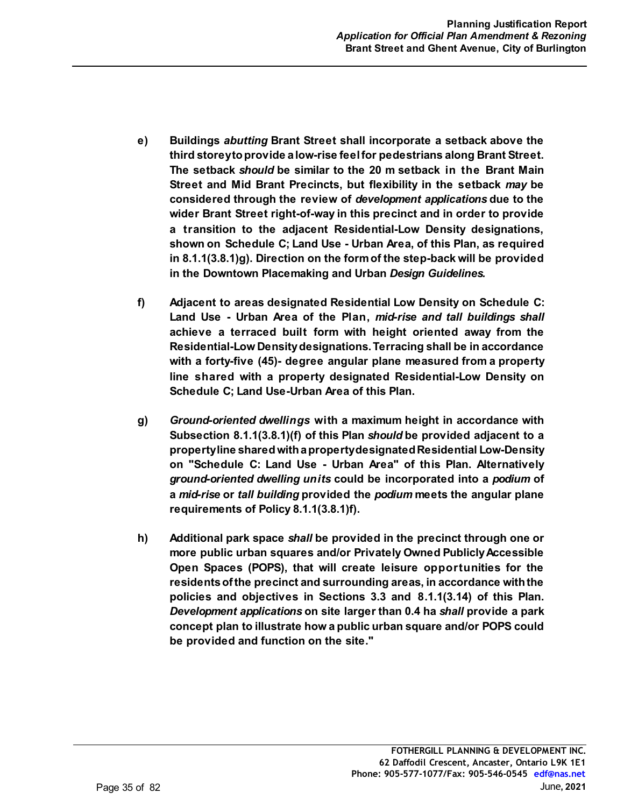- **e) Buildings** *abutting* **Brant Street shall incorporate a setback above the third storey to provide a low-rise feel for pedestrians along Brant Street. The setback** *should* **be similar to the 20 m setback in the Brant Main Street and Mid Brant Precincts, but flexibility in the setback** *may* **be considered through the review of** *development applications* **due to the wider Brant Street right-of-way in this precinct and in order to provide a transition to the adjacent Residential-Low Density designations, shown on Schedule C; Land Use - Urban Area, of this Plan, as required in 8.1.1(3.8.1)g). Direction on the form of the step-back will be provided in the Downtown Placemaking and Urban** *Design Guidelines.*
- **f) Adjacent to areas designated Residential Low Density on Schedule C: Land Use - Urban Area of the Plan,** *mid-rise and tall buildings shall* **achieve a terraced built form with height oriented away from the Residential-Low Density designations. Terracing shall be in accordance with a forty-five (45)- degree angular plane measured from a property line shared with a property designated Residential-Low Density on Schedule C; Land Use-Urban Area of this Plan.**
- **g)** *Ground-oriented dwellings* **with a maximum height in accordance with Subsection 8.1.1(3.8.1)(f) of this Plan** *should* **be provided adjacent to a property line shared with a property designated Residential Low-Density on "Schedule C: Land Use - Urban Area" of this Plan. Alternatively** *ground-oriented dwelling units* **could be incorporated into a** *podium* **of a** *mid-rise* **or** *tall building* **provided the** *podium* **meets the angular plane requirements of Policy 8.1.1(3.8.1)f).**
- **h) Additional park space** *shall* **be provided in the precinct through one or more public urban squares and/or Privately Owned Publicly Accessible Open Spaces (POPS), that will create leisure opportunities for the residents of the precinct and surrounding areas, in accordance with the policies and objectives in Sections 3.3 and 8.1.1(3.14) of this Plan.** *Development applications* **on site larger than 0.4 ha** *shall* **provide a park concept plan to illustrate how a public urban square and/or POPS could be provided and function on the site."**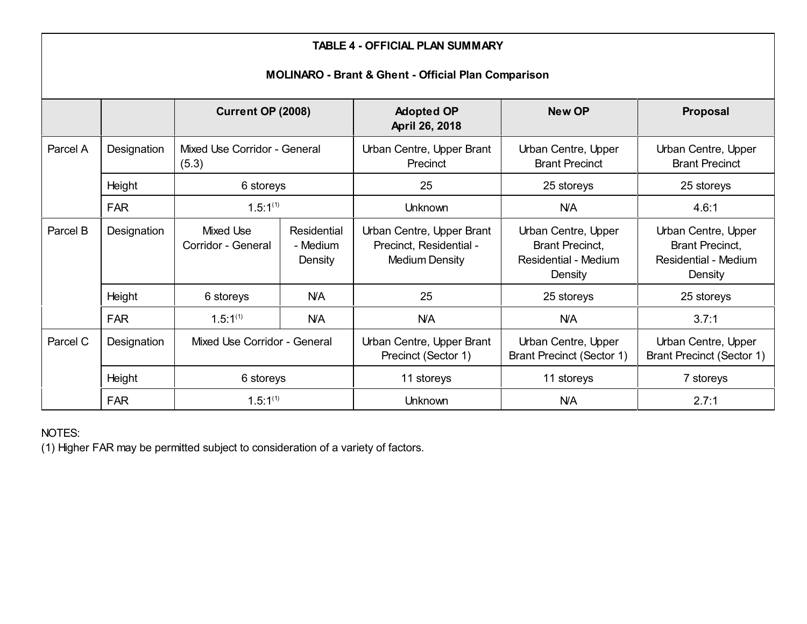| <b>TABLE 4 - OFFICIAL PLAN SUMMARY</b><br><b>MOLINARO - Brant &amp; Ghent - Official Plan Comparison</b> |             |                                        |                                    |                                                                        |                                                                                         |                                                                                         |
|----------------------------------------------------------------------------------------------------------|-------------|----------------------------------------|------------------------------------|------------------------------------------------------------------------|-----------------------------------------------------------------------------------------|-----------------------------------------------------------------------------------------|
|                                                                                                          |             | <b>Current OP (2008)</b>               |                                    | <b>Adopted OP</b><br>April 26, 2018                                    | <b>New OP</b>                                                                           | Proposal                                                                                |
| Parcel A                                                                                                 | Designation | Mixed Use Corridor - General<br>(5.3)  |                                    | Urban Centre, Upper Brant<br>Precinct                                  | Urban Centre, Upper<br><b>Brant Precinct</b>                                            | Urban Centre, Upper<br><b>Brant Precinct</b>                                            |
|                                                                                                          | Height      | 6 storeys                              |                                    | 25                                                                     | 25 storeys                                                                              | 25 storeys                                                                              |
|                                                                                                          | <b>FAR</b>  | $1.5:1^{(1)}$                          |                                    | <b>Unknown</b>                                                         | <b>N/A</b>                                                                              | 4.6:1                                                                                   |
| Parcel B                                                                                                 | Designation | <b>Mixed Use</b><br>Corridor - General | Residential<br>- Medium<br>Density | Urban Centre, Upper Brant<br>Precinct, Residential -<br>Medium Density | Urban Centre, Upper<br><b>Brant Precinct,</b><br><b>Residential - Medium</b><br>Density | Urban Centre, Upper<br><b>Brant Precinct,</b><br><b>Residential - Medium</b><br>Density |
|                                                                                                          | Height      | 6 storeys                              | <b>N/A</b>                         | 25                                                                     | 25 storeys                                                                              | 25 storeys                                                                              |
|                                                                                                          | <b>FAR</b>  | $1.5:1^{(1)}$                          | <b>N/A</b>                         | <b>N/A</b>                                                             | <b>N/A</b>                                                                              | 3.7:1                                                                                   |
| Parcel C                                                                                                 | Designation | Mixed Use Corridor - General           |                                    | Urban Centre, Upper Brant<br>Precinct (Sector 1)                       | Urban Centre, Upper<br><b>Brant Precinct (Sector 1)</b>                                 | Urban Centre, Upper<br><b>Brant Precinct (Sector 1)</b>                                 |
|                                                                                                          | Height      | 6 storeys                              |                                    | 11 storeys                                                             | 11 storeys                                                                              | 7 storeys                                                                               |
|                                                                                                          | <b>FAR</b>  | $1.5:1^{(1)}$                          |                                    | Unknown                                                                | <b>N/A</b>                                                                              | 2.7:1                                                                                   |

NOTES:

(1) Higher FAR may be permitted subject to consideration of a variety of factors.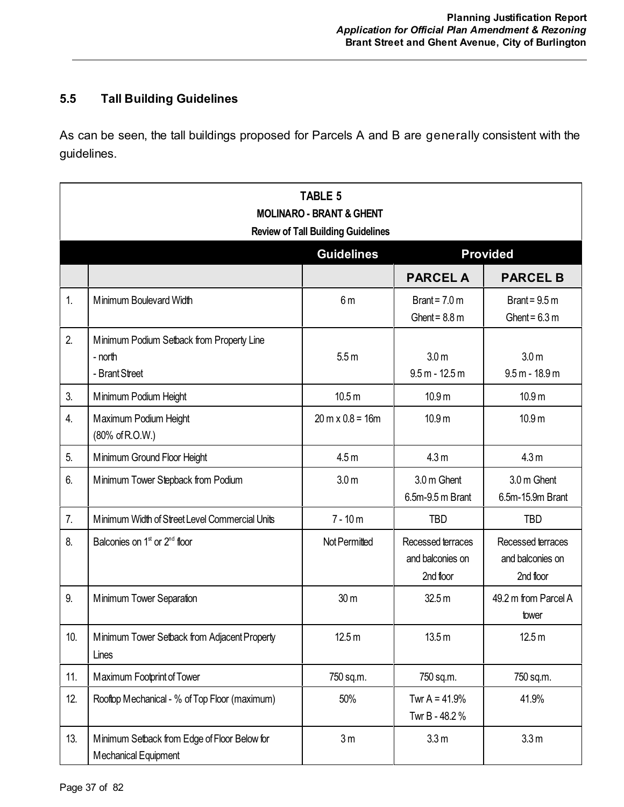## **5.5 Tall Building Guidelines**

As can be seen, the tall buildings proposed for Parcels A and B are generally consistent with the guidelines.

|     | <b>TABLE 5</b><br><b>MOLINARO - BRANT &amp; GHENT</b><br><b>Review of Tall Building Guidelines</b> |                                         |                                                    |                                                    |
|-----|----------------------------------------------------------------------------------------------------|-----------------------------------------|----------------------------------------------------|----------------------------------------------------|
|     |                                                                                                    | <b>Guidelines</b>                       |                                                    | <b>Provided</b>                                    |
|     |                                                                                                    |                                         | <b>PARCEL A</b>                                    | <b>PARCEL B</b>                                    |
| 1.  | Minimum Boulevard Width                                                                            | 6 <sub>m</sub>                          | Brant = $7.0 \text{ m}$<br>Ghent = $8.8 \text{ m}$ | Brant = $9.5 \text{ m}$<br>Ghent = $6.3 \text{ m}$ |
| 2.  | Minimum Podium Setback from Property Line<br>- north<br>- Brant Street                             | 5.5m                                    | 3.0 <sub>m</sub><br>$9.5 m - 12.5 m$               | 3.0 <sub>m</sub><br>$9.5 m - 18.9 m$               |
| 3.  | Minimum Podium Height                                                                              | 10.5 <sub>m</sub>                       | 10.9 <sub>m</sub>                                  | 10.9 <sub>m</sub>                                  |
| 4.  | Maximum Podium Height<br>(80% of R.O.W.)                                                           | $20 \text{ m} \times 0.8 = 16 \text{m}$ | 10.9 <sub>m</sub>                                  | 10.9 <sub>m</sub>                                  |
| 5.  | Minimum Ground Floor Height                                                                        | 4.5 <sub>m</sub>                        | 4.3 <sub>m</sub>                                   | 4.3 <sub>m</sub>                                   |
| 6.  | Minimum Tower Stepback from Podium                                                                 | 3.0 <sub>m</sub>                        | 3.0 m Ghent<br>6.5m-9.5 m Brant                    | 3.0 m Ghent<br>6.5m-15.9m Brant                    |
| 7.  | Minimum Width of Street Level Commercial Units                                                     | $7 - 10m$                               | <b>TBD</b>                                         | <b>TBD</b>                                         |
| 8.  | Balconies on 1 <sup>st</sup> or 2 <sup>nd</sup> floor                                              | Not Permitted                           | Recessed terraces<br>and balconies on<br>2nd floor | Recessed terraces<br>and balconies on<br>2nd floor |
| 9.  | Minimum Tower Separation                                                                           | 30 m                                    | 32.5 <sub>m</sub>                                  | 49.2 m from Parcel A<br>tower                      |
| 10. | Minimum Tower Setback from Adjacent Property<br>Lines                                              | 12.5 <sub>m</sub>                       | 13.5 <sub>m</sub>                                  | 12.5 <sub>m</sub>                                  |
| 11. | Maximum Footprint of Tower                                                                         | 750 sq.m.                               | 750 sq.m.                                          | 750 sq.m.                                          |
| 12. | Rooftop Mechanical - % of Top Floor (maximum)                                                      | 50%                                     | Twr A = $41.9%$<br>Twr B - 48.2 %                  | 41.9%                                              |
| 13. | Minimum Setback from Edge of Floor Below for<br>Mechanical Equipment                               | 3 <sub>m</sub>                          | 3.3 <sub>m</sub>                                   | 3.3 <sub>m</sub>                                   |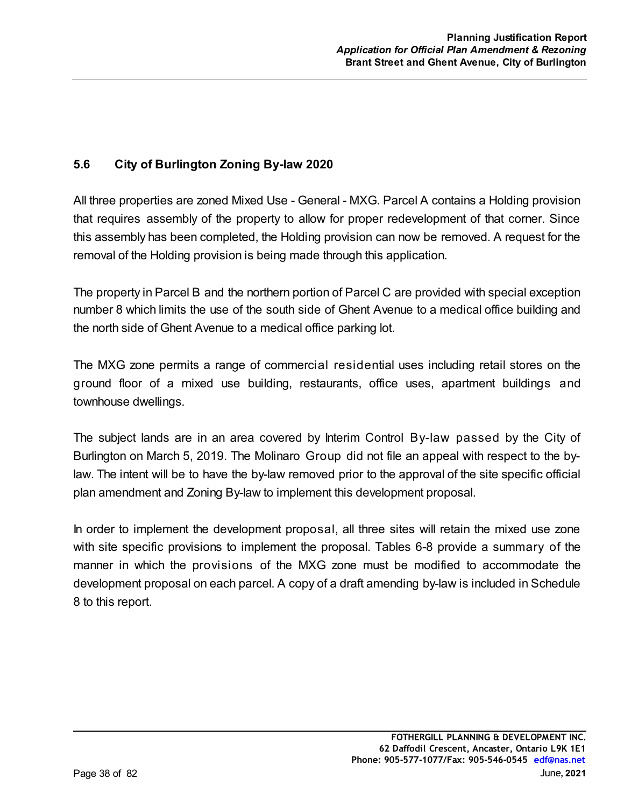## **5.6 City of Burlington Zoning By-law 2020**

All three properties are zoned Mixed Use - General - MXG. Parcel A contains a Holding provision that requires assembly of the property to allow for proper redevelopment of that corner. Since this assembly has been completed, the Holding provision can now be removed. A request for the removal of the Holding provision is being made through this application.

The property in Parcel B and the northern portion of Parcel C are provided with special exception number 8 which limits the use of the south side of Ghent Avenue to a medical office building and the north side of Ghent Avenue to a medical office parking lot.

The MXG zone permits a range of commercial residential uses including retail stores on the ground floor of a mixed use building, restaurants, office uses, apartment buildings and townhouse dwellings.

The subject lands are in an area covered by Interim Control By-law passed by the City of Burlington on March 5, 2019. The Molinaro Group did not file an appeal with respect to the bylaw. The intent will be to have the by-law removed prior to the approval of the site specific official plan amendment and Zoning By-law to implement this development proposal.

In order to implement the development proposal, all three sites will retain the mixed use zone with site specific provisions to implement the proposal. Tables 6-8 provide a summary of the manner in which the provisions of the MXG zone must be modified to accommodate the development proposal on each parcel. A copy of a draft amending by-law is included in Schedule 8 to this report.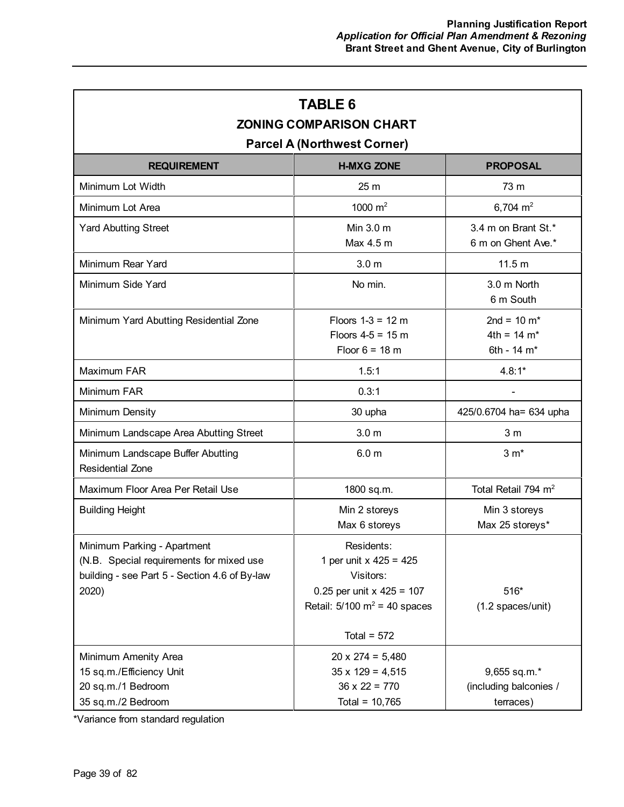| <b>TABLE 6</b><br><b>ZONING COMPARISON CHART</b><br><b>Parcel A (Northwest Corner)</b>                                            |                                                                                                                                                        |                                                                    |  |
|-----------------------------------------------------------------------------------------------------------------------------------|--------------------------------------------------------------------------------------------------------------------------------------------------------|--------------------------------------------------------------------|--|
| <b>REQUIREMENT</b>                                                                                                                | <b>H-MXG ZONE</b>                                                                                                                                      | <b>PROPOSAL</b>                                                    |  |
| Minimum Lot Width                                                                                                                 | 25 m                                                                                                                                                   | 73 m                                                               |  |
| Minimum Lot Area                                                                                                                  | 1000 $m2$                                                                                                                                              | 6,704 $m2$                                                         |  |
| <b>Yard Abutting Street</b>                                                                                                       | Min 3.0 m<br>Max 4.5 m                                                                                                                                 | 3.4 m on Brant St.*<br>6 m on Ghent Ave.*                          |  |
| Minimum Rear Yard                                                                                                                 | 3.0 <sub>m</sub>                                                                                                                                       | 11.5 <sub>m</sub>                                                  |  |
| Minimum Side Yard                                                                                                                 | No min.                                                                                                                                                | 3.0 m North<br>6 m South                                           |  |
| Minimum Yard Abutting Residential Zone                                                                                            | Floors $1-3 = 12$ m<br>Floors $4-5 = 15$ m<br>Floor $6 = 18$ m                                                                                         | 2nd = $10 \text{ m}^*$<br>$4th = 14 m*$<br>6th - 14 m <sup>*</sup> |  |
| Maximum FAR                                                                                                                       | 1.5:1                                                                                                                                                  | $4.8:1*$                                                           |  |
| Minimum FAR                                                                                                                       | 0.3:1                                                                                                                                                  |                                                                    |  |
| Minimum Density                                                                                                                   | 30 upha                                                                                                                                                | 425/0.6704 ha= 634 upha                                            |  |
| Minimum Landscape Area Abutting Street                                                                                            | 3.0 <sub>m</sub>                                                                                                                                       | 3 <sub>m</sub>                                                     |  |
| Minimum Landscape Buffer Abutting<br><b>Residential Zone</b>                                                                      | 6.0 <sub>m</sub>                                                                                                                                       | $3 m*$                                                             |  |
| Maximum Floor Area Per Retail Use                                                                                                 | 1800 sq.m.                                                                                                                                             | Total Retail 794 m <sup>2</sup>                                    |  |
| <b>Building Height</b>                                                                                                            | Min 2 storeys<br>Max 6 storeys                                                                                                                         | Min 3 storeys<br>Max 25 storeys*                                   |  |
| Minimum Parking - Apartment<br>(N.B. Special requirements for mixed use<br>building - see Part 5 - Section 4.6 of By-law<br>2020) | Residents:<br>1 per unit x $425 = 425$<br>Visitors:<br>0.25 per unit $x$ 425 = 107<br>Retail: $5/100 \text{ m}^2 = 40 \text{ spaces}$<br>Total = $572$ | 516*<br>(1.2 spaces/unit)                                          |  |
| Minimum Amenity Area<br>15 sq.m./Efficiency Unit<br>20 sq.m./1 Bedroom<br>35 sq.m./2 Bedroom                                      | $20 \times 274 = 5,480$<br>$35 \times 129 = 4,515$<br>$36 \times 22 = 770$<br>Total = $10,765$                                                         | 9,655 sq.m.*<br>(including balconies /<br>terraces)                |  |

\*Variance from standard regulation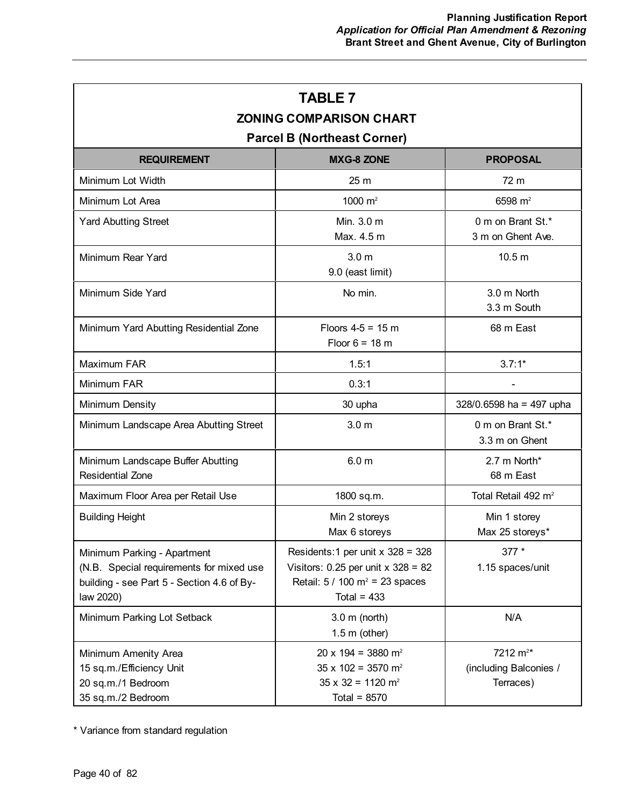| <b>TABLE 7</b><br><b>ZONING COMPARISON CHART</b><br><b>Parcel B (Northeast Corner)</b>                                             |                                                                                                                                                |                                                             |  |  |  |
|------------------------------------------------------------------------------------------------------------------------------------|------------------------------------------------------------------------------------------------------------------------------------------------|-------------------------------------------------------------|--|--|--|
| <b>REQUIREMENT</b>                                                                                                                 | <b>MXG-8 ZONE</b><br><b>PROPOSAL</b>                                                                                                           |                                                             |  |  |  |
| Minimum Lot Width                                                                                                                  | 25 <sub>m</sub>                                                                                                                                | 72 m                                                        |  |  |  |
| Minimum Lot Area                                                                                                                   | 1000 $m2$                                                                                                                                      | 6598 $m2$                                                   |  |  |  |
| <b>Yard Abutting Street</b>                                                                                                        | Min. 3.0 m<br>Max. 4.5 m                                                                                                                       | 0 m on Brant St.*<br>3 m on Ghent Ave.                      |  |  |  |
| Minimum Rear Yard                                                                                                                  | 3.0 <sub>m</sub><br>9.0 (east limit)                                                                                                           | 10.5 <sub>m</sub>                                           |  |  |  |
| Minimum Side Yard                                                                                                                  | No min.                                                                                                                                        | 3.0 m North<br>3.3 m South                                  |  |  |  |
| Minimum Yard Abutting Residential Zone                                                                                             | Floors $4-5 = 15$ m<br>Floor $6 = 18$ m                                                                                                        | 68 m East                                                   |  |  |  |
| Maximum FAR                                                                                                                        | 1.5:1                                                                                                                                          | $3.7:1*$                                                    |  |  |  |
| Minimum FAR                                                                                                                        | 0.3:1                                                                                                                                          |                                                             |  |  |  |
| Minimum Density                                                                                                                    | 30 upha                                                                                                                                        | 328/0.6598 ha = 497 upha                                    |  |  |  |
| Minimum Landscape Area Abutting Street                                                                                             | 3.0 <sub>m</sub>                                                                                                                               | 0 m on Brant St.*<br>3.3 m on Ghent                         |  |  |  |
| Minimum Landscape Buffer Abutting<br><b>Residential Zone</b>                                                                       | 6.0 <sub>m</sub>                                                                                                                               | 2.7 m North*<br>68 m East                                   |  |  |  |
| Maximum Floor Area per Retail Use                                                                                                  | 1800 sq.m.                                                                                                                                     | Total Retail 492 m <sup>2</sup>                             |  |  |  |
| <b>Building Height</b>                                                                                                             | Min 2 storeys<br>Max 6 storeys                                                                                                                 | Min 1 storey<br>Max 25 storeys*                             |  |  |  |
| Minimum Parking - Apartment<br>(N.B. Special requirements for mixed use<br>building - see Part 5 - Section 4.6 of By-<br>law 2020) | Residents: 1 per unit $x$ 328 = 328<br>Visitors: $0.25$ per unit x $328 = 82$<br>Retail: $5 / 100$ m <sup>2</sup> = 23 spaces<br>Total = $433$ | 377 *<br>1.15 spaces/unit                                   |  |  |  |
| Minimum Parking Lot Setback                                                                                                        | $3.0 \text{ m}$ (north)<br>$1.5$ m (other)                                                                                                     | N/A                                                         |  |  |  |
| Minimum Amenity Area<br>15 sq.m./Efficiency Unit<br>20 sq.m./1 Bedroom<br>35 sq.m./2 Bedroom                                       | $20 \times 194 = 3880$ m <sup>2</sup><br>$35 \times 102 = 3570$ m <sup>2</sup><br>$35 \times 32 = 1120$ m <sup>2</sup><br>Total = $8570$       | 7212 m <sup>2*</sup><br>(including Balconies /<br>Terraces) |  |  |  |

\* Variance from standard regulation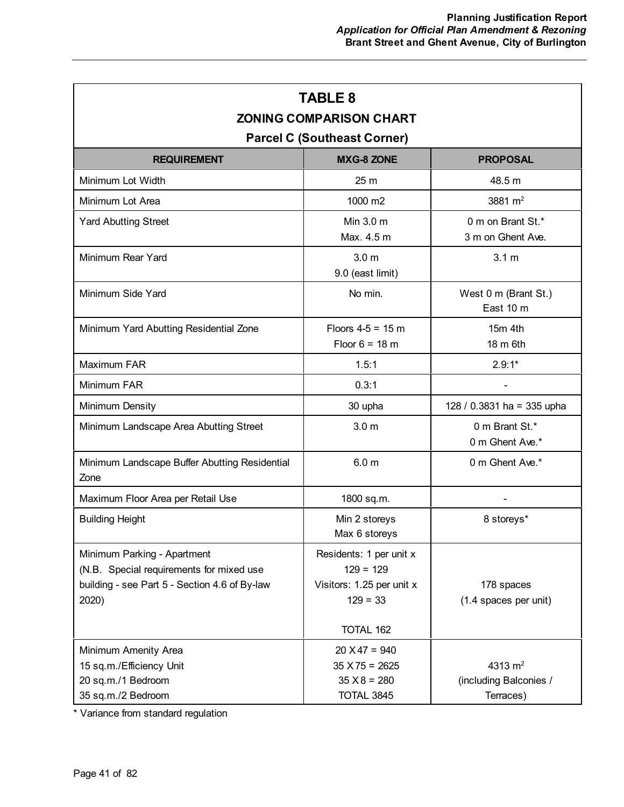| <b>TABLE 8</b><br><b>ZONING COMPARISON CHART</b><br><b>Parcel C (Southeast Corner)</b>                                            |                                                                                                       |                                                  |  |
|-----------------------------------------------------------------------------------------------------------------------------------|-------------------------------------------------------------------------------------------------------|--------------------------------------------------|--|
| <b>REQUIREMENT</b>                                                                                                                | <b>MXG-8 ZONE</b>                                                                                     | <b>PROPOSAL</b>                                  |  |
| Minimum Lot Width                                                                                                                 | 25 <sub>m</sub>                                                                                       | 48.5 m                                           |  |
| Minimum Lot Area                                                                                                                  | 1000 m2                                                                                               | 3881 $m2$                                        |  |
| <b>Yard Abutting Street</b>                                                                                                       | Min 3.0 m<br>Max. 4.5 m                                                                               | 0 m on Brant St.*<br>3 m on Ghent Ave.           |  |
| Minimum Rear Yard                                                                                                                 | 3.0 <sub>m</sub><br>9.0 (east limit)                                                                  | 3.1 <sub>m</sub>                                 |  |
| Minimum Side Yard                                                                                                                 | No min.                                                                                               | West 0 m (Brant St.)<br>East 10 m                |  |
| Minimum Yard Abutting Residential Zone                                                                                            | Floors $4-5 = 15$ m<br>Floor $6 = 18$ m                                                               | 15m 4th<br>18 m 6th                              |  |
| Maximum FAR                                                                                                                       | 1.5:1                                                                                                 | $2.9:1*$                                         |  |
| Minimum FAR                                                                                                                       | 0.3:1                                                                                                 |                                                  |  |
| Minimum Density                                                                                                                   | 30 upha                                                                                               | 128 / 0.3831 ha = 335 upha                       |  |
| Minimum Landscape Area Abutting Street                                                                                            | 3.0 <sub>m</sub>                                                                                      | 0 m Brant St.*<br>0 m Ghent Ave.*                |  |
| Minimum Landscape Buffer Abutting Residential<br>Zone                                                                             | 6.0 <sub>m</sub>                                                                                      | 0 m Ghent Ave.*                                  |  |
| Maximum Floor Area per Retail Use                                                                                                 | 1800 sq.m.                                                                                            |                                                  |  |
| <b>Building Height</b>                                                                                                            | Min 2 storeys<br>Max 6 storeys                                                                        | 8 storeys*                                       |  |
| Minimum Parking - Apartment<br>(N.B. Special requirements for mixed use<br>building - see Part 5 - Section 4.6 of By-law<br>2020) | Residents: 1 per unit x<br>$129 = 129$<br>Visitors: 1.25 per unit x<br>$129 = 33$<br><b>TOTAL 162</b> | 178 spaces<br>(1.4 spaces per unit)              |  |
| Minimum Amenity Area<br>15 sq.m./Efficiency Unit<br>20 sq.m./1 Bedroom<br>35 sq.m./2 Bedroom                                      | $20 X47 = 940$<br>$35 X 75 = 2625$<br>$35 X8 = 280$<br>TOTAL 3845                                     | 4313 $m2$<br>(including Balconies /<br>Terraces) |  |

\* Variance from standard regulation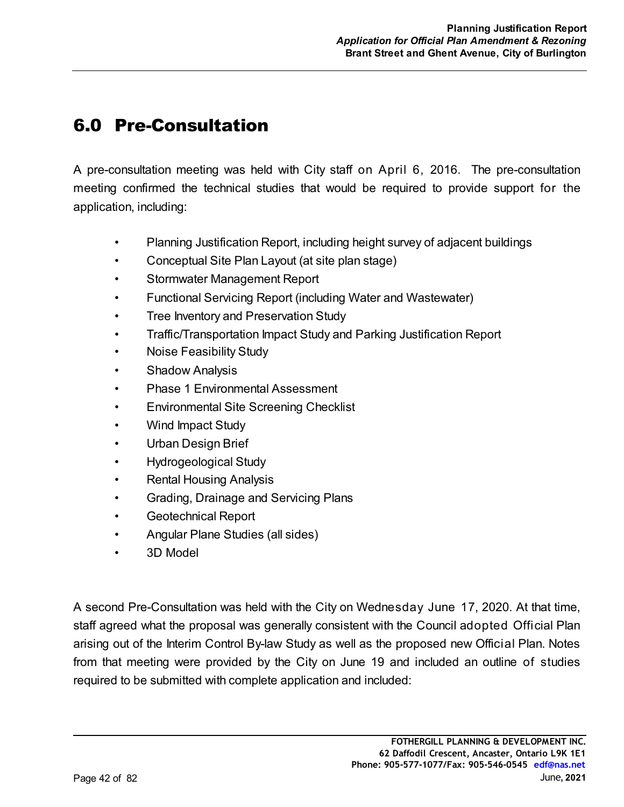# 6.0 Pre-Consultation

A pre-consultation meeting was held with City staff on April 6, 2016. The pre-consultation meeting confirmed the technical studies that would be required to provide support for the application, including:

- Planning Justification Report, including height survey of adjacent buildings
- Conceptual Site Plan Layout (at site plan stage)
- Stormwater Management Report
- Functional Servicing Report (including Water and Wastewater)
- Tree Inventory and Preservation Study
- Traffic/Transportation Impact Study and Parking Justification Report
- Noise Feasibility Study
- **Shadow Analysis**
- Phase 1 Environmental Assessment
- Environmental Site Screening Checklist
- Wind Impact Study
- Urban Design Brief
- Hydrogeological Study
- Rental Housing Analysis
- Grading, Drainage and Servicing Plans
- Geotechnical Report
- Angular Plane Studies (all sides)
- 3D Model

A second Pre-Consultation was held with the City on Wednesday June 17, 2020. At that time, staff agreed what the proposal was generally consistent with the Council adopted Official Plan arising out of the Interim Control By-law Study as well as the proposed new Official Plan. Notes from that meeting were provided by the City on June 19 and included an outline of studies required to be submitted with complete application and included: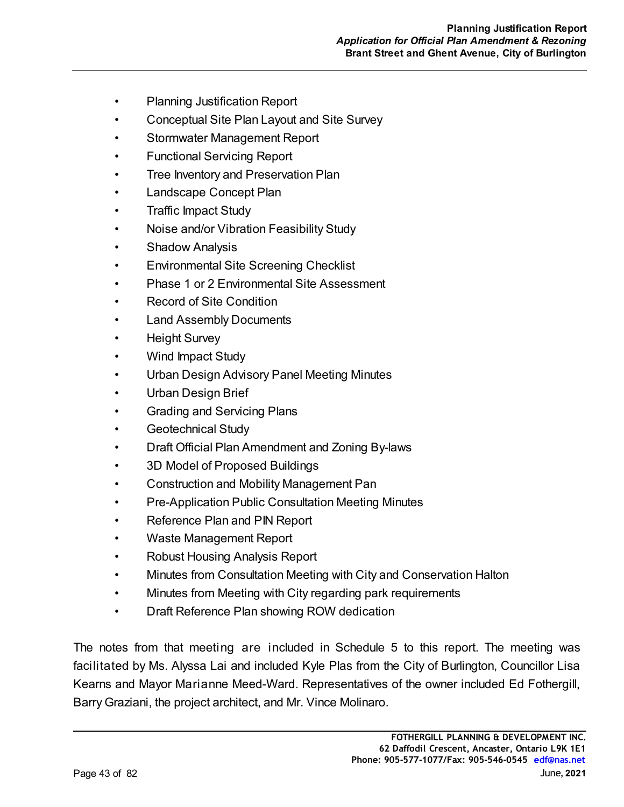- Planning Justification Report
- Conceptual Site Plan Layout and Site Survey
- Stormwater Management Report
- Functional Servicing Report
- Tree Inventory and Preservation Plan
- Landscape Concept Plan
- Traffic Impact Study
- Noise and/or Vibration Feasibility Study
- Shadow Analysis
- Environmental Site Screening Checklist
- Phase 1 or 2 Environmental Site Assessment
- Record of Site Condition
- **Land Assembly Documents**
- Height Survey
- Wind Impact Study
- Urban Design Advisory Panel Meeting Minutes
- Urban Design Brief
- Grading and Servicing Plans
- Geotechnical Study
- Draft Official Plan Amendment and Zoning By-laws
- 3D Model of Proposed Buildings
- Construction and Mobility Management Pan
- Pre-Application Public Consultation Meeting Minutes
- Reference Plan and PIN Report
- Waste Management Report
- Robust Housing Analysis Report
- Minutes from Consultation Meeting with City and Conservation Halton
- Minutes from Meeting with City regarding park requirements
- Draft Reference Plan showing ROW dedication

The notes from that meeting are included in Schedule 5 to this report. The meeting was facilitated by Ms. Alyssa Lai and included Kyle Plas from the City of Burlington, Councillor Lisa Kearns and Mayor Marianne Meed-Ward. Representatives of the owner included Ed Fothergill, Barry Graziani, the project architect, and Mr. Vince Molinaro.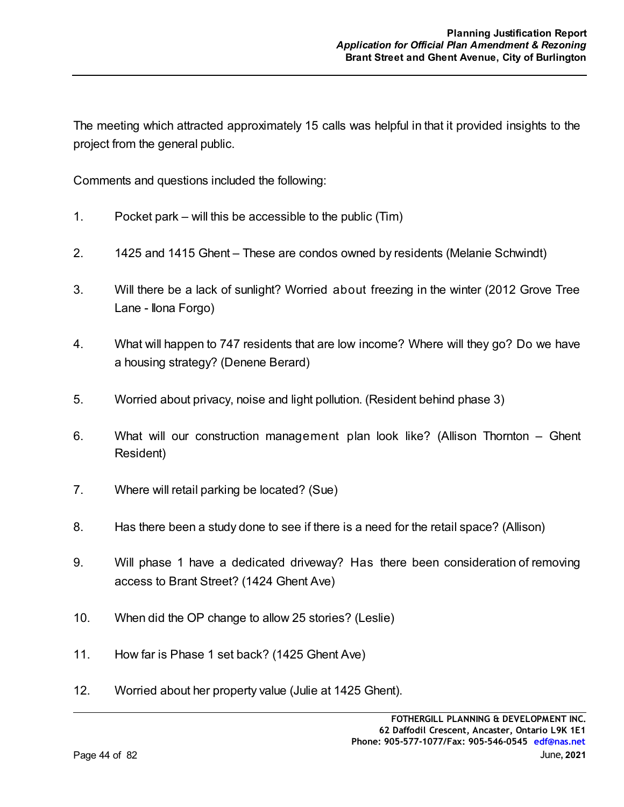The meeting which attracted approximately 15 calls was helpful in that it provided insights to the project from the general public.

Comments and questions included the following:

- 1. Pocket park will this be accessible to the public (Tim)
- 2. 1425 and 1415 Ghent These are condos owned by residents (Melanie Schwindt)
- 3. Will there be a lack of sunlight? Worried about freezing in the winter (2012 Grove Tree Lane - Ilona Forgo)
- 4. What will happen to 747 residents that are low income? Where will they go? Do we have a housing strategy? (Denene Berard)
- 5. Worried about privacy, noise and light pollution. (Resident behind phase 3)
- 6. What will our construction management plan look like? (Allison Thornton Ghent Resident)
- 7. Where will retail parking be located? (Sue)
- 8. Has there been a study done to see if there is a need for the retail space? (Allison)
- 9. Will phase 1 have a dedicated driveway? Has there been consideration of removing access to Brant Street? (1424 Ghent Ave)
- 10. When did the OP change to allow 25 stories? (Leslie)
- 11. How far is Phase 1 set back? (1425 Ghent Ave)
- 12. Worried about her property value (Julie at 1425 Ghent).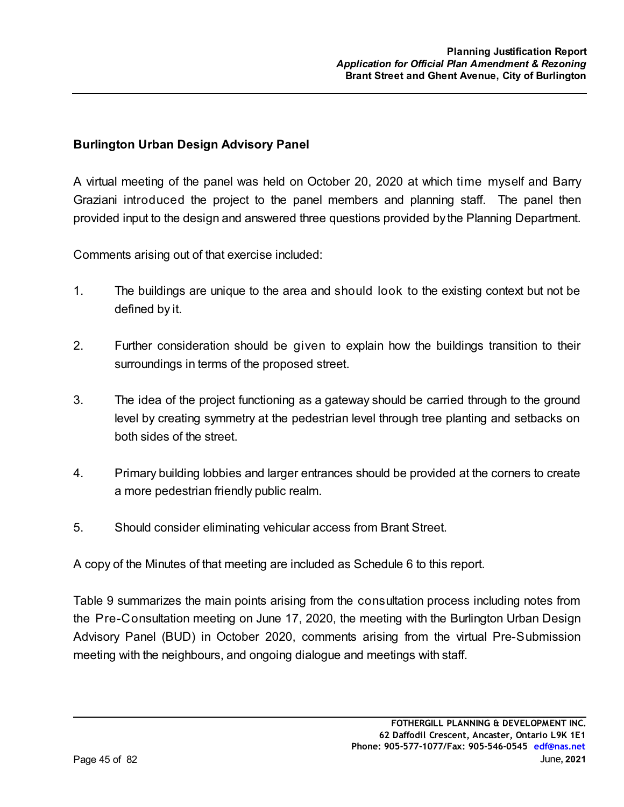### **Burlington Urban Design Advisory Panel**

A virtual meeting of the panel was held on October 20, 2020 at which time myself and Barry Graziani introduced the project to the panel members and planning staff. The panel then provided input to the design and answered three questions provided by the Planning Department.

Comments arising out of that exercise included:

- 1. The buildings are unique to the area and should look to the existing context but not be defined by it.
- 2. Further consideration should be given to explain how the buildings transition to their surroundings in terms of the proposed street.
- 3. The idea of the project functioning as a gateway should be carried through to the ground level by creating symmetry at the pedestrian level through tree planting and setbacks on both sides of the street.
- 4. Primary building lobbies and larger entrances should be provided at the corners to create a more pedestrian friendly public realm.
- 5. Should consider eliminating vehicular access from Brant Street.

A copy of the Minutes of that meeting are included as Schedule 6 to this report.

Table 9 summarizes the main points arising from the consultation process including notes from the Pre-Consultation meeting on June 17, 2020, the meeting with the Burlington Urban Design Advisory Panel (BUD) in October 2020, comments arising from the virtual Pre-Submission meeting with the neighbours, and ongoing dialogue and meetings with staff.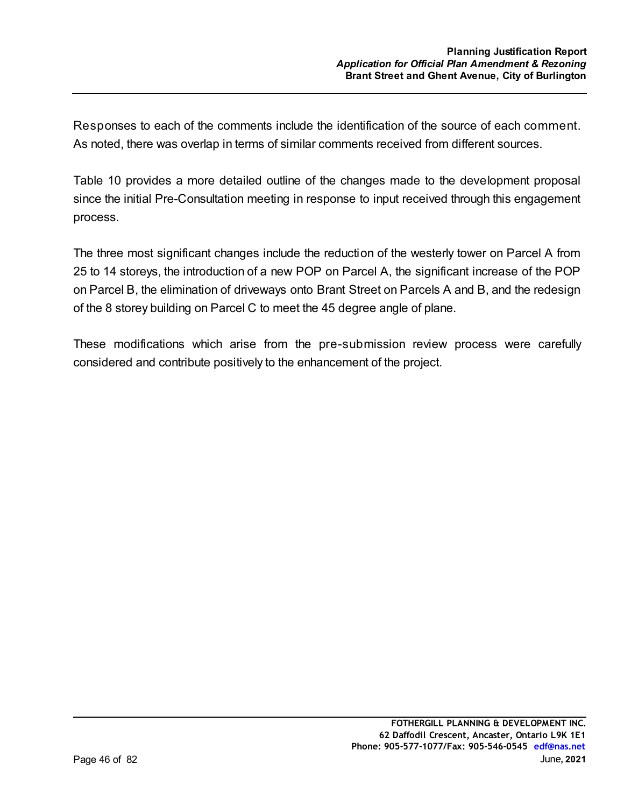Responses to each of the comments include the identification of the source of each comment. As noted, there was overlap in terms of similar comments received from different sources.

Table 10 provides a more detailed outline of the changes made to the development proposal since the initial Pre-Consultation meeting in response to input received through this engagement process.

The three most significant changes include the reduction of the westerly tower on Parcel A from 25 to 14 storeys, the introduction of a new POP on Parcel A, the significant increase of the POP on Parcel B, the elimination of driveways onto Brant Street on Parcels A and B, and the redesign of the 8 storey building on Parcel C to meet the 45 degree angle of plane.

These modifications which arise from the pre-submission review process were carefully considered and contribute positively to the enhancement of the project.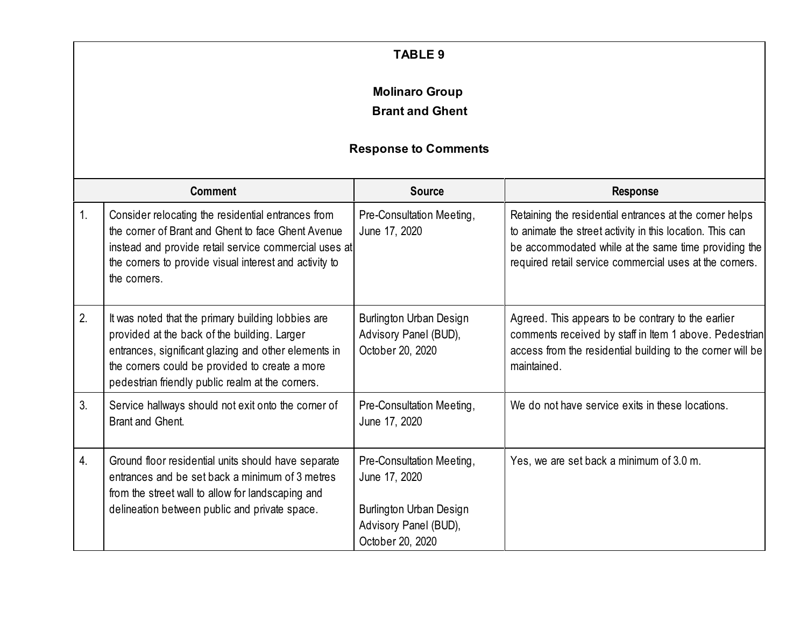|                  |                                                                                                                                                                                                                                                                  | <b>TABLE 9</b>                                                                                                            |                                                                                                                                                                                                                                         |
|------------------|------------------------------------------------------------------------------------------------------------------------------------------------------------------------------------------------------------------------------------------------------------------|---------------------------------------------------------------------------------------------------------------------------|-----------------------------------------------------------------------------------------------------------------------------------------------------------------------------------------------------------------------------------------|
|                  |                                                                                                                                                                                                                                                                  | <b>Molinaro Group</b><br><b>Brant and Ghent</b>                                                                           |                                                                                                                                                                                                                                         |
|                  |                                                                                                                                                                                                                                                                  | <b>Response to Comments</b>                                                                                               |                                                                                                                                                                                                                                         |
|                  | <b>Comment</b>                                                                                                                                                                                                                                                   | <b>Source</b>                                                                                                             | <b>Response</b>                                                                                                                                                                                                                         |
| 1.               | Consider relocating the residential entrances from<br>the corner of Brant and Ghent to face Ghent Avenue<br>instead and provide retail service commercial uses at<br>the corners to provide visual interest and activity to<br>the corners.                      | Pre-Consultation Meeting,<br>June 17, 2020                                                                                | Retaining the residential entrances at the corner helps<br>to animate the street activity in this location. This can<br>be accommodated while at the same time providing the<br>required retail service commercial uses at the corners. |
| 2.               | It was noted that the primary building lobbies are<br>provided at the back of the building. Larger<br>entrances, significant glazing and other elements in<br>the corners could be provided to create a more<br>pedestrian friendly public realm at the corners. | <b>Burlington Urban Design</b><br>Advisory Panel (BUD),<br>October 20, 2020                                               | Agreed. This appears to be contrary to the earlier<br>comments received by staff in Item 1 above. Pedestrian<br>access from the residential building to the corner will be<br>maintained.                                               |
| 3.               | Service hallways should not exit onto the corner of<br><b>Brant and Ghent.</b>                                                                                                                                                                                   | Pre-Consultation Meeting,<br>June 17, 2020                                                                                | We do not have service exits in these locations.                                                                                                                                                                                        |
| $\overline{4}$ . | Ground floor residential units should have separate<br>entrances and be set back a minimum of 3 metres<br>from the street wall to allow for landscaping and<br>delineation between public and private space.                                                     | Pre-Consultation Meeting,<br>June 17, 2020<br><b>Burlington Urban Design</b><br>Advisory Panel (BUD),<br>October 20, 2020 | Yes, we are set back a minimum of 3.0 m.                                                                                                                                                                                                |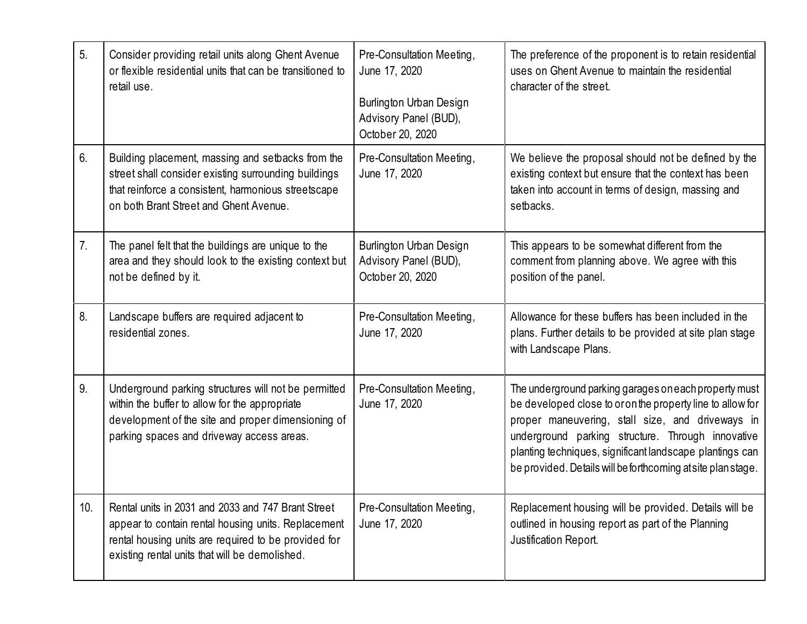| 5.  | Consider providing retail units along Ghent Avenue<br>or flexible residential units that can be transitioned to<br>retail use.                                                                                      | Pre-Consultation Meeting,<br>June 17, 2020<br>Burlington Urban Design<br>Advisory Panel (BUD),<br>October 20, 2020 | The preference of the proponent is to retain residential<br>uses on Ghent Avenue to maintain the residential<br>character of the street.                                                                                                                                                                                                                 |
|-----|---------------------------------------------------------------------------------------------------------------------------------------------------------------------------------------------------------------------|--------------------------------------------------------------------------------------------------------------------|----------------------------------------------------------------------------------------------------------------------------------------------------------------------------------------------------------------------------------------------------------------------------------------------------------------------------------------------------------|
| 6.  | Building placement, massing and setbacks from the<br>street shall consider existing surrounding buildings<br>that reinforce a consistent, harmonious streetscape<br>on both Brant Street and Ghent Avenue.          | Pre-Consultation Meeting,<br>June 17, 2020                                                                         | We believe the proposal should not be defined by the<br>existing context but ensure that the context has been<br>taken into account in terms of design, massing and<br>setbacks.                                                                                                                                                                         |
| 7.  | The panel felt that the buildings are unique to the<br>area and they should look to the existing context but<br>not be defined by it.                                                                               | Burlington Urban Design<br>Advisory Panel (BUD),<br>October 20, 2020                                               | This appears to be somewhat different from the<br>comment from planning above. We agree with this<br>position of the panel.                                                                                                                                                                                                                              |
| 8.  | Landscape buffers are required adjacent to<br>residential zones.                                                                                                                                                    | Pre-Consultation Meeting,<br>June 17, 2020                                                                         | Allowance for these buffers has been included in the<br>plans. Further details to be provided at site plan stage<br>with Landscape Plans.                                                                                                                                                                                                                |
| 9.  | Underground parking structures will not be permitted<br>within the buffer to allow for the appropriate<br>development of the site and proper dimensioning of<br>parking spaces and driveway access areas.           | Pre-Consultation Meeting,<br>June 17, 2020                                                                         | The underground parking garages on each property must<br>be developed close to or on the property line to allow for<br>proper maneuvering, stall size, and driveways in<br>underground parking structure. Through innovative<br>planting techniques, significant landscape plantings can<br>be provided. Details will be forthcoming at site plan stage. |
| 10. | Rental units in 2031 and 2033 and 747 Brant Street<br>appear to contain rental housing units. Replacement<br>rental housing units are required to be provided for<br>existing rental units that will be demolished. | Pre-Consultation Meeting,<br>June 17, 2020                                                                         | Replacement housing will be provided. Details will be<br>outlined in housing report as part of the Planning<br>Justification Report.                                                                                                                                                                                                                     |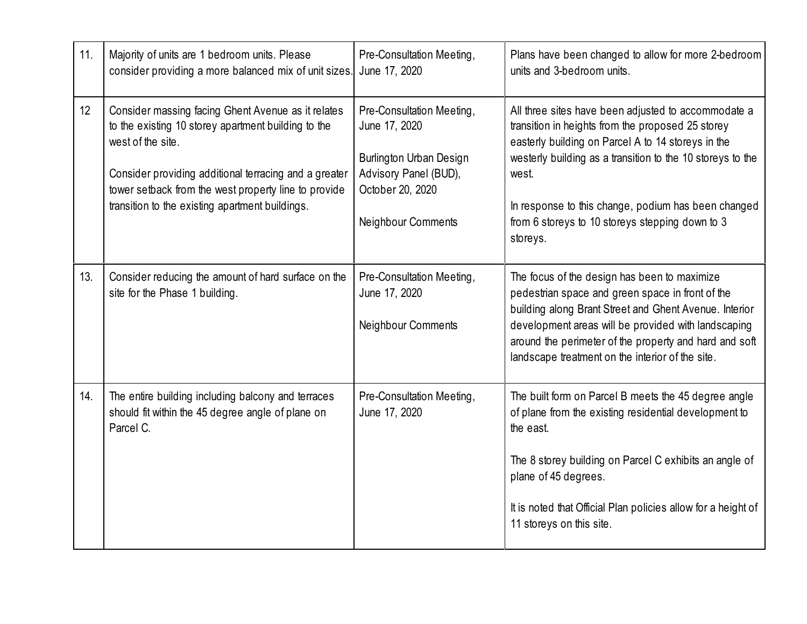| 11. | Majority of units are 1 bedroom units. Please<br>consider providing a more balanced mix of unit sizes.                                                                                                                                                                                             | Pre-Consultation Meeting,<br>June 17, 2020                                                                                               | Plans have been changed to allow for more 2-bedroom<br>units and 3-bedroom units.                                                                                                                                                                                                                                                                           |
|-----|----------------------------------------------------------------------------------------------------------------------------------------------------------------------------------------------------------------------------------------------------------------------------------------------------|------------------------------------------------------------------------------------------------------------------------------------------|-------------------------------------------------------------------------------------------------------------------------------------------------------------------------------------------------------------------------------------------------------------------------------------------------------------------------------------------------------------|
| 12  | Consider massing facing Ghent Avenue as it relates<br>to the existing 10 storey apartment building to the<br>west of the site.<br>Consider providing additional terracing and a greater<br>tower setback from the west property line to provide<br>transition to the existing apartment buildings. | Pre-Consultation Meeting,<br>June 17, 2020<br>Burlington Urban Design<br>Advisory Panel (BUD),<br>October 20, 2020<br>Neighbour Comments | All three sites have been adjusted to accommodate a<br>transition in heights from the proposed 25 storey<br>easterly building on Parcel A to 14 storeys in the<br>westerly building as a transition to the 10 storeys to the<br>west.<br>In response to this change, podium has been changed<br>from 6 storeys to 10 storeys stepping down to 3<br>storeys. |
| 13. | Consider reducing the amount of hard surface on the<br>site for the Phase 1 building.                                                                                                                                                                                                              | Pre-Consultation Meeting,<br>June 17, 2020<br>Neighbour Comments                                                                         | The focus of the design has been to maximize<br>pedestrian space and green space in front of the<br>building along Brant Street and Ghent Avenue. Interior<br>development areas will be provided with landscaping<br>around the perimeter of the property and hard and soft<br>landscape treatment on the interior of the site.                             |
| 14. | The entire building including balcony and terraces<br>should fit within the 45 degree angle of plane on<br>Parcel C.                                                                                                                                                                               | Pre-Consultation Meeting,<br>June 17, 2020                                                                                               | The built form on Parcel B meets the 45 degree angle<br>of plane from the existing residential development to<br>the east.<br>The 8 storey building on Parcel C exhibits an angle of<br>plane of 45 degrees.<br>It is noted that Official Plan policies allow for a height of<br>11 storeys on this site.                                                   |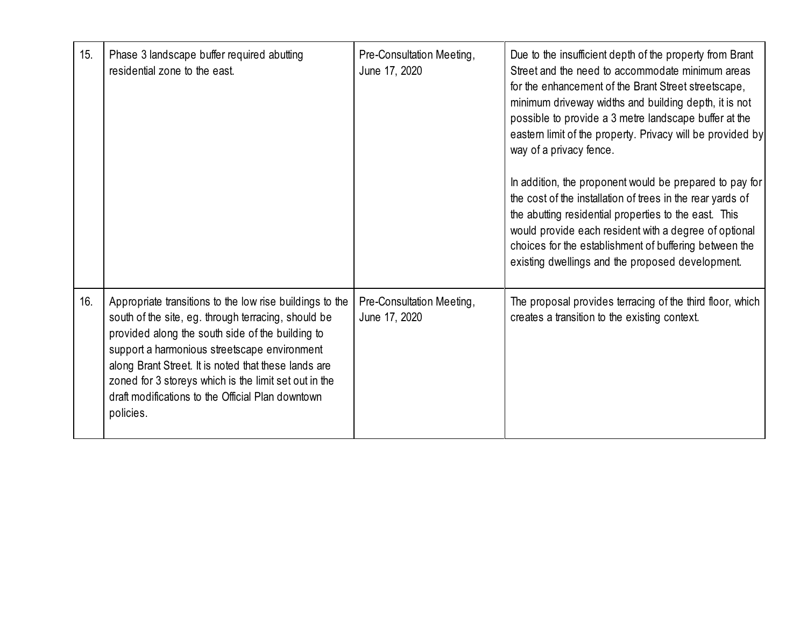| 15. | Phase 3 landscape buffer required abutting<br>residential zone to the east.                                                                                                                                                                                                                                                                                                                            | Pre-Consultation Meeting,<br>June 17, 2020 | Due to the insufficient depth of the property from Brant<br>Street and the need to accommodate minimum areas<br>for the enhancement of the Brant Street streetscape,<br>minimum driveway widths and building depth, it is not<br>possible to provide a 3 metre landscape buffer at the<br>eastern limit of the property. Privacy will be provided by<br>way of a privacy fence.<br>In addition, the proponent would be prepared to pay for<br>the cost of the installation of trees in the rear yards of<br>the abutting residential properties to the east. This<br>would provide each resident with a degree of optional<br>choices for the establishment of buffering between the<br>existing dwellings and the proposed development. |
|-----|--------------------------------------------------------------------------------------------------------------------------------------------------------------------------------------------------------------------------------------------------------------------------------------------------------------------------------------------------------------------------------------------------------|--------------------------------------------|------------------------------------------------------------------------------------------------------------------------------------------------------------------------------------------------------------------------------------------------------------------------------------------------------------------------------------------------------------------------------------------------------------------------------------------------------------------------------------------------------------------------------------------------------------------------------------------------------------------------------------------------------------------------------------------------------------------------------------------|
| 16. | Appropriate transitions to the low rise buildings to the<br>south of the site, eg. through terracing, should be<br>provided along the south side of the building to<br>support a harmonious streetscape environment<br>along Brant Street. It is noted that these lands are<br>zoned for 3 storeys which is the limit set out in the<br>draft modifications to the Official Plan downtown<br>policies. | Pre-Consultation Meeting,<br>June 17, 2020 | The proposal provides terracing of the third floor, which<br>creates a transition to the existing context.                                                                                                                                                                                                                                                                                                                                                                                                                                                                                                                                                                                                                               |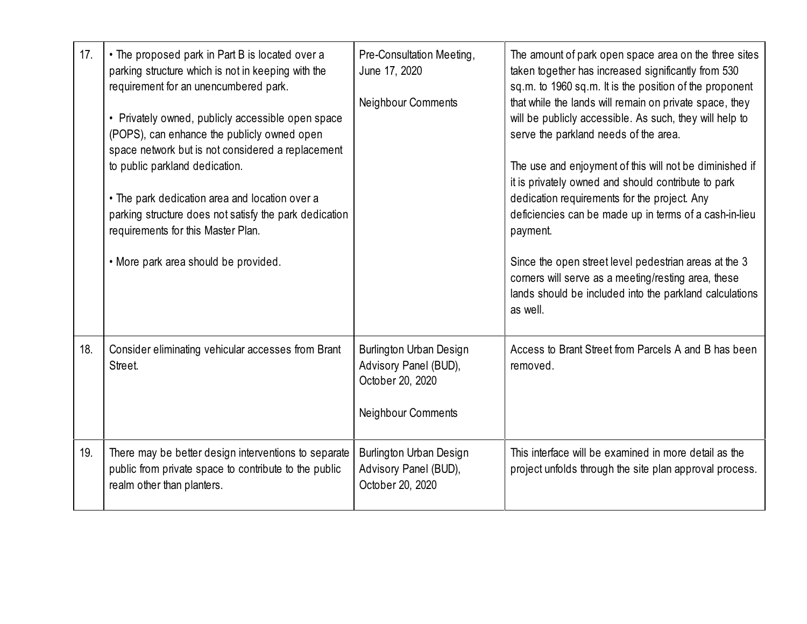| 17. | • The proposed park in Part B is located over a<br>parking structure which is not in keeping with the<br>requirement for an unencumbered park.<br>• Privately owned, publicly accessible open space<br>(POPS), can enhance the publicly owned open<br>space network but is not considered a replacement<br>to public parkland dedication.<br>• The park dedication area and location over a<br>parking structure does not satisfy the park dedication<br>requirements for this Master Plan.<br>• More park area should be provided. | Pre-Consultation Meeting,<br>June 17, 2020<br>Neighbour Comments                                  | The amount of park open space area on the three sites<br>taken together has increased significantly from 530<br>sq.m. to 1960 sq.m. It is the position of the proponent<br>that while the lands will remain on private space, they<br>will be publicly accessible. As such, they will help to<br>serve the parkland needs of the area.<br>The use and enjoyment of this will not be diminished if<br>it is privately owned and should contribute to park<br>dedication requirements for the project. Any<br>deficiencies can be made up in terms of a cash-in-lieu<br>payment.<br>Since the open street level pedestrian areas at the 3<br>corners will serve as a meeting/resting area, these<br>lands should be included into the parkland calculations<br>as well. |
|-----|-------------------------------------------------------------------------------------------------------------------------------------------------------------------------------------------------------------------------------------------------------------------------------------------------------------------------------------------------------------------------------------------------------------------------------------------------------------------------------------------------------------------------------------|---------------------------------------------------------------------------------------------------|-----------------------------------------------------------------------------------------------------------------------------------------------------------------------------------------------------------------------------------------------------------------------------------------------------------------------------------------------------------------------------------------------------------------------------------------------------------------------------------------------------------------------------------------------------------------------------------------------------------------------------------------------------------------------------------------------------------------------------------------------------------------------|
| 18. | Consider eliminating vehicular accesses from Brant<br>Street.                                                                                                                                                                                                                                                                                                                                                                                                                                                                       | Burlington Urban Design<br>Advisory Panel (BUD),<br>October 20, 2020<br><b>Neighbour Comments</b> | Access to Brant Street from Parcels A and B has been<br>removed.                                                                                                                                                                                                                                                                                                                                                                                                                                                                                                                                                                                                                                                                                                      |
| 19. | There may be better design interventions to separate<br>public from private space to contribute to the public<br>realm other than planters.                                                                                                                                                                                                                                                                                                                                                                                         | <b>Burlington Urban Design</b><br>Advisory Panel (BUD),<br>October 20, 2020                       | This interface will be examined in more detail as the<br>project unfolds through the site plan approval process.                                                                                                                                                                                                                                                                                                                                                                                                                                                                                                                                                                                                                                                      |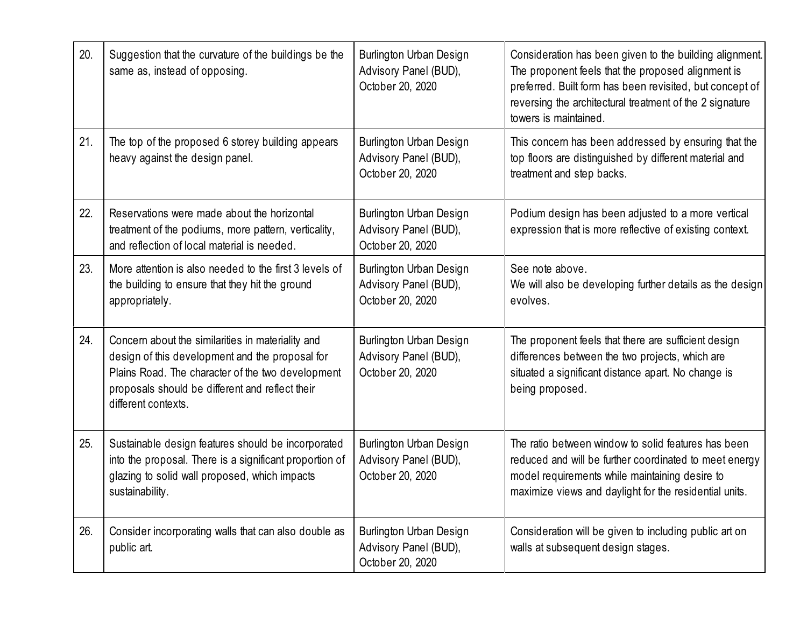| 20. | Suggestion that the curvature of the buildings be the<br>same as, instead of opposing.                                                                                                                                              | Burlington Urban Design<br>Advisory Panel (BUD),<br>October 20, 2020 | Consideration has been given to the building alignment.<br>The proponent feels that the proposed alignment is<br>preferred. Built form has been revisited, but concept of<br>reversing the architectural treatment of the 2 signature<br>towers is maintained. |
|-----|-------------------------------------------------------------------------------------------------------------------------------------------------------------------------------------------------------------------------------------|----------------------------------------------------------------------|----------------------------------------------------------------------------------------------------------------------------------------------------------------------------------------------------------------------------------------------------------------|
| 21. | The top of the proposed 6 storey building appears<br>heavy against the design panel.                                                                                                                                                | Burlington Urban Design<br>Advisory Panel (BUD),<br>October 20, 2020 | This concern has been addressed by ensuring that the<br>top floors are distinguished by different material and<br>treatment and step backs.                                                                                                                    |
| 22. | Reservations were made about the horizontal<br>treatment of the podiums, more pattern, verticality,<br>and reflection of local material is needed.                                                                                  | Burlington Urban Design<br>Advisory Panel (BUD),<br>October 20, 2020 | Podium design has been adjusted to a more vertical<br>expression that is more reflective of existing context.                                                                                                                                                  |
| 23. | More attention is also needed to the first 3 levels of<br>the building to ensure that they hit the ground<br>appropriately.                                                                                                         | Burlington Urban Design<br>Advisory Panel (BUD),<br>October 20, 2020 | See note above.<br>We will also be developing further details as the design<br>evolves.                                                                                                                                                                        |
| 24. | Concern about the similarities in materiality and<br>design of this development and the proposal for<br>Plains Road. The character of the two development<br>proposals should be different and reflect their<br>different contexts. | Burlington Urban Design<br>Advisory Panel (BUD),<br>October 20, 2020 | The proponent feels that there are sufficient design<br>differences between the two projects, which are<br>situated a significant distance apart. No change is<br>being proposed.                                                                              |
| 25. | Sustainable design features should be incorporated<br>into the proposal. There is a significant proportion of<br>glazing to solid wall proposed, which impacts<br>sustainability.                                                   | Burlington Urban Design<br>Advisory Panel (BUD),<br>October 20, 2020 | The ratio between window to solid features has been<br>reduced and will be further coordinated to meet energy<br>model requirements while maintaining desire to<br>maximize views and daylight for the residential units.                                      |
| 26. | Consider incorporating walls that can also double as<br>public art.                                                                                                                                                                 | Burlington Urban Design<br>Advisory Panel (BUD),<br>October 20, 2020 | Consideration will be given to including public art on<br>walls at subsequent design stages.                                                                                                                                                                   |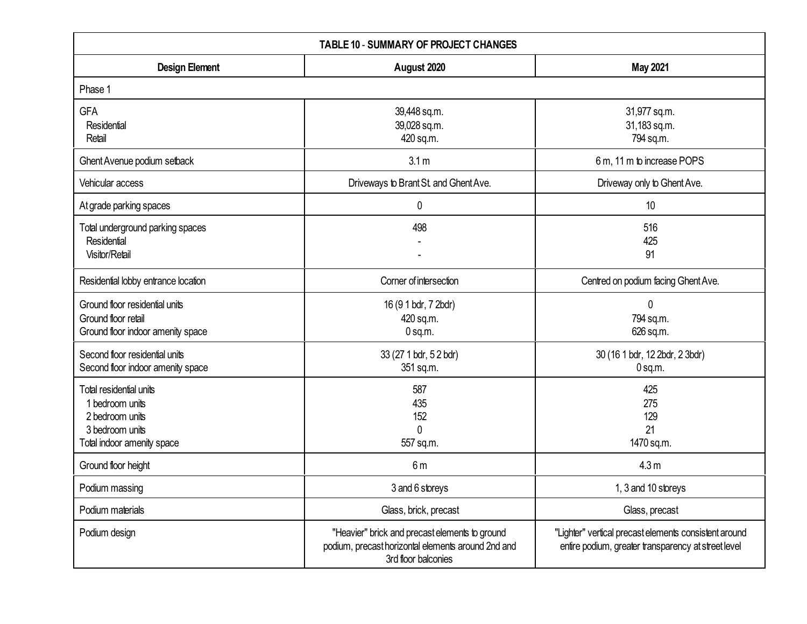| <b>TABLE 10 - SUMMARY OF PROJECT CHANGES</b>                                                                   |                                                                                                                             |                                                                                                              |  |
|----------------------------------------------------------------------------------------------------------------|-----------------------------------------------------------------------------------------------------------------------------|--------------------------------------------------------------------------------------------------------------|--|
| <b>Design Element</b>                                                                                          | August 2020                                                                                                                 | <b>May 2021</b>                                                                                              |  |
| Phase 1                                                                                                        |                                                                                                                             |                                                                                                              |  |
| <b>GFA</b><br>Residential<br>Retail                                                                            | 39,448 sq.m.<br>39,028 sq.m.<br>420 sq.m.                                                                                   | 31,977 sq.m.<br>31,183 sq.m.<br>794 sq.m.                                                                    |  |
| Ghent Avenue podium setback                                                                                    | 3.1 <sub>m</sub>                                                                                                            | 6 m, 11 m to increase POPS                                                                                   |  |
| Vehicular access                                                                                               | Driveways to Brant St. and Ghent Ave.                                                                                       | Driveway only to Ghent Ave.                                                                                  |  |
| At grade parking spaces                                                                                        | $\boldsymbol{0}$                                                                                                            | 10                                                                                                           |  |
| Total underground parking spaces<br>Residential<br>Visitor/Retail                                              | 498                                                                                                                         | 516<br>425<br>91                                                                                             |  |
| Residential lobby entrance location                                                                            | Corner of intersection                                                                                                      | Centred on podium facing Ghent Ave.                                                                          |  |
| Ground floor residential units<br>Ground floor retail<br>Ground floor indoor amenity space                     | 16 (9 1 bdr, 7 2bdr)<br>420 sq.m.<br>$0$ sq.m.                                                                              | $\mathbf{0}$<br>794 sq.m.<br>626 sq.m.                                                                       |  |
| Second floor residential units<br>Second floor indoor amenity space                                            | 33 (27 1 bdr, 5 2 bdr)<br>351 sq.m.                                                                                         | 30 (16 1 bdr, 12 2bdr, 2 3bdr)<br>$0$ sq.m.                                                                  |  |
| Total residential units<br>1 bedroom units<br>2 bedroom units<br>3 bedroom units<br>Total indoor amenity space | 587<br>435<br>152<br>0<br>557 sq.m.                                                                                         | 425<br>275<br>129<br>21<br>1470 sq.m.                                                                        |  |
| Ground floor height                                                                                            | 6 <sub>m</sub>                                                                                                              | 4.3 <sub>m</sub>                                                                                             |  |
| Podium massing                                                                                                 | 3 and 6 storeys                                                                                                             | 1, 3 and 10 storeys                                                                                          |  |
| Podium materials                                                                                               | Glass, brick, precast                                                                                                       | Glass, precast                                                                                               |  |
| Podium design                                                                                                  | "Heavier" brick and precast elements to ground<br>podium, precast horizontal elements around 2nd and<br>3rd floor balconies | "Lighter" vertical precast elements consistent around<br>entire podium, greater transparency at street level |  |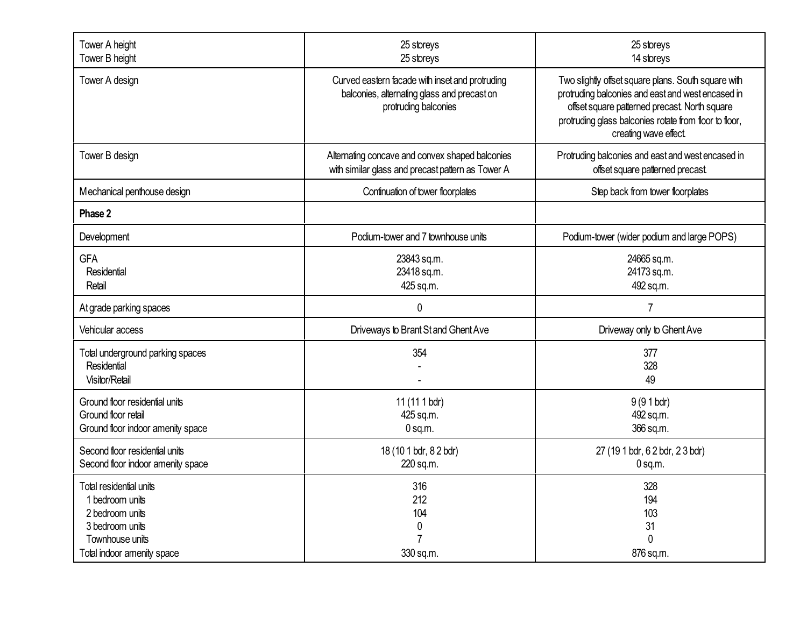| Tower A height<br>Tower B height                                                                                                  | 25 storeys<br>25 storeys                                                                                               | 25 storeys<br>14 storeys                                                                                                                                                                                                                     |
|-----------------------------------------------------------------------------------------------------------------------------------|------------------------------------------------------------------------------------------------------------------------|----------------------------------------------------------------------------------------------------------------------------------------------------------------------------------------------------------------------------------------------|
| Tower A design                                                                                                                    | Curved eastern facade with inset and protruding<br>balconies, alternating glass and precast on<br>protruding balconies | Two slightly offset square plans. South square with<br>protruding balconies and east and west encased in<br>offset square patterned precast. North square<br>protruding glass balconies rotate from floor to floor,<br>creating wave effect. |
| Tower B design                                                                                                                    | Alternating concave and convex shaped balconies<br>with similar glass and precast pattern as Tower A                   | Protruding balconies and east and west encased in<br>offset square patterned precast.                                                                                                                                                        |
| Mechanical penthouse design                                                                                                       | Continuation of tower floorplates                                                                                      | Step back from tower floorplates                                                                                                                                                                                                             |
| Phase 2                                                                                                                           |                                                                                                                        |                                                                                                                                                                                                                                              |
| Development                                                                                                                       | Podium-tower and 7 townhouse units                                                                                     | Podium-tower (wider podium and large POPS)                                                                                                                                                                                                   |
| <b>GFA</b><br>Residential<br>Retail                                                                                               | 23843 sq.m.<br>23418 sq.m.<br>425 sq.m.                                                                                | 24665 sq.m.<br>24173 sq.m.<br>492 sq.m.                                                                                                                                                                                                      |
| At grade parking spaces                                                                                                           | $\mathbf 0$                                                                                                            | $\overline{7}$                                                                                                                                                                                                                               |
| Vehicular access                                                                                                                  | Driveways to Brant St and Ghent Ave                                                                                    | Driveway only to Ghent Ave                                                                                                                                                                                                                   |
| Total underground parking spaces<br>Residential<br>Visitor/Retail                                                                 | 354                                                                                                                    | 377<br>328<br>49                                                                                                                                                                                                                             |
| Ground floor residential units<br>Ground floor retail<br>Ground floor indoor amenity space                                        | 11 (11 1 bdr)<br>425 sq.m.<br>$0$ sq.m.                                                                                | $9(91$ bdr)<br>492 sq.m.<br>366 sq.m.                                                                                                                                                                                                        |
| Second floor residential units<br>Second floor indoor amenity space                                                               | 18 (10 1 bdr, 8 2 bdr)<br>220 sq.m.                                                                                    | 27 (19 1 bdr, 6 2 bdr, 2 3 bdr)<br>$0$ sq.m.                                                                                                                                                                                                 |
| Total residential units<br>1 bedroom units<br>2 bedroom units<br>3 bedroom units<br>Townhouse units<br>Total indoor amenity space | 316<br>212<br>104<br>0<br>7<br>330 sq.m.                                                                               | 328<br>194<br>103<br>31<br>$\Omega$<br>876 sq.m.                                                                                                                                                                                             |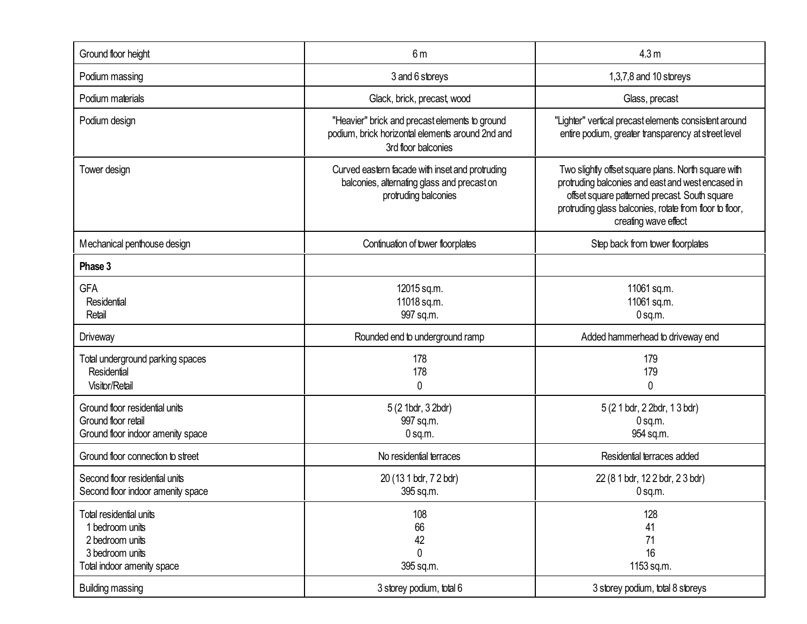| Ground floor height                                                                                            | 6m                                                                                                                        | 4.3 <sub>m</sub>                                                                                                                                                                                                                             |
|----------------------------------------------------------------------------------------------------------------|---------------------------------------------------------------------------------------------------------------------------|----------------------------------------------------------------------------------------------------------------------------------------------------------------------------------------------------------------------------------------------|
| Podium massing                                                                                                 | 3 and 6 storeys                                                                                                           | 1,3,7,8 and 10 storeys                                                                                                                                                                                                                       |
| Podium materials                                                                                               | Glack, brick, precast, wood                                                                                               | Glass, precast                                                                                                                                                                                                                               |
| Podium design                                                                                                  | "Heavier" brick and precast elements to ground<br>podium, brick horizontal elements around 2nd and<br>3rd floor balconies | "Lighter" vertical precast elements consistent around<br>entire podium, greater transparency at street level                                                                                                                                 |
| Tower design                                                                                                   | Curved eastern facade with inset and protruding<br>balconies, alternating glass and precast on<br>protruding balconies    | Two slightly offset square plans. North square with<br>protruding balconies and east and west encased in<br>offset square patterned precast. South square<br>protruding glass balconies, rotate from floor to floor,<br>creating wave effect |
| Mechanical penthouse design                                                                                    | Continuation of tower floorplates                                                                                         | Step back from tower floorplates                                                                                                                                                                                                             |
| Phase 3                                                                                                        |                                                                                                                           |                                                                                                                                                                                                                                              |
| <b>GFA</b><br>Residential<br>Retail                                                                            | 12015 sq.m.<br>11018 sq.m.<br>997 sq.m.                                                                                   | 11061 sq.m.<br>11061 sq.m.<br>$0$ sq.m.                                                                                                                                                                                                      |
| <b>Driveway</b>                                                                                                | Rounded end to underground ramp                                                                                           | Added hammerhead to driveway end                                                                                                                                                                                                             |
| Total underground parking spaces<br>Residential<br>Visitor/Retail                                              | 178<br>178<br>0                                                                                                           | 179<br>179<br>$\mathbf 0$                                                                                                                                                                                                                    |
| Ground floor residential units<br>Ground floor retail<br>Ground floor indoor amenity space                     | 5 (2 1bdr, 3 2bdr)<br>997 sq.m.<br>$0$ sq.m.                                                                              | 5 (2 1 bdr, 2 2bdr, 1 3 bdr)<br>$0$ sq.m.<br>954 sq.m.                                                                                                                                                                                       |
| Ground floor connection to street                                                                              | No residential terraces                                                                                                   | Residential terraces added                                                                                                                                                                                                                   |
| Second floor residential units<br>Second floor indoor amenity space                                            | 20 (13 1 bdr, 7 2 bdr)<br>395 sq.m.                                                                                       | 22 (8 1 bdr, 12 2 bdr, 2 3 bdr)<br>$0$ sq.m.                                                                                                                                                                                                 |
| Total residential units<br>1 bedroom units<br>2 bedroom units<br>3 bedroom units<br>Total indoor amenity space | 108<br>66<br>42<br>$\mathbf 0$<br>395 sq.m.                                                                               | 128<br>41<br>71<br>16<br>1153 sq.m.                                                                                                                                                                                                          |
| <b>Building massing</b>                                                                                        | 3 storey podium, total 6                                                                                                  | 3 storey podium, total 8 storeys                                                                                                                                                                                                             |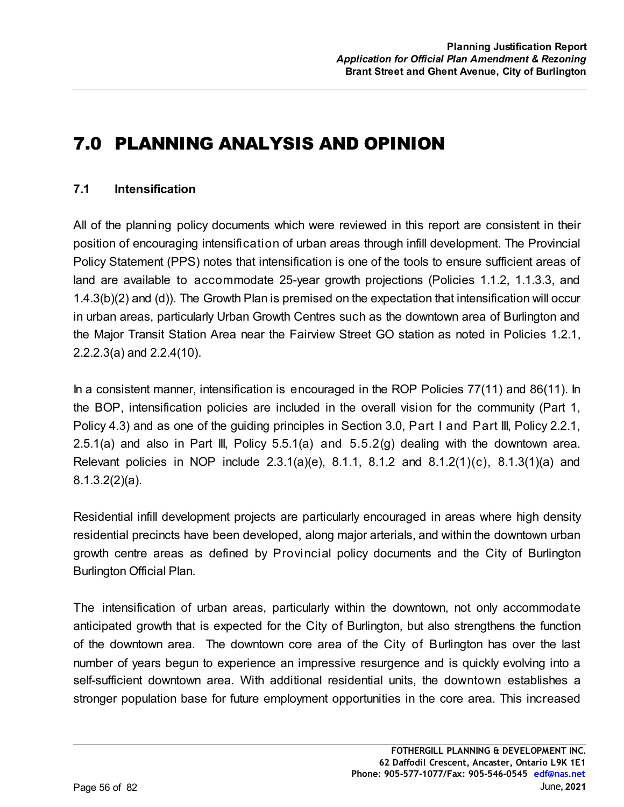# 7.0 PLANNING ANALYSIS AND OPINION

## **7.1 Intensification**

All of the planning policy documents which were reviewed in this report are consistent in their position of encouraging intensification of urban areas through infill development. The Provincial Policy Statement (PPS) notes that intensification is one of the tools to ensure sufficient areas of land are available to accommodate 25-year growth projections (Policies 1.1.2, 1.1.3.3, and 1.4.3(b)(2) and (d)). The Growth Plan is premised on the expectation that intensification will occur in urban areas, particularly Urban Growth Centres such as the downtown area of Burlington and the Major Transit Station Area near the Fairview Street GO station as noted in Policies 1.2.1, 2.2.2.3(a) and 2.2.4(10).

In a consistent manner, intensification is encouraged in the ROP Policies 77(11) and 86(11). In the BOP, intensification policies are included in the overall vision for the community (Part 1, Policy 4.3) and as one of the guiding principles in Section 3.0, Part I and Part III, Policy 2.2.1, 2.5.1(a) and also in Part III, Policy 5.5.1(a) and 5.5.2(g) dealing with the downtown area. Relevant policies in NOP include 2.3.1(a)(e), 8.1.1, 8.1.2 and 8.1.2(1)(c), 8.1.3(1)(a) and 8.1.3.2(2)(a).

Residential infill development projects are particularly encouraged in areas where high density residential precincts have been developed, along major arterials, and within the downtown urban growth centre areas as defined by Provincial policy documents and the City of Burlington Burlington Official Plan.

The intensification of urban areas, particularly within the downtown, not only accommodate anticipated growth that is expected for the City of Burlington, but also strengthens the function of the downtown area. The downtown core area of the City of Burlington has over the last number of years begun to experience an impressive resurgence and is quickly evolving into a self-sufficient downtown area. With additional residential units, the downtown establishes a stronger population base for future employment opportunities in the core area. This increased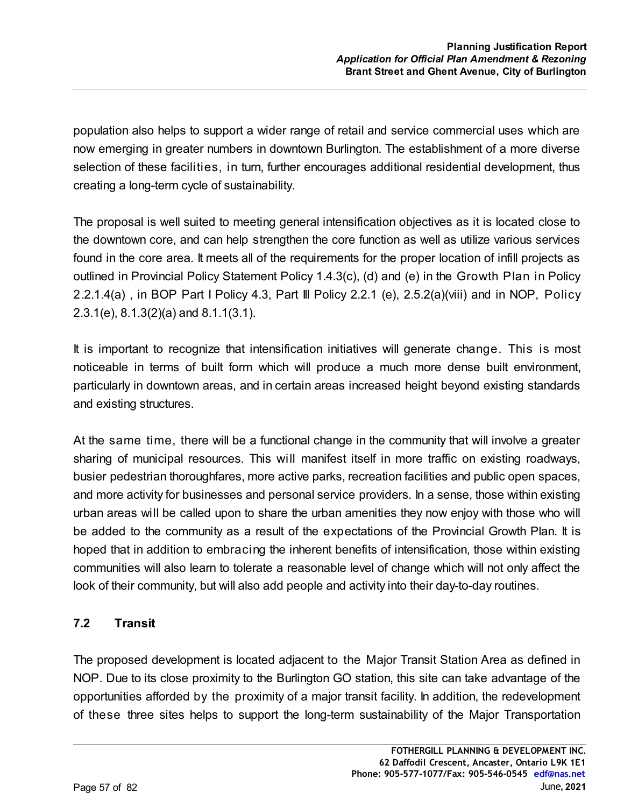population also helps to support a wider range of retail and service commercial uses which are now emerging in greater numbers in downtown Burlington. The establishment of a more diverse selection of these facilities, in turn, further encourages additional residential development, thus creating a long-term cycle of sustainability.

The proposal is well suited to meeting general intensification objectives as it is located close to the downtown core, and can help strengthen the core function as well as utilize various services found in the core area. It meets all of the requirements for the proper location of infill projects as outlined in Provincial Policy Statement Policy 1.4.3(c), (d) and (e) in the Growth Plan in Policy 2.2.1.4(a) , in BOP Part I Policy 4.3, Part Ill Policy 2.2.1 (e), 2.5.2(a)(viii) and in NOP, Policy 2.3.1(e), 8.1.3(2)(a) and 8.1.1(3.1).

It is important to recognize that intensification initiatives will generate change. This is most noticeable in terms of built form which will produce a much more dense built environment, particularly in downtown areas, and in certain areas increased height beyond existing standards and existing structures.

At the same time, there will be a functional change in the community that will involve a greater sharing of municipal resources. This will manifest itself in more traffic on existing roadways, busier pedestrian thoroughfares, more active parks, recreation facilities and public open spaces, and more activity for businesses and personal service providers. In a sense, those within existing urban areas will be called upon to share the urban amenities they now enjoy with those who will be added to the community as a result of the expectations of the Provincial Growth Plan. It is hoped that in addition to embracing the inherent benefits of intensification, those within existing communities will also learn to tolerate a reasonable level of change which will not only affect the look of their community, but will also add people and activity into their day-to-day routines.

# **7.2 Transit**

The proposed development is located adjacent to the Major Transit Station Area as defined in NOP. Due to its close proximity to the Burlington GO station, this site can take advantage of the opportunities afforded by the proximity of a major transit facility. In addition, the redevelopment of these three sites helps to support the long-term sustainability of the Major Transportation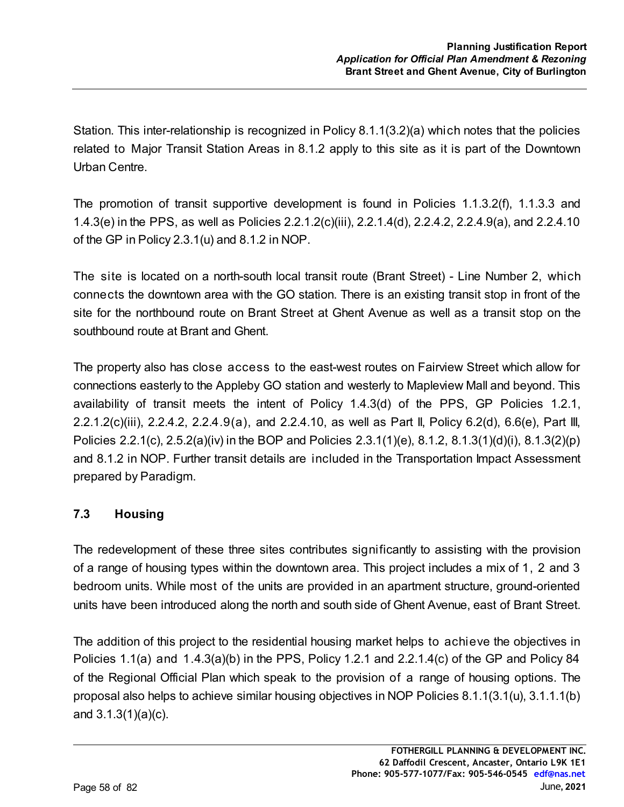Station. This inter-relationship is recognized in Policy 8.1.1(3.2)(a) which notes that the policies related to Major Transit Station Areas in 8.1.2 apply to this site as it is part of the Downtown Urban Centre.

The promotion of transit supportive development is found in Policies 1.1.3.2(f), 1.1.3.3 and 1.4.3(e) in the PPS, as well as Policies 2.2.1.2(c)(iii), 2.2.1.4(d), 2.2.4.2, 2.2.4.9(a), and 2.2.4.10 of the GP in Policy 2.3.1(u) and 8.1.2 in NOP.

The site is located on a north-south local transit route (Brant Street) - Line Number 2, which connects the downtown area with the GO station. There is an existing transit stop in front of the site for the northbound route on Brant Street at Ghent Avenue as well as a transit stop on the southbound route at Brant and Ghent.

The property also has close access to the east-west routes on Fairview Street which allow for connections easterly to the Appleby GO station and westerly to Mapleview Mall and beyond. This availability of transit meets the intent of Policy 1.4.3(d) of the PPS, GP Policies 1.2.1, 2.2.1.2(c)(iii), 2.2.4.2, 2.2.4.9(a), and 2.2.4.10, as well as Part II, Policy 6.2(d), 6.6(e), Part III, Policies 2.2.1(c), 2.5.2(a)(iv) in the BOP and Policies 2.3.1(1)(e), 8.1.2, 8.1.3(1)(d)(i), 8.1.3(2)(p) and 8.1.2 in NOP. Further transit details are included in the Transportation Impact Assessment prepared by Paradigm.

# **7.3 Housing**

The redevelopment of these three sites contributes significantly to assisting with the provision of a range of housing types within the downtown area. This project includes a mix of 1, 2 and 3 bedroom units. While most of the units are provided in an apartment structure, ground-oriented units have been introduced along the north and south side of Ghent Avenue, east of Brant Street.

The addition of this project to the residential housing market helps to achieve the objectives in Policies 1.1(a) and 1.4.3(a)(b) in the PPS, Policy 1.2.1 and 2.2.1.4(c) of the GP and Policy 84 of the Regional Official Plan which speak to the provision of a range of housing options. The proposal also helps to achieve similar housing objectives in NOP Policies 8.1.1(3.1(u), 3.1.1.1(b) and 3.1.3(1)(a)(c).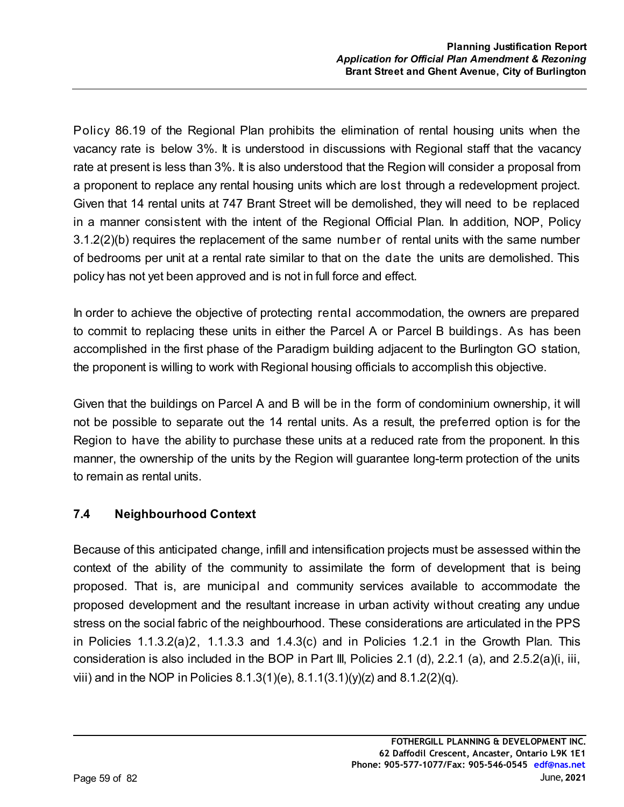Policy 86.19 of the Regional Plan prohibits the elimination of rental housing units when the vacancy rate is below 3%. It is understood in discussions with Regional staff that the vacancy rate at present is less than 3%. It is also understood that the Region will consider a proposal from a proponent to replace any rental housing units which are lost through a redevelopment project. Given that 14 rental units at 747 Brant Street will be demolished, they will need to be replaced in a manner consistent with the intent of the Regional Official Plan. In addition, NOP, Policy 3.1.2(2)(b) requires the replacement of the same number of rental units with the same number of bedrooms per unit at a rental rate similar to that on the date the units are demolished. This policy has not yet been approved and is not in full force and effect.

In order to achieve the objective of protecting rental accommodation, the owners are prepared to commit to replacing these units in either the Parcel A or Parcel B buildings. As has been accomplished in the first phase of the Paradigm building adjacent to the Burlington GO station, the proponent is willing to work with Regional housing officials to accomplish this objective.

Given that the buildings on Parcel A and B will be in the form of condominium ownership, it will not be possible to separate out the 14 rental units. As a result, the preferred option is for the Region to have the ability to purchase these units at a reduced rate from the proponent. In this manner, the ownership of the units by the Region will guarantee long-term protection of the units to remain as rental units.

# **7.4 Neighbourhood Context**

Because of this anticipated change, infill and intensification projects must be assessed within the context of the ability of the community to assimilate the form of development that is being proposed. That is, are municipal and community services available to accommodate the proposed development and the resultant increase in urban activity without creating any undue stress on the social fabric of the neighbourhood. These considerations are articulated in the PPS in Policies 1.1.3.2(a)2, 1.1.3.3 and 1.4.3(c) and in Policies 1.2.1 in the Growth Plan. This consideration is also included in the BOP in Part III, Policies 2.1 (d), 2.2.1 (a), and 2.5.2(a)(i, iii, viii) and in the NOP in Policies  $8.1.3(1)(e)$ ,  $8.1.1(3.1)(y)(z)$  and  $8.1.2(2)(q)$ .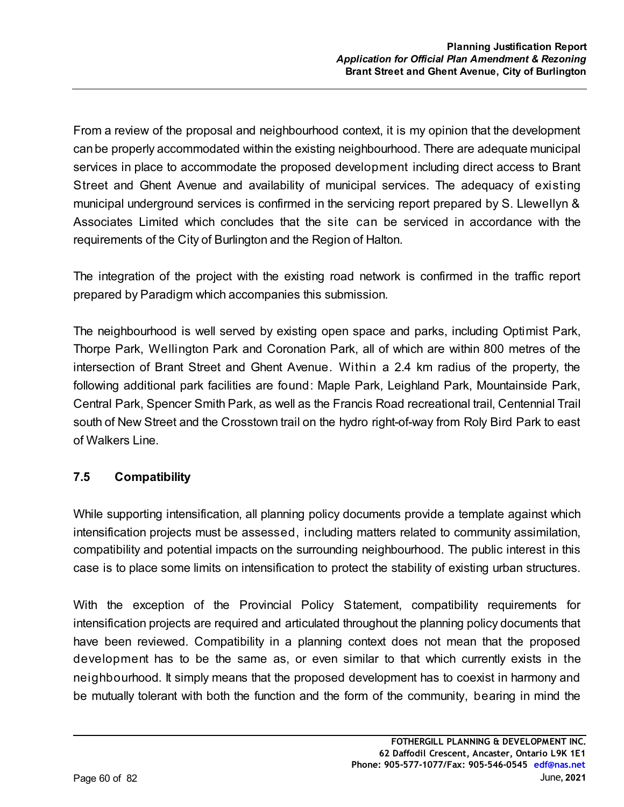From a review of the proposal and neighbourhood context, it is my opinion that the development can be properly accommodated within the existing neighbourhood. There are adequate municipal services in place to accommodate the proposed development including direct access to Brant Street and Ghent Avenue and availability of municipal services. The adequacy of existing municipal underground services is confirmed in the servicing report prepared by S. Llewellyn & Associates Limited which concludes that the site can be serviced in accordance with the requirements of the City of Burlington and the Region of Halton.

The integration of the project with the existing road network is confirmed in the traffic report prepared by Paradigm which accompanies this submission.

The neighbourhood is well served by existing open space and parks, including Optimist Park, Thorpe Park, Wellington Park and Coronation Park, all of which are within 800 metres of the intersection of Brant Street and Ghent Avenue. Within a 2.4 km radius of the property, the following additional park facilities are found: Maple Park, Leighland Park, Mountainside Park, Central Park, Spencer Smith Park, as well as the Francis Road recreational trail, Centennial Trail south of New Street and the Crosstown trail on the hydro right-of-way from Roly Bird Park to east of Walkers Line.

## **7.5 Compatibility**

While supporting intensification, all planning policy documents provide a template against which intensification projects must be assessed, including matters related to community assimilation, compatibility and potential impacts on the surrounding neighbourhood. The public interest in this case is to place some limits on intensification to protect the stability of existing urban structures.

With the exception of the Provincial Policy Statement, compatibility requirements for intensification projects are required and articulated throughout the planning policy documents that have been reviewed. Compatibility in a planning context does not mean that the proposed development has to be the same as, or even similar to that which currently exists in the neighbourhood. It simply means that the proposed development has to coexist in harmony and be mutually tolerant with both the function and the form of the community, bearing in mind the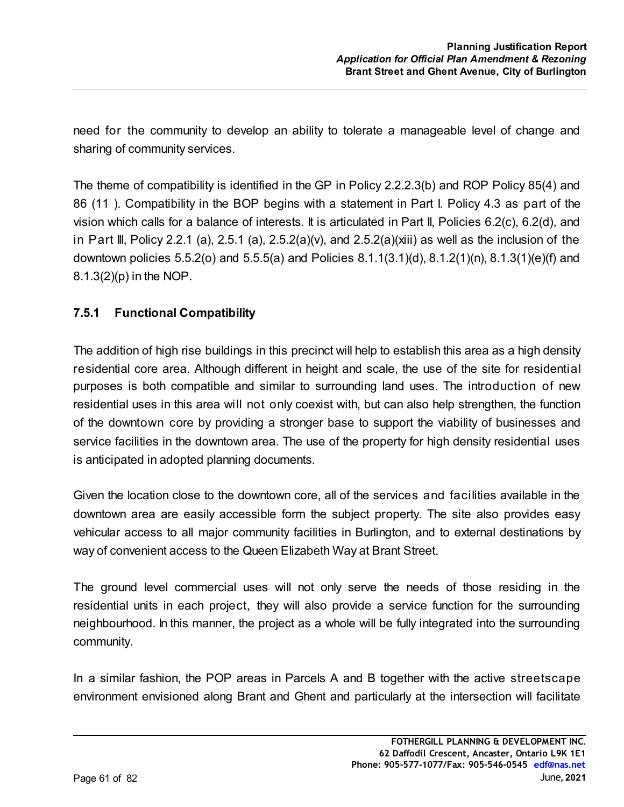need for the community to develop an ability to tolerate a manageable level of change and sharing of community services.

The theme of compatibility is identified in the GP in Policy 2.2.2.3(b) and ROP Policy 85(4) and 86 (11 ). Compatibility in the BOP begins with a statement in Part I. Policy 4.3 as part of the vision which calls for a balance of interests. It is articulated in Part II, Policies 6.2(c), 6.2(d), and in Part III, Policy 2.2.1 (a), 2.5.1 (a), 2.5.2(a)(v), and 2.5.2(a)(xiii) as well as the inclusion of the downtown policies 5.5.2(o) and 5.5.5(a) and Policies 8.1.1(3.1)(d), 8.1.2(1)(n), 8.1.3(1)(e)(f) and 8.1.3(2)(p) in the NOP.

# **7.5.1 Functional Compatibility**

The addition of high rise buildings in this precinct will help to establish this area as a high density residential core area. Although different in height and scale, the use of the site for residential purposes is both compatible and similar to surrounding land uses. The introduction of new residential uses in this area will not only coexist with, but can also help strengthen, the function of the downtown core by providing a stronger base to support the viability of businesses and service facilities in the downtown area. The use of the property for high density residential uses is anticipated in adopted planning documents.

Given the location close to the downtown core, all of the services and facilities available in the downtown area are easily accessible form the subject property. The site also provides easy vehicular access to all major community facilities in Burlington, and to external destinations by way of convenient access to the Queen Elizabeth Way at Brant Street.

The ground level commercial uses will not only serve the needs of those residing in the residential units in each project, they will also provide a service function for the surrounding neighbourhood. In this manner, the project as a whole will be fully integrated into the surrounding community.

In a similar fashion, the POP areas in Parcels A and B together with the active streetscape environment envisioned along Brant and Ghent and particularly at the intersection will facilitate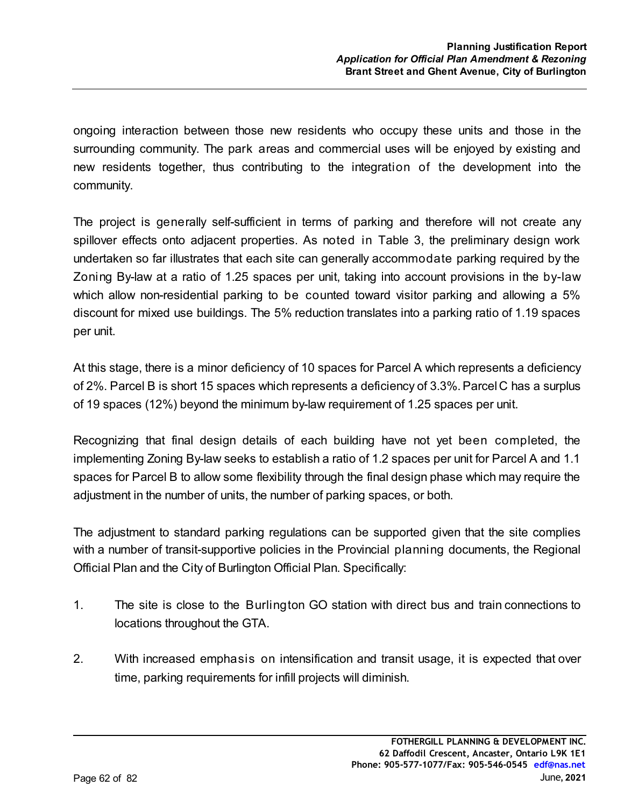ongoing interaction between those new residents who occupy these units and those in the surrounding community. The park areas and commercial uses will be enjoyed by existing and new residents together, thus contributing to the integration of the development into the community.

The project is generally self-sufficient in terms of parking and therefore will not create any spillover effects onto adjacent properties. As noted in Table 3, the preliminary design work undertaken so far illustrates that each site can generally accommodate parking required by the Zoning By-law at a ratio of 1.25 spaces per unit, taking into account provisions in the by-law which allow non-residential parking to be counted toward visitor parking and allowing a 5% discount for mixed use buildings. The 5% reduction translates into a parking ratio of 1.19 spaces per unit.

At this stage, there is a minor deficiency of 10 spaces for Parcel A which represents a deficiency of 2%. Parcel B is short 15 spaces which represents a deficiency of 3.3%. Parcel C has a surplus of 19 spaces (12%) beyond the minimum by-law requirement of 1.25 spaces per unit.

Recognizing that final design details of each building have not yet been completed, the implementing Zoning By-law seeks to establish a ratio of 1.2 spaces per unit for Parcel A and 1.1 spaces for Parcel B to allow some flexibility through the final design phase which may require the adjustment in the number of units, the number of parking spaces, or both.

The adjustment to standard parking regulations can be supported given that the site complies with a number of transit-supportive policies in the Provincial planning documents, the Regional Official Plan and the City of Burlington Official Plan. Specifically:

- 1. The site is close to the Burlington GO station with direct bus and train connections to locations throughout the GTA.
- 2. With increased emphasis on intensification and transit usage, it is expected that over time, parking requirements for infill projects will diminish.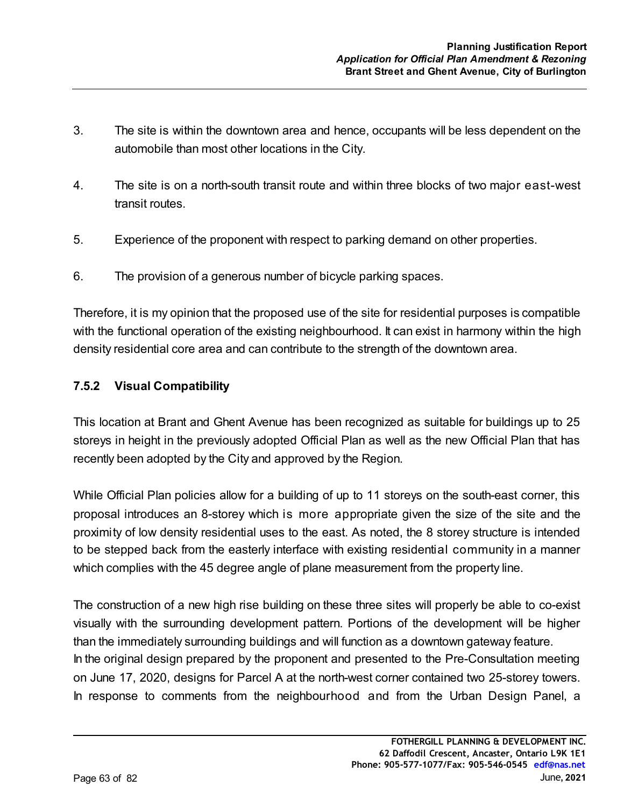- 3. The site is within the downtown area and hence, occupants will be less dependent on the automobile than most other locations in the City.
- 4. The site is on a north-south transit route and within three blocks of two major east-west transit routes.
- 5. Experience of the proponent with respect to parking demand on other properties.
- 6. The provision of a generous number of bicycle parking spaces.

Therefore, it is my opinion that the proposed use of the site for residential purposes is compatible with the functional operation of the existing neighbourhood. It can exist in harmony within the high density residential core area and can contribute to the strength of the downtown area.

## **7.5.2 Visual Compatibility**

This location at Brant and Ghent Avenue has been recognized as suitable for buildings up to 25 storeys in height in the previously adopted Official Plan as well as the new Official Plan that has recently been adopted by the City and approved by the Region.

While Official Plan policies allow for a building of up to 11 storeys on the south-east corner, this proposal introduces an 8-storey which is more appropriate given the size of the site and the proximity of low density residential uses to the east. As noted, the 8 storey structure is intended to be stepped back from the easterly interface with existing residential community in a manner which complies with the 45 degree angle of plane measurement from the property line.

The construction of a new high rise building on these three sites will properly be able to co-exist visually with the surrounding development pattern. Portions of the development will be higher than the immediately surrounding buildings and will function as a downtown gateway feature. In the original design prepared by the proponent and presented to the Pre-Consultation meeting on June 17, 2020, designs for Parcel A at the north-west corner contained two 25-storey towers. In response to comments from the neighbourhood and from the Urban Design Panel, a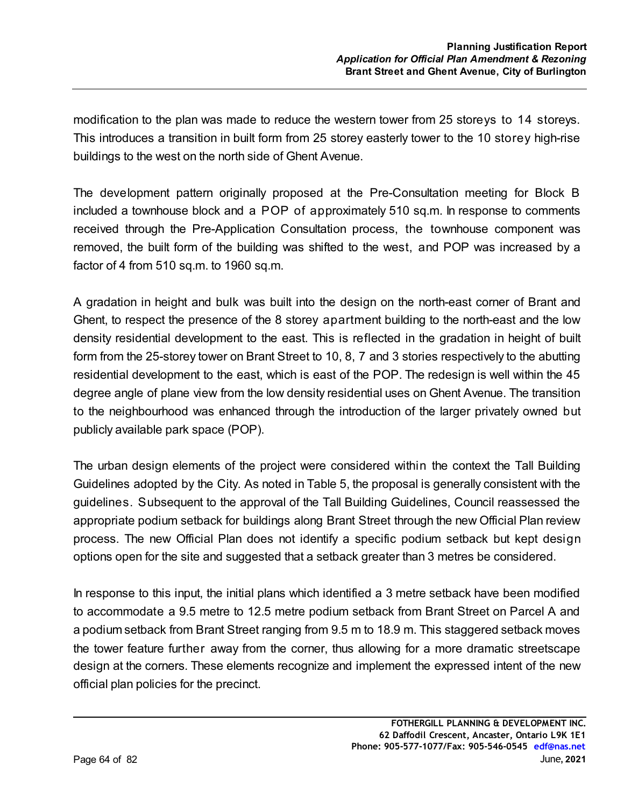modification to the plan was made to reduce the western tower from 25 storeys to 14 storeys. This introduces a transition in built form from 25 storey easterly tower to the 10 storey high-rise buildings to the west on the north side of Ghent Avenue.

The development pattern originally proposed at the Pre-Consultation meeting for Block B included a townhouse block and a POP of approximately 510 sq.m. In response to comments received through the Pre-Application Consultation process, the townhouse component was removed, the built form of the building was shifted to the west, and POP was increased by a factor of 4 from 510 sq.m. to 1960 sq.m.

A gradation in height and bulk was built into the design on the north-east corner of Brant and Ghent, to respect the presence of the 8 storey apartment building to the north-east and the low density residential development to the east. This is reflected in the gradation in height of built form from the 25-storey tower on Brant Street to 10, 8, 7 and 3 stories respectively to the abutting residential development to the east, which is east of the POP. The redesign is well within the 45 degree angle of plane view from the low density residential uses on Ghent Avenue. The transition to the neighbourhood was enhanced through the introduction of the larger privately owned but publicly available park space (POP).

The urban design elements of the project were considered within the context the Tall Building Guidelines adopted by the City. As noted in Table 5, the proposal is generally consistent with the guidelines. Subsequent to the approval of the Tall Building Guidelines, Council reassessed the appropriate podium setback for buildings along Brant Street through the new Official Plan review process. The new Official Plan does not identify a specific podium setback but kept design options open for the site and suggested that a setback greater than 3 metres be considered.

In response to this input, the initial plans which identified a 3 metre setback have been modified to accommodate a 9.5 metre to 12.5 metre podium setback from Brant Street on Parcel A and a podium setback from Brant Street ranging from 9.5 m to 18.9 m. This staggered setback moves the tower feature further away from the corner, thus allowing for a more dramatic streetscape design at the corners. These elements recognize and implement the expressed intent of the new official plan policies for the precinct.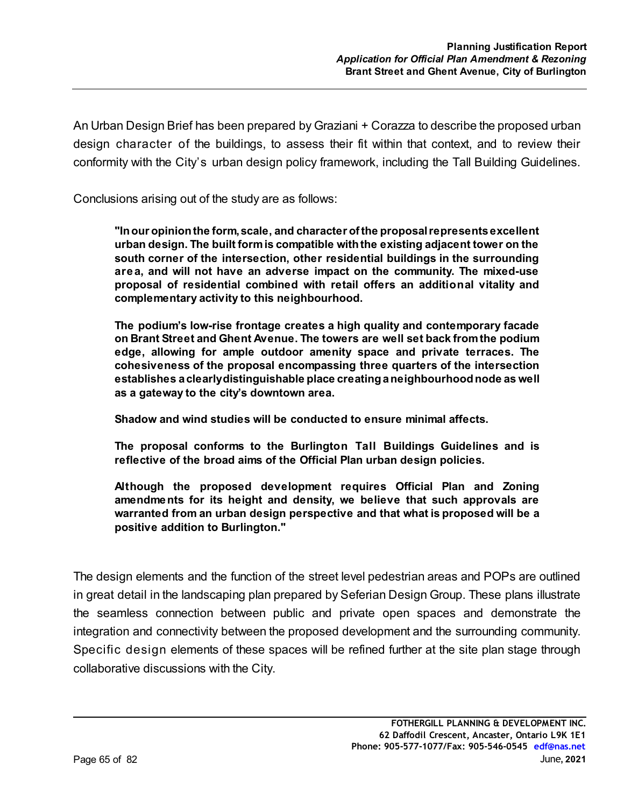An Urban Design Brief has been prepared by Graziani + Corazza to describe the proposed urban design character of the buildings, to assess their fit within that context, and to review their conformity with the City's urban design policy framework, including the Tall Building Guidelines.

Conclusions arising out of the study are as follows:

**"In our opinion the form, scale, and character of the proposal represents excellent urban design. The built form is compatible with the existing adjacent tower on the south corner of the intersection, other residential buildings in the surrounding area, and will not have an adverse impact on the community. The mixed-use proposal of residential combined with retail offers an additional vitality and complementary activity to this neighbourhood.**

**The podium's low-rise frontage creates a high quality and contemporary facade on Brant Street and Ghent Avenue. The towers are well set back from the podium edge, allowing for ample outdoor amenity space and private terraces. The cohesiveness of the proposal encompassing three quarters of the intersection establishes a clearly distinguishable place creating a neighbourhood node as well as a gateway to the city's downtown area.**

**Shadow and wind studies will be conducted to ensure minimal affects.**

**The proposal conforms to the Burlington Tall Buildings Guidelines and is reflective of the broad aims of the Official Plan urban design policies.**

**Although the proposed development requires Official Plan and Zoning amendments for its height and density, we believe that such approvals are warranted from an urban design perspective and that what is proposed will be a positive addition to Burlington."**

The design elements and the function of the street level pedestrian areas and POPs are outlined in great detail in the landscaping plan prepared by Seferian Design Group. These plans illustrate the seamless connection between public and private open spaces and demonstrate the integration and connectivity between the proposed development and the surrounding community. Specific design elements of these spaces will be refined further at the site plan stage through collaborative discussions with the City.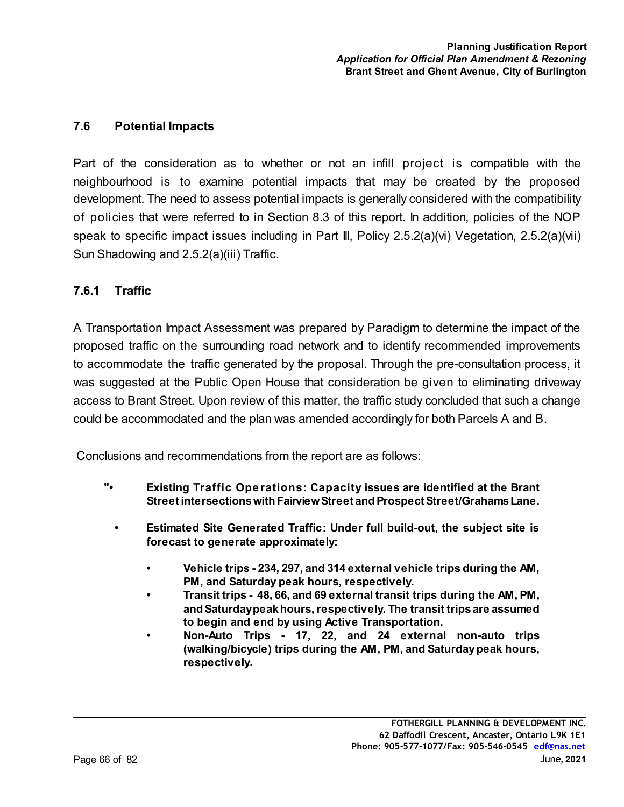#### **7.6 Potential Impacts**

Part of the consideration as to whether or not an infill project is compatible with the neighbourhood is to examine potential impacts that may be created by the proposed development. The need to assess potential impacts is generally considered with the compatibility of policies that were referred to in Section 8.3 of this report. In addition, policies of the NOP speak to specific impact issues including in Part Ill, Policy 2.5.2(a)(vi) Vegetation, 2.5.2(a)(vii) Sun Shadowing and 2.5.2(a)(iii) Traffic.

#### **7.6.1 Traffic**

A Transportation Impact Assessment was prepared by Paradigm to determine the impact of the proposed traffic on the surrounding road network and to identify recommended improvements to accommodate the traffic generated by the proposal. Through the pre-consultation process, it was suggested at the Public Open House that consideration be given to eliminating driveway access to Brant Street. Upon review of this matter, the traffic study concluded that such a change could be accommodated and the plan was amended accordingly for both Parcels A and B.

Conclusions and recommendations from the report are as follows:

- **"• Existing Traffic Operations: Capacity issues are identified at the Brant Street intersections with Fairview Street and Prospect Street/Grahams Lane.**
	- **Estimated Site Generated Traffic: Under full build-out, the subject site is forecast to generate approximately:**
		- **Vehicle trips 234, 297, and 314 external vehicle trips during the AM, PM, and Saturday peak hours, respectively.**
		- **Transit trips 48, 66, and 69 external transit trips during the AM, PM, and Saturday peak hours, respectively. The transit trips are assumed to begin and end by using Active Transportation.**
		- **Non-Auto Trips 17, 22, and 24 external non-auto trips (walking/bicycle) trips during the AM, PM, and Saturday peak hours, respectively.**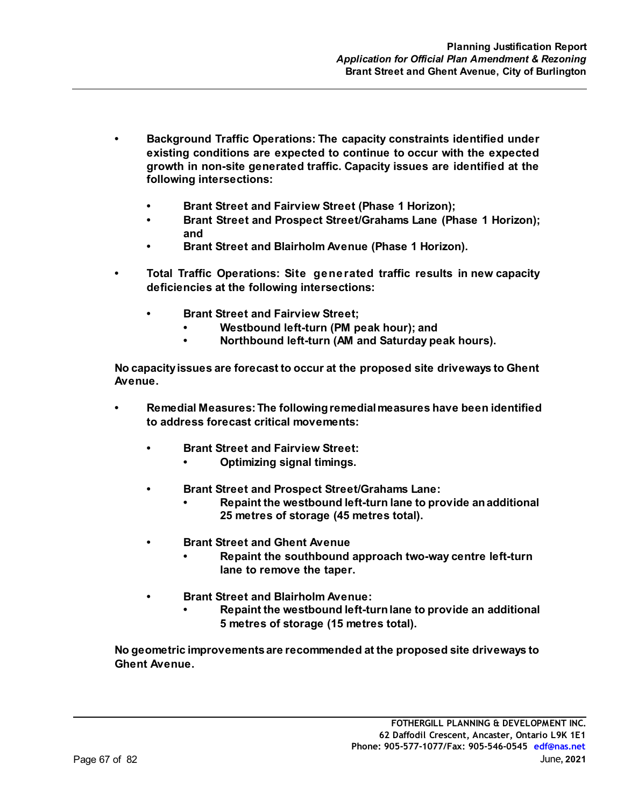- **Background Traffic Operations: The capacity constraints identified under existing conditions are expected to continue to occur with the expected growth in non-site generated traffic. Capacity issues are identified at the following intersections:**
	- **Brant Street and Fairview Street (Phase 1 Horizon);**
	- **Brant Street and Prospect Street/Grahams Lane (Phase 1 Horizon); and**
	- **Brant Street and Blairholm Avenue (Phase 1 Horizon).**
- **Total Traffic Operations: Site generated traffic results in new capacity deficiencies at the following intersections:**
	- **Brant Street and Fairview Street;**
		- **Westbound left-turn (PM peak hour); and**
		- **Northbound left-turn (AM and Saturday peak hours).**

**No capacity issues are forecast to occur at the proposed site driveways to Ghent Avenue.** 

- **Remedial Measures: The following remedial measures have been identified to address forecast critical movements:**
	- **Brant Street and Fairview Street:**
		- **Optimizing signal timings.**
	- **Brant Street and Prospect Street/Grahams Lane:**
		- **Repaint the westbound left-turn lane to provide an additional 25 metres of storage (45 metres total).**
	- **Brant Street and Ghent Avenue**
		- **Repaint the southbound approach two-way centre left-turn lane to remove the taper.**
	- **Brant Street and Blairholm Avenue:**
		- **Repaint the westbound left-turn lane to provide an additional 5 metres of storage (15 metres total).**

**No geometric improvements are recommended at the proposed site driveways to Ghent Avenue.**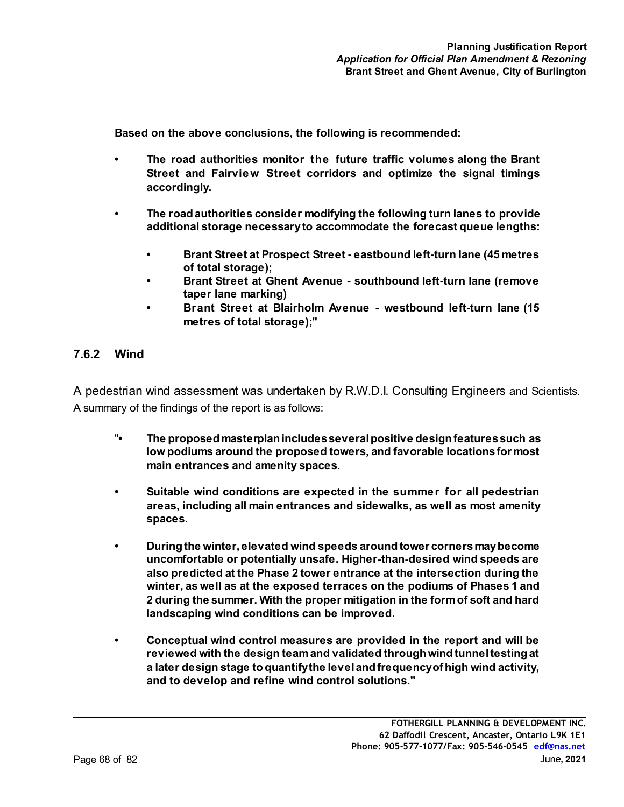**Based on the above conclusions, the following is recommended:**

- **The road authorities monitor the future traffic volumes along the Brant Street and Fairview Street corridors and optimize the signal timings accordingly.**
- **The road authorities consider modifying the following turn lanes to provide additional storage necessary to accommodate the forecast queue lengths:**
	- **Brant Street at Prospect Street eastbound left-turn lane (45 metres of total storage);**
	- **Brant Street at Ghent Avenue southbound left-turn lane (remove taper lane marking)**
	- **Brant Street at Blairholm Avenue westbound left-turn lane (15 metres of total storage);"**

#### **7.6.2 Wind**

A pedestrian wind assessment was undertaken by R.W.D.I. Consulting Engineers and Scientists. A summary of the findings of the report is as follows:

- " **The proposed masterplan includes several positive design features such as low podiums around the proposed towers, and favorable locations for most main entrances and amenity spaces.**
- **Suitable wind conditions are expected in the summer for all pedestrian areas, including all main entrances and sidewalks, as well as most amenity spaces.**
- **During the winter, elevated wind speeds around tower corners may become uncomfortable or potentially unsafe. Higher-than-desired wind speeds are also predicted at the Phase 2 tower entrance at the intersection during the winter, as well as at the exposed terraces on the podiums of Phases 1 and 2 during the summer. With the proper mitigation in the form of soft and hard landscaping wind conditions can be improved.**
- **Conceptual wind control measures are provided in the report and will be reviewed with the design team and validated through wind tunnel testing at a later design stage to quantify the level and frequency of high wind activity, and to develop and refine wind control solutions."**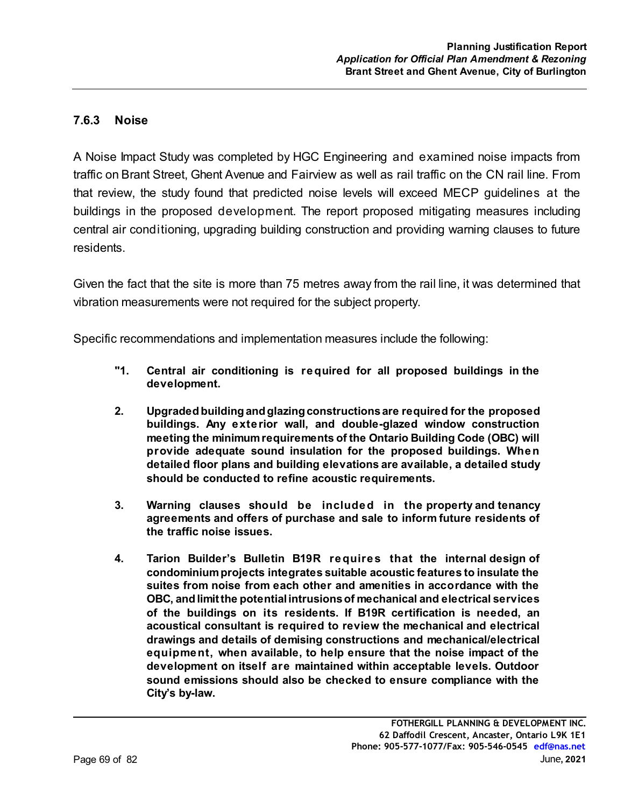## **7.6.3 Noise**

A Noise Impact Study was completed by HGC Engineering and examined noise impacts from traffic on Brant Street, Ghent Avenue and Fairview as well as rail traffic on the CN rail line. From that review, the study found that predicted noise levels will exceed MECP guidelines at the buildings in the proposed development. The report proposed mitigating measures including central air conditioning, upgrading building construction and providing warning clauses to future residents.

Given the fact that the site is more than 75 metres away from the rail line, it was determined that vibration measurements were not required for the subject property.

Specific recommendations and implementation measures include the following:

- **"1. Central air conditioning is required for all proposed buildings in the development.**
- **2. Upgraded building and glazing constructions are required for the proposed buildings. Any exterior wall, and double-glazed window construction meeting the minimum requirements of the Ontario Building Code (OBC) will provide adequate sound insulation for the proposed buildings. When detailed floor plans and building elevations are available, a detailed study should be conducted to refine acoustic requirements.**
- **3. Warning clauses should be included in the property and tenancy agreements and offers of purchase and sale to inform future residents of the traffic noise issues.**
- **4. Tarion Builder's Bulletin B19R requires that the internal design of condominium projects integrates suitable acoustic features to insulate the suites from noise from each other and amenities in accordance with the OBC, and limit the potential intrusions of mechanical and electrical services of the buildings on its residents. If B19R certification is needed, an acoustical consultant is required to review the mechanical and electrical drawings and details of demising constructions and mechanical/electrical equipment, when available, to help ensure that the noise impact of the development on itself are maintained within acceptable levels. Outdoor sound emissions should also be checked to ensure compliance with the City's by-law.**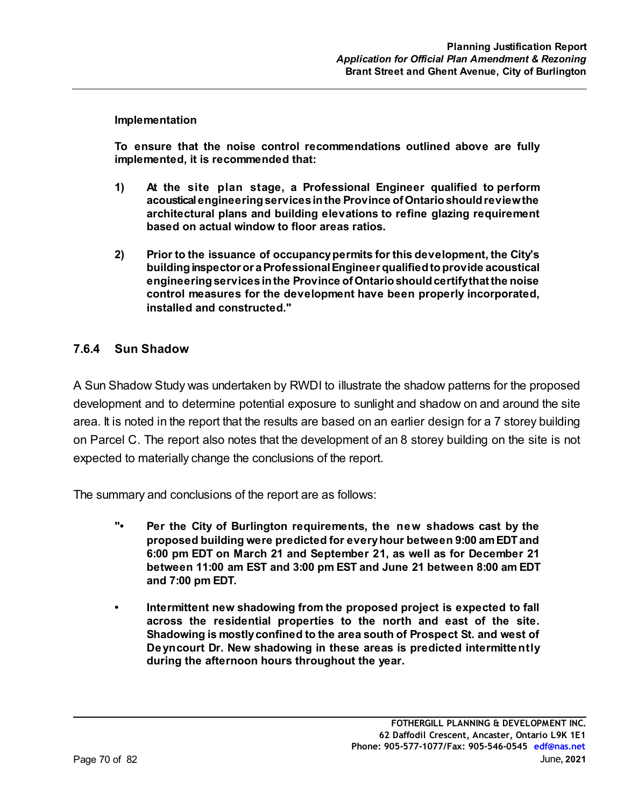#### **Implementation**

**To ensure that the noise control recommendations outlined above are fully implemented, it is recommended that:**

- **1) At the site plan stage, a Professional Engineer qualified to perform acoustical engineering services in the Province of Ontario should review the architectural plans and building elevations to refine glazing requirement based on actual window to floor areas ratios.**
- **2) Prior to the issuance of occupancy permits for this development, the City's building inspector or a Professional Engineer qualified to provide acoustical engineering services in the Province of Ontario should certify that the noise control measures for the development have been properly incorporated, installed and constructed."**

#### **7.6.4 Sun Shadow**

A Sun Shadow Study was undertaken by RWDI to illustrate the shadow patterns for the proposed development and to determine potential exposure to sunlight and shadow on and around the site area. It is noted in the report that the results are based on an earlier design for a 7 storey building on Parcel C. The report also notes that the development of an 8 storey building on the site is not expected to materially change the conclusions of the report.

The summary and conclusions of the report are as follows:

- **"• Per the City of Burlington requirements, the new shadows cast by the proposed building were predicted for every hour between 9:00 am EDT and 6:00 pm EDT on March 21 and September 21, as well as for December 21 between 11:00 am EST and 3:00 pm EST and June 21 between 8:00 am EDT and 7:00 pm EDT.**
- **Intermittent new shadowing from the proposed project is expected to fall across the residential properties to the north and east of the site. Shadowing is mostly confined to the area south of Prospect St. and west of Deyncourt Dr. New shadowing in these areas is predicted intermittently during the afternoon hours throughout the year.**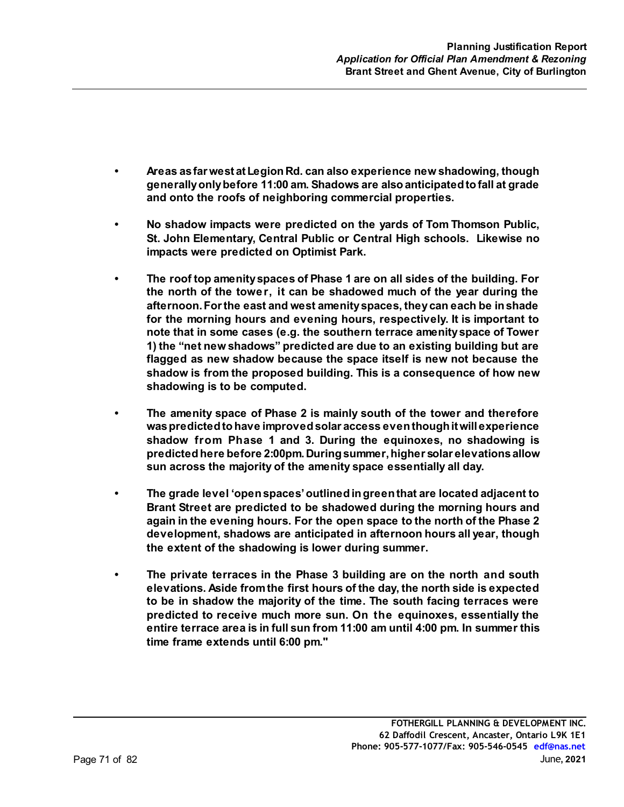- **Areas as far west at Legion Rd. can also experience new shadowing, though generally only before 11:00 am. Shadows are also anticipated to fall at grade and onto the roofs of neighboring commercial properties.**
- **No shadow impacts were predicted on the yards of Tom Thomson Public, St. John Elementary, Central Public or Central High schools. Likewise no impacts were predicted on Optimist Park.**
- **The roof top amenity spaces of Phase 1 are on all sides of the building. For the north of the tower, it can be shadowed much of the year during the afternoon. For the east and west amenity spaces, they can each be in shade for the morning hours and evening hours, respectively. It is important to note that in some cases (e.g. the southern terrace amenity space of Tower 1) the "net new shadows" predicted are due to an existing building but are flagged as new shadow because the space itself is new not because the shadow is from the proposed building. This is a consequence of how new shadowing is to be computed.**
- **The amenity space of Phase 2 is mainly south of the tower and therefore was predicted to have improved solar access even though it will experience shadow from Phase 1 and 3. During the equinoxes, no shadowing is predicted here before 2:00pm. During summer, higher solar elevations allow sun across the majority of the amenity space essentially all day.**
- **The grade level 'open spaces' outlined in green that are located adjacent to Brant Street are predicted to be shadowed during the morning hours and again in the evening hours. For the open space to the north of the Phase 2 development, shadows are anticipated in afternoon hours all year, though the extent of the shadowing is lower during summer.**
- **The private terraces in the Phase 3 building are on the north and south elevations. Aside from the first hours of the day, the north side is expected to be in shadow the majority of the time. The south facing terraces were predicted to receive much more sun. On the equinoxes, essentially the entire terrace area is in full sun from 11:00 am until 4:00 pm. In summer this time frame extends until 6:00 pm."**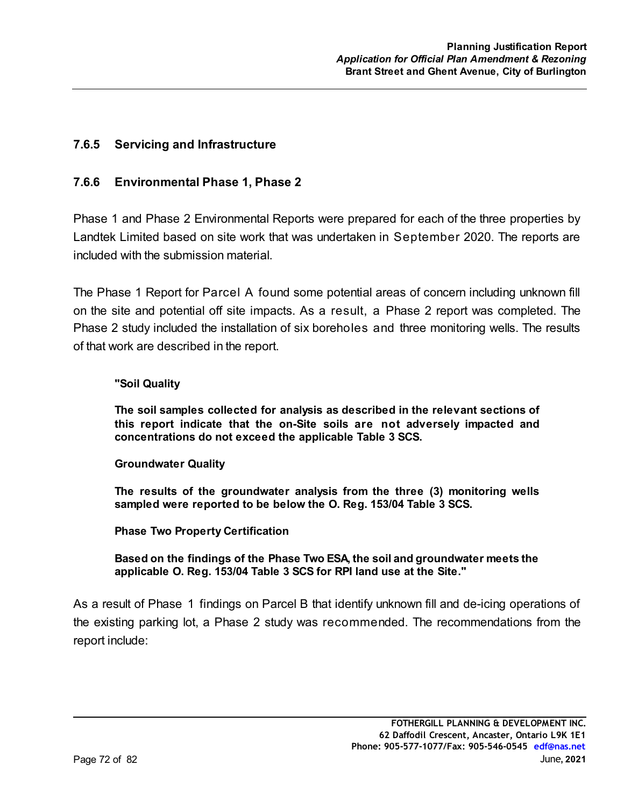### **7.6.5 Servicing and Infrastructure**

#### **7.6.6 Environmental Phase 1, Phase 2**

Phase 1 and Phase 2 Environmental Reports were prepared for each of the three properties by Landtek Limited based on site work that was undertaken in September 2020. The reports are included with the submission material.

The Phase 1 Report for Parcel A found some potential areas of concern including unknown fill on the site and potential off site impacts. As a result, a Phase 2 report was completed. The Phase 2 study included the installation of six boreholes and three monitoring wells. The results of that work are described in the report.

#### **"Soil Quality**

**The soil samples collected for analysis as described in the relevant sections of this report indicate that the on-Site soils are not adversely impacted and concentrations do not exceed the applicable Table 3 SCS.**

#### **Groundwater Quality**

**The results of the groundwater analysis from the three (3) monitoring wells sampled were reported to be below the O. Reg. 153/04 Table 3 SCS.**

**Phase Two Property Certification**

**Based on the findings of the Phase Two ESA, the soil and groundwater meets the applicable O. Reg. 153/04 Table 3 SCS for RPI land use at the Site."**

As a result of Phase 1 findings on Parcel B that identify unknown fill and de-icing operations of the existing parking lot, a Phase 2 study was recommended. The recommendations from the report include: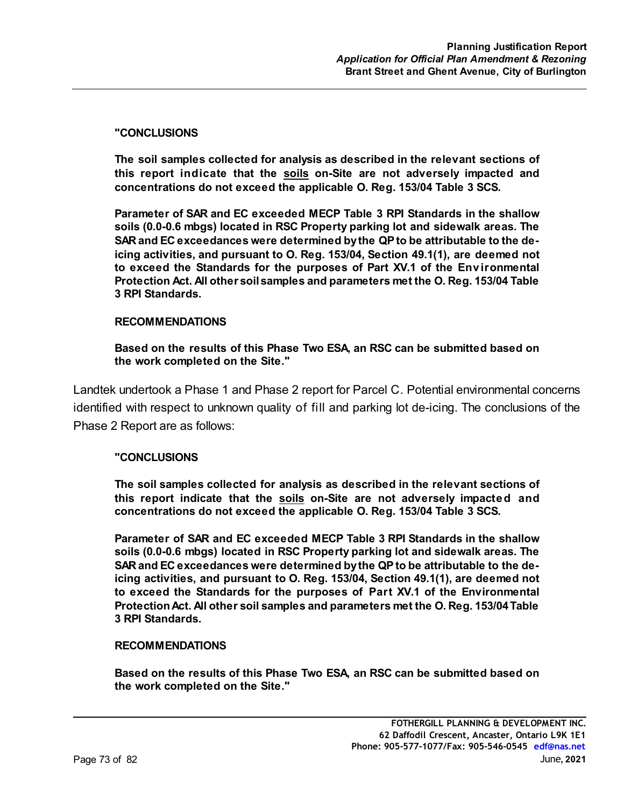#### **"CONCLUSIONS**

**The soil samples collected for analysis as described in the relevant sections of this report indicate that the soils on-Site are not adversely impacted and concentrations do not exceed the applicable O. Reg. 153/04 Table 3 SCS.**

**Parameter of SAR and EC exceeded MECP Table 3 RPI Standards in the shallow soils (0.0-0.6 mbgs) located in RSC Property parking lot and sidewalk areas. The SAR and EC exceedances were determined by the QP to be attributable to the deicing activities, and pursuant to O. Reg. 153/04, Section 49.1(1), are deemed not to exceed the Standards for the purposes of Part XV.1 of the Environmental Protection Act. All other soil samples and parameters met the O. Reg. 153/04 Table 3 RPI Standards.**

#### **RECOMMENDATIONS**

**Based on the results of this Phase Two ESA, an RSC can be submitted based on the work completed on the Site."**

Landtek undertook a Phase 1 and Phase 2 report for Parcel C. Potential environmental concerns identified with respect to unknown quality of fill and parking lot de-icing. The conclusions of the Phase 2 Report are as follows:

#### **"CONCLUSIONS**

**The soil samples collected for analysis as described in the relevant sections of this report indicate that the soils on-Site are not adversely impacted and concentrations do not exceed the applicable O. Reg. 153/04 Table 3 SCS.**

**Parameter of SAR and EC exceeded MECP Table 3 RPI Standards in the shallow soils (0.0-0.6 mbgs) located in RSC Property parking lot and sidewalk areas. The SAR and EC exceedances were determined by the QP to be attributable to the deicing activities, and pursuant to O. Reg. 153/04, Section 49.1(1), are deemed not to exceed the Standards for the purposes of Part XV.1 of the Environmental Protection Act. All other soil samples and parameters met the O. Reg. 153/04 Table 3 RPI Standards.**

#### **RECOMMENDATIONS**

**Based on the results of this Phase Two ESA, an RSC can be submitted based on the work completed on the Site."**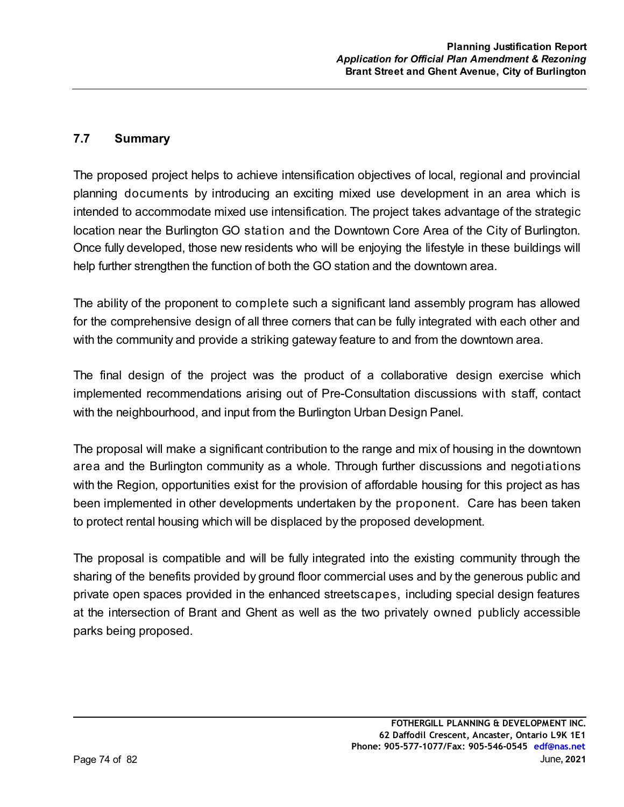## **7.7 Summary**

The proposed project helps to achieve intensification objectives of local, regional and provincial planning documents by introducing an exciting mixed use development in an area which is intended to accommodate mixed use intensification. The project takes advantage of the strategic location near the Burlington GO station and the Downtown Core Area of the City of Burlington. Once fully developed, those new residents who will be enjoying the lifestyle in these buildings will help further strengthen the function of both the GO station and the downtown area.

The ability of the proponent to complete such a significant land assembly program has allowed for the comprehensive design of all three corners that can be fully integrated with each other and with the community and provide a striking gateway feature to and from the downtown area.

The final design of the project was the product of a collaborative design exercise which implemented recommendations arising out of Pre-Consultation discussions with staff, contact with the neighbourhood, and input from the Burlington Urban Design Panel.

The proposal will make a significant contribution to the range and mix of housing in the downtown area and the Burlington community as a whole. Through further discussions and negotiations with the Region, opportunities exist for the provision of affordable housing for this project as has been implemented in other developments undertaken by the proponent. Care has been taken to protect rental housing which will be displaced by the proposed development.

The proposal is compatible and will be fully integrated into the existing community through the sharing of the benefits provided by ground floor commercial uses and by the generous public and private open spaces provided in the enhanced streetscapes, including special design features at the intersection of Brant and Ghent as well as the two privately owned publicly accessible parks being proposed.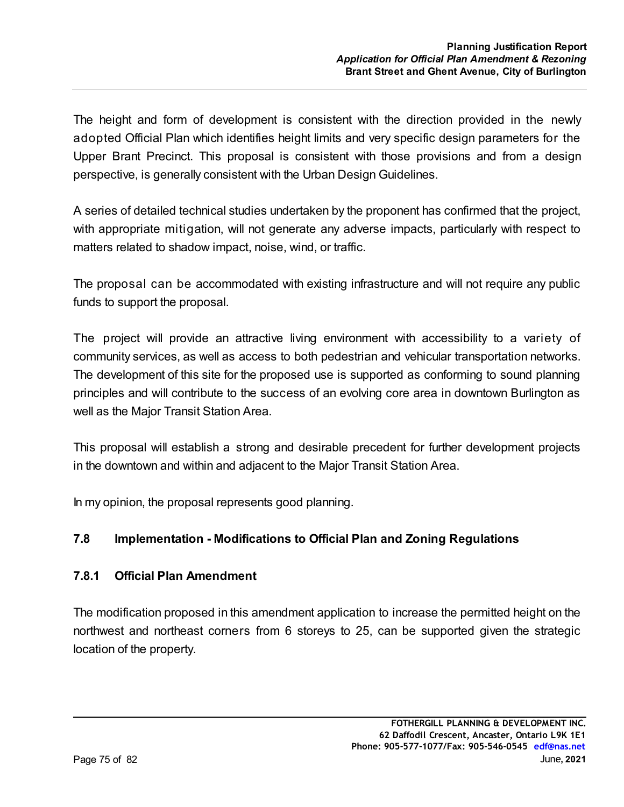The height and form of development is consistent with the direction provided in the newly adopted Official Plan which identifies height limits and very specific design parameters for the Upper Brant Precinct. This proposal is consistent with those provisions and from a design perspective, is generally consistent with the Urban Design Guidelines.

A series of detailed technical studies undertaken by the proponent has confirmed that the project, with appropriate mitigation, will not generate any adverse impacts, particularly with respect to matters related to shadow impact, noise, wind, or traffic.

The proposal can be accommodated with existing infrastructure and will not require any public funds to support the proposal.

The project will provide an attractive living environment with accessibility to a variety of community services, as well as access to both pedestrian and vehicular transportation networks. The development of this site for the proposed use is supported as conforming to sound planning principles and will contribute to the success of an evolving core area in downtown Burlington as well as the Major Transit Station Area.

This proposal will establish a strong and desirable precedent for further development projects in the downtown and within and adjacent to the Major Transit Station Area.

In my opinion, the proposal represents good planning.

## **7.8 Implementation - Modifications to Official Plan and Zoning Regulations**

## **7.8.1 Official Plan Amendment**

The modification proposed in this amendment application to increase the permitted height on the northwest and northeast corners from 6 storeys to 25, can be supported given the strategic location of the property.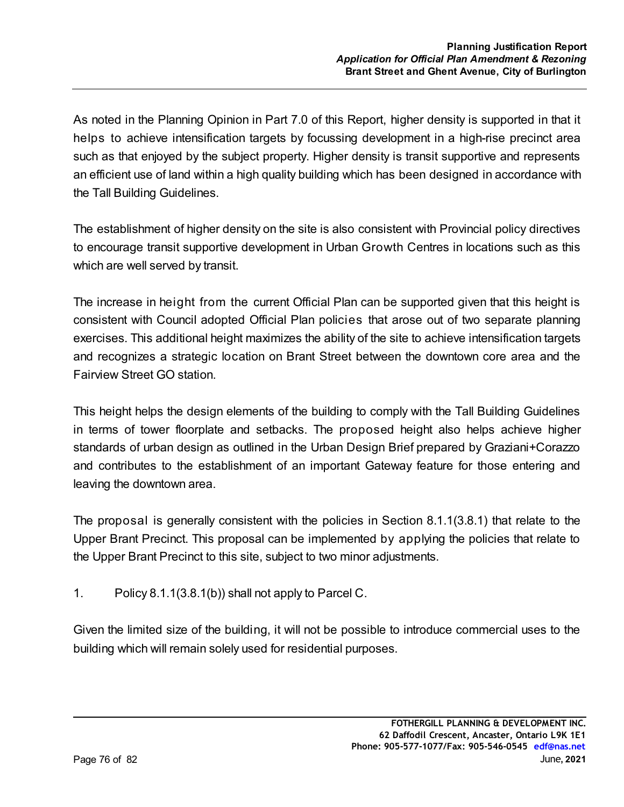As noted in the Planning Opinion in Part 7.0 of this Report, higher density is supported in that it helps to achieve intensification targets by focussing development in a high-rise precinct area such as that enjoyed by the subject property. Higher density is transit supportive and represents an efficient use of land within a high quality building which has been designed in accordance with the Tall Building Guidelines.

The establishment of higher density on the site is also consistent with Provincial policy directives to encourage transit supportive development in Urban Growth Centres in locations such as this which are well served by transit.

The increase in height from the current Official Plan can be supported given that this height is consistent with Council adopted Official Plan policies that arose out of two separate planning exercises. This additional height maximizes the ability of the site to achieve intensification targets and recognizes a strategic location on Brant Street between the downtown core area and the Fairview Street GO station.

This height helps the design elements of the building to comply with the Tall Building Guidelines in terms of tower floorplate and setbacks. The proposed height also helps achieve higher standards of urban design as outlined in the Urban Design Brief prepared by Graziani+Corazzo and contributes to the establishment of an important Gateway feature for those entering and leaving the downtown area.

The proposal is generally consistent with the policies in Section 8.1.1(3.8.1) that relate to the Upper Brant Precinct. This proposal can be implemented by applying the policies that relate to the Upper Brant Precinct to this site, subject to two minor adjustments.

1. Policy 8.1.1(3.8.1(b)) shall not apply to Parcel C.

Given the limited size of the building, it will not be possible to introduce commercial uses to the building which will remain solely used for residential purposes.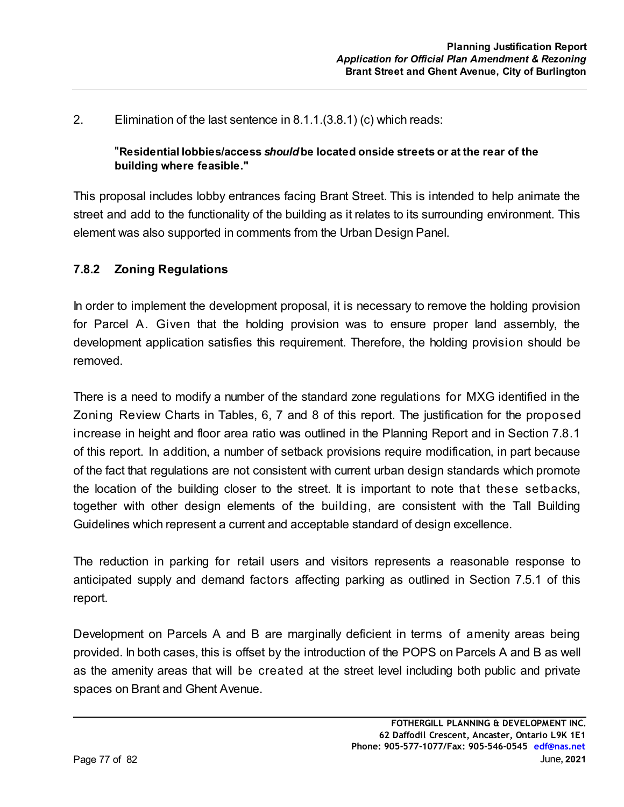### 2. Elimination of the last sentence in 8.1.1.(3.8.1) (c) which reads:

#### "**Residential lobbies/access** *should* **be located onside streets or at the rear of the building where feasible."**

This proposal includes lobby entrances facing Brant Street. This is intended to help animate the street and add to the functionality of the building as it relates to its surrounding environment. This element was also supported in comments from the Urban Design Panel.

#### **7.8.2 Zoning Regulations**

In order to implement the development proposal, it is necessary to remove the holding provision for Parcel A. Given that the holding provision was to ensure proper land assembly, the development application satisfies this requirement. Therefore, the holding provision should be removed.

There is a need to modify a number of the standard zone regulations for MXG identified in the Zoning Review Charts in Tables, 6, 7 and 8 of this report. The justification for the proposed increase in height and floor area ratio was outlined in the Planning Report and in Section 7.8.1 of this report. In addition, a number of setback provisions require modification, in part because of the fact that regulations are not consistent with current urban design standards which promote the location of the building closer to the street. It is important to note that these setbacks, together with other design elements of the building, are consistent with the Tall Building Guidelines which represent a current and acceptable standard of design excellence.

The reduction in parking for retail users and visitors represents a reasonable response to anticipated supply and demand factors affecting parking as outlined in Section 7.5.1 of this report.

Development on Parcels A and B are marginally deficient in terms of amenity areas being provided. In both cases, this is offset by the introduction of the POPS on Parcels A and B as well as the amenity areas that will be created at the street level including both public and private spaces on Brant and Ghent Avenue.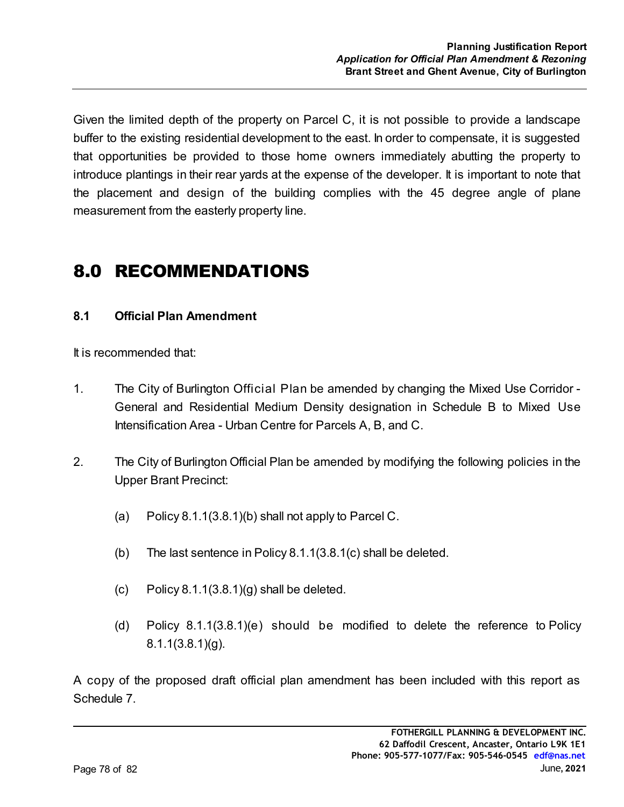Given the limited depth of the property on Parcel C, it is not possible to provide a landscape buffer to the existing residential development to the east. In order to compensate, it is suggested that opportunities be provided to those home owners immediately abutting the property to introduce plantings in their rear yards at the expense of the developer. It is important to note that the placement and design of the building complies with the 45 degree angle of plane measurement from the easterly property line.

# 8.0 RECOMMENDATIONS

## **8.1 Official Plan Amendment**

It is recommended that:

- 1. The City of Burlington Official Plan be amended by changing the Mixed Use Corridor General and Residential Medium Density designation in Schedule B to Mixed Use Intensification Area - Urban Centre for Parcels A, B, and C.
- 2. The City of Burlington Official Plan be amended by modifying the following policies in the Upper Brant Precinct:
	- (a) Policy  $8.1.1(3.8.1)(b)$  shall not apply to Parcel C.
	- (b) The last sentence in Policy 8.1.1(3.8.1(c) shall be deleted.
	- (c) Policy  $8.1.1(3.8.1)(g)$  shall be deleted.
	- (d) Policy 8.1.1(3.8.1)(e) should be modified to delete the reference to Policy 8.1.1(3.8.1)(g).

A copy of the proposed draft official plan amendment has been included with this report as Schedule 7.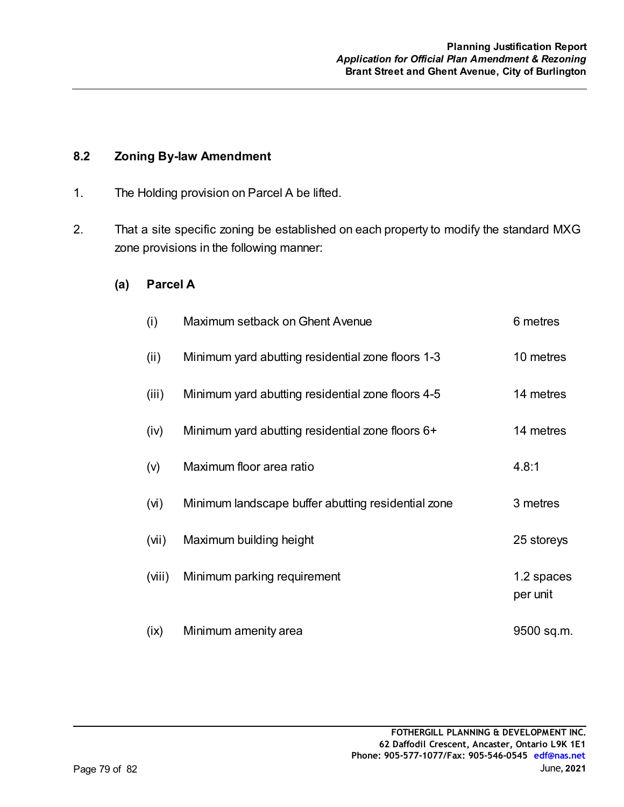### **8.2 Zoning By-law Amendment**

- 1. The Holding provision on Parcel A be lifted.
- 2. That a site specific zoning be established on each property to modify the standard MXG zone provisions in the following manner:

#### **(a) Parcel A**

| (i)               | Maximum setback on Ghent Avenue                    | 6 metres               |
|-------------------|----------------------------------------------------|------------------------|
| (ii)              | Minimum yard abutting residential zone floors 1-3  | 10 metres              |
| (iii)             | Minimum yard abutting residential zone floors 4-5  | 14 metres              |
| (iv)              | Minimum yard abutting residential zone floors 6+   | 14 metres              |
| (v)               | Maximum floor area ratio                           | 4.8:1                  |
| (v <sub>i</sub> ) | Minimum landscape buffer abutting residential zone | 3 metres               |
| (vii)             | Maximum building height                            | 25 storeys             |
| (viii)            | Minimum parking requirement                        | 1.2 spaces<br>per unit |
| (ix)              | Minimum amenity area                               | 9500 sq.m.             |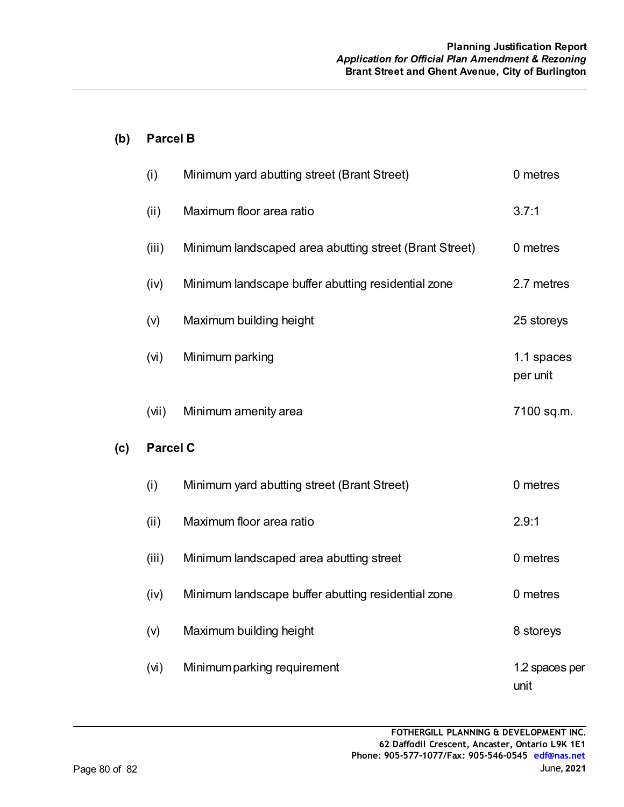## **(b) Parcel B**

|     | (i)               | Minimum yard abutting street (Brant Street)            | 0 metres               |  |  |
|-----|-------------------|--------------------------------------------------------|------------------------|--|--|
|     | (ii)              | Maximum floor area ratio                               | 3.7:1                  |  |  |
|     | (iii)             | Minimum landscaped area abutting street (Brant Street) | 0 metres               |  |  |
|     | (iv)              | Minimum landscape buffer abutting residential zone     | 2.7 metres             |  |  |
|     | (v)               | Maximum building height                                | 25 storeys             |  |  |
|     | (v <sub>i</sub> ) | Minimum parking                                        | 1.1 spaces<br>per unit |  |  |
|     | (vii)             | Minimum amenity area                                   | 7100 sq.m.             |  |  |
| (c) | <b>Parcel C</b>   |                                                        |                        |  |  |
|     | (i)               | Minimum yard abutting street (Brant Street)            | 0 metres               |  |  |
|     | (ii)              | Maximum floor area ratio                               | 2.9:1                  |  |  |
|     | (iii)             | Minimum landscaped area abutting street                | 0 metres               |  |  |
|     | (iv)              | Minimum landscape buffer abutting residential zone     | 0 metres               |  |  |
|     | (v)               | Maximum building height                                | 8 storeys              |  |  |
|     | (vi)              | Minimum parking requirement                            | 1.2 spaces per<br>unit |  |  |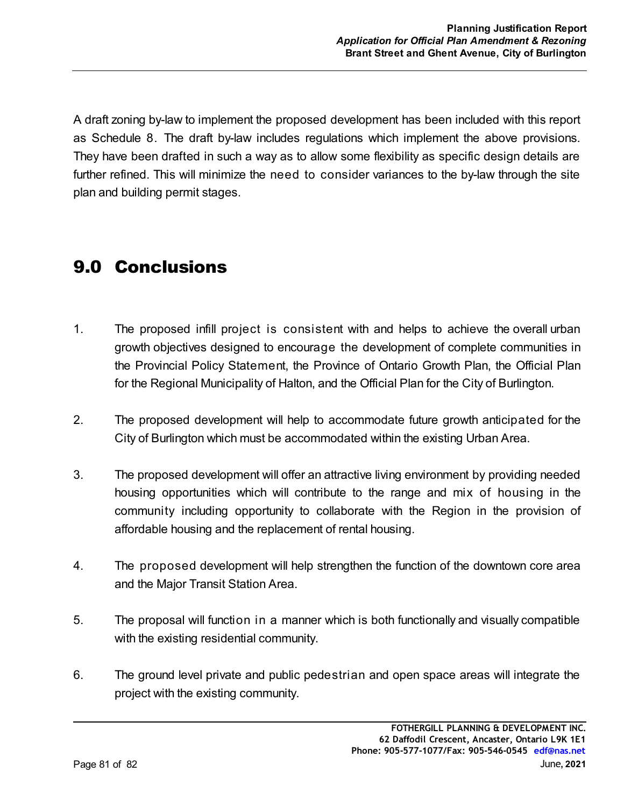A draft zoning by-law to implement the proposed development has been included with this report as Schedule 8. The draft by-law includes regulations which implement the above provisions. They have been drafted in such a way as to allow some flexibility as specific design details are further refined. This will minimize the need to consider variances to the by-law through the site plan and building permit stages.

# 9.0 Conclusions

- 1. The proposed infill project is consistent with and helps to achieve the overall urban growth objectives designed to encourage the development of complete communities in the Provincial Policy Statement, the Province of Ontario Growth Plan, the Official Plan for the Regional Municipality of Halton, and the Official Plan for the City of Burlington.
- 2. The proposed development will help to accommodate future growth anticipated for the City of Burlington which must be accommodated within the existing Urban Area.
- 3. The proposed development will offer an attractive living environment by providing needed housing opportunities which will contribute to the range and mix of housing in the community including opportunity to collaborate with the Region in the provision of affordable housing and the replacement of rental housing.
- 4. The proposed development will help strengthen the function of the downtown core area and the Major Transit Station Area.
- 5. The proposal will function in a manner which is both functionally and visually compatible with the existing residential community.
- 6. The ground level private and public pedestrian and open space areas will integrate the project with the existing community.